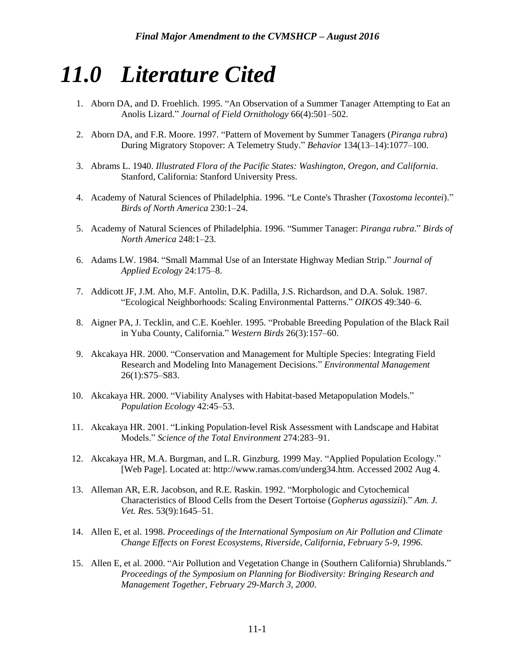# *11.0 Literature Cited*

- 1. Aborn DA, and D. Froehlich. 1995. "An Observation of a Summer Tanager Attempting to Eat an Anolis Lizard." *Journal of Field Ornithology* 66(4):501–502.
- 2. Aborn DA, and F.R. Moore. 1997. "Pattern of Movement by Summer Tanagers (*Piranga rubra*) During Migratory Stopover: A Telemetry Study." *Behavior* 134(13–14):1077–100.
- 3. Abrams L. 1940. *Illustrated Flora of the Pacific States: Washington, Oregon, and California*. Stanford, California: Stanford University Press.
- 4. Academy of Natural Sciences of Philadelphia. 1996. "Le Conte's Thrasher (*Toxostoma lecontei*)." *Birds of North America* 230:1–24.
- 5. Academy of Natural Sciences of Philadelphia. 1996. "Summer Tanager: *Piranga rubra*." *Birds of North America* 248:1–23.
- 6. Adams LW. 1984. "Small Mammal Use of an Interstate Highway Median Strip." *Journal of Applied Ecology* 24:175–8.
- 7. Addicott JF, J.M. Aho, M.F. Antolin, D.K. Padilla, J.S. Richardson, and D.A. Soluk. 1987. "Ecological Neighborhoods: Scaling Environmental Patterns." *OIKOS* 49:340–6.
- 8. Aigner PA, J. Tecklin, and C.E. Koehler. 1995. "Probable Breeding Population of the Black Rail in Yuba County, California." *Western Birds* 26(3):157–60.
- 9. Akcakaya HR. 2000. "Conservation and Management for Multiple Species: Integrating Field Research and Modeling Into Management Decisions." *Environmental Management* 26(1):S75–S83.
- 10. Akcakaya HR. 2000. "Viability Analyses with Habitat-based Metapopulation Models." *Population Ecology* 42:45–53.
- 11. Akcakaya HR. 2001. "Linking Population-level Risk Assessment with Landscape and Habitat Models." *Science of the Total Environment* 274:283–91.
- 12. Akcakaya HR, M.A. Burgman, and L.R. Ginzburg. 1999 May. "Applied Population Ecology." [Web Page]. Located at: http://www.ramas.com/underg34.htm. Accessed 2002 Aug 4.
- 13. Alleman AR, E.R. Jacobson, and R.E. Raskin. 1992. "Morphologic and Cytochemical Characteristics of Blood Cells from the Desert Tortoise (*Gopherus agassizii*)." *Am. J. Vet. Res.* 53(9):1645–51.
- 14. Allen E, et al. 1998. *Proceedings of the International Symposium on Air Pollution and Climate Change Effects on Forest Ecosystems, Riverside, California, February 5-9, 1996*.
- 15. Allen E, et al. 2000. "Air Pollution and Vegetation Change in (Southern California) Shrublands." *Proceedings of the Symposium on Planning for Biodiversity: Bringing Research and Management Together, February 29-March 3, 2000*.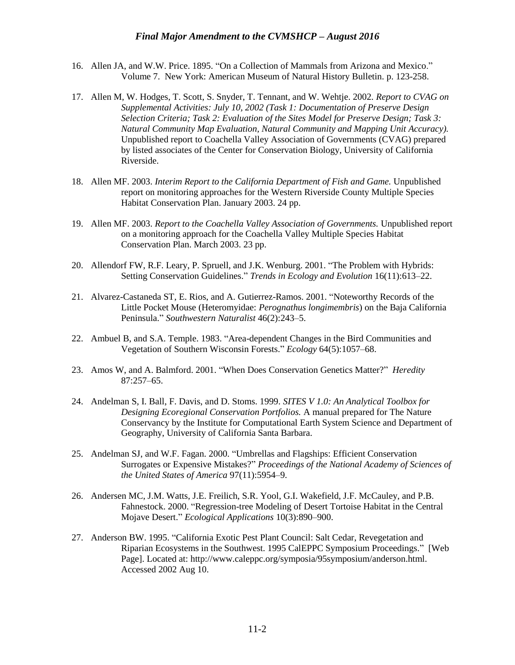- 16. Allen JA, and W.W. Price. 1895. "On a Collection of Mammals from Arizona and Mexico." Volume 7. New York: American Museum of Natural History Bulletin. p. 123-258.
- 17. Allen M, W. Hodges, T. Scott, S. Snyder, T. Tennant, and W. Wehtje. 2002. *Report to CVAG on Supplemental Activities: July 10, 2002 (Task 1: Documentation of Preserve Design Selection Criteria; Task 2: Evaluation of the Sites Model for Preserve Design; Task 3: Natural Community Map Evaluation, Natural Community and Mapping Unit Accuracy).* Unpublished report to Coachella Valley Association of Governments (CVAG) prepared by listed associates of the Center for Conservation Biology, University of California Riverside.
- 18. Allen MF. 2003. *Interim Report to the California Department of Fish and Game.* Unpublished report on monitoring approaches for the Western Riverside County Multiple Species Habitat Conservation Plan. January 2003. 24 pp.
- 19. Allen MF. 2003. *Report to the Coachella Valley Association of Governments.* Unpublished report on a monitoring approach for the Coachella Valley Multiple Species Habitat Conservation Plan. March 2003. 23 pp.
- 20. Allendorf FW, R.F. Leary, P. Spruell, and J.K. Wenburg. 2001. "The Problem with Hybrids: Setting Conservation Guidelines." *Trends in Ecology and Evolution* 16(11):613–22.
- 21. Alvarez-Castaneda ST, E. Rios, and A. Gutierrez-Ramos. 2001. "Noteworthy Records of the Little Pocket Mouse (Heteromyidae: *Perognathus longimembris*) on the Baja California Peninsula." *Southwestern Naturalist* 46(2):243–5.
- 22. Ambuel B, and S.A. Temple. 1983. "Area-dependent Changes in the Bird Communities and Vegetation of Southern Wisconsin Forests." *Ecology* 64(5):1057–68.
- 23. Amos W, and A. Balmford. 2001. "When Does Conservation Genetics Matter?" *Heredity* 87:257–65.
- 24. Andelman S, I. Ball, F. Davis, and D. Stoms. 1999. *SITES V 1.0: An Analytical Toolbox for Designing Ecoregional Conservation Portfolios.* A manual prepared for The Nature Conservancy by the Institute for Computational Earth System Science and Department of Geography, University of California Santa Barbara.
- 25. Andelman SJ, and W.F. Fagan. 2000. "Umbrellas and Flagships: Efficient Conservation Surrogates or Expensive Mistakes?" *Proceedings of the National Academy of Sciences of the United States of America* 97(11):5954–9.
- 26. Andersen MC, J.M. Watts, J.E. Freilich, S.R. Yool, G.I. Wakefield, J.F. McCauley, and P.B. Fahnestock. 2000. "Regression-tree Modeling of Desert Tortoise Habitat in the Central Mojave Desert." *Ecological Applications* 10(3):890–900.
- 27. Anderson BW. 1995. "California Exotic Pest Plant Council: Salt Cedar, Revegetation and Riparian Ecosystems in the Southwest. 1995 CalEPPC Symposium Proceedings." [Web Page]. Located at: http://www.caleppc.org/symposia/95symposium/anderson.html. Accessed 2002 Aug 10.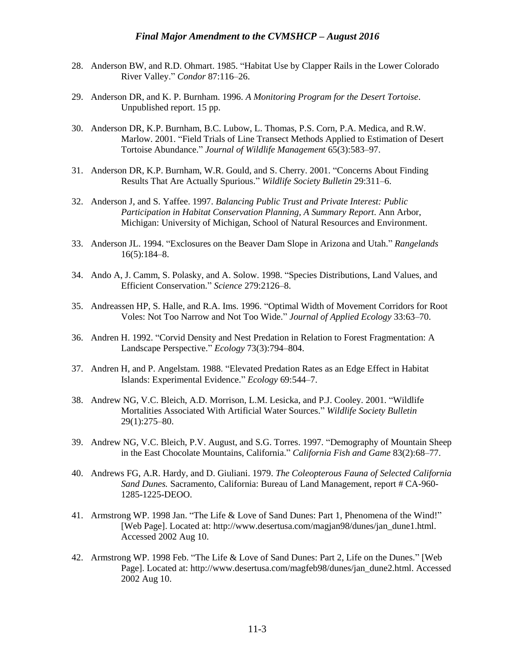- 28. Anderson BW, and R.D. Ohmart. 1985. "Habitat Use by Clapper Rails in the Lower Colorado River Valley." *Condor* 87:116–26.
- 29. Anderson DR, and K. P. Burnham. 1996. *A Monitoring Program for the Desert Tortoise*. Unpublished report. 15 pp.
- 30. Anderson DR, K.P. Burnham, B.C. Lubow, L. Thomas, P.S. Corn, P.A. Medica, and R.W. Marlow. 2001. "Field Trials of Line Transect Methods Applied to Estimation of Desert Tortoise Abundance." *Journal of Wildlife Management* 65(3):583–97.
- 31. Anderson DR, K.P. Burnham, W.R. Gould, and S. Cherry. 2001. "Concerns About Finding Results That Are Actually Spurious." *Wildlife Society Bulletin* 29:311–6.
- 32. Anderson J, and S. Yaffee. 1997. *Balancing Public Trust and Private Interest: Public Participation in Habitat Conservation Planning, A Summary Report*. Ann Arbor, Michigan: University of Michigan, School of Natural Resources and Environment.
- 33. Anderson JL. 1994. "Exclosures on the Beaver Dam Slope in Arizona and Utah." *Rangelands* 16(5):184–8.
- 34. Ando A, J. Camm, S. Polasky, and A. Solow. 1998. "Species Distributions, Land Values, and Efficient Conservation." *Science* 279:2126–8.
- 35. Andreassen HP, S. Halle, and R.A. Ims. 1996. "Optimal Width of Movement Corridors for Root Voles: Not Too Narrow and Not Too Wide." *Journal of Applied Ecology* 33:63–70.
- 36. Andren H. 1992. "Corvid Density and Nest Predation in Relation to Forest Fragmentation: A Landscape Perspective." *Ecology* 73(3):794–804.
- 37. Andren H, and P. Angelstam. 1988. "Elevated Predation Rates as an Edge Effect in Habitat Islands: Experimental Evidence." *Ecology* 69:544–7.
- 38. Andrew NG, V.C. Bleich, A.D. Morrison, L.M. Lesicka, and P.J. Cooley. 2001. "Wildlife Mortalities Associated With Artificial Water Sources." *Wildlife Society Bulletin* 29(1):275–80.
- 39. Andrew NG, V.C. Bleich, P.V. August, and S.G. Torres. 1997. "Demography of Mountain Sheep in the East Chocolate Mountains, California." *California Fish and Game* 83(2):68–77.
- 40. Andrews FG, A.R. Hardy, and D. Giuliani. 1979. *The Coleopterous Fauna of Selected California Sand Dunes.* Sacramento, California: Bureau of Land Management, report # CA-960- 1285-1225-DEOO.
- 41. Armstrong WP. 1998 Jan. "The Life & Love of Sand Dunes: Part 1, Phenomena of the Wind!" [Web Page]. Located at: http://www.desertusa.com/magjan98/dunes/jan\_dune1.html. Accessed 2002 Aug 10.
- 42. Armstrong WP. 1998 Feb. "The Life & Love of Sand Dunes: Part 2, Life on the Dunes." [Web Page]. Located at: http://www.desertusa.com/magfeb98/dunes/jan\_dune2.html. Accessed 2002 Aug 10.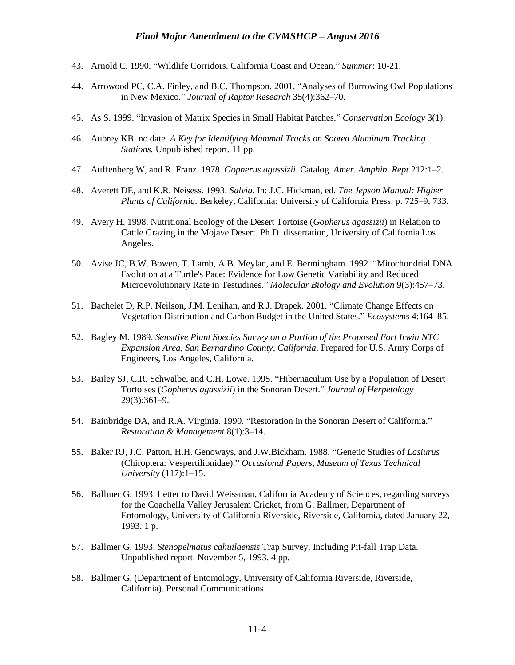- 43. Arnold C. 1990. "Wildlife Corridors. California Coast and Ocean." *Summer*: 10-21.
- 44. Arrowood PC, C.A. Finley, and B.C. Thompson. 2001. "Analyses of Burrowing Owl Populations in New Mexico." *Journal of Raptor Research* 35(4):362–70.
- 45. As S. 1999. "Invasion of Matrix Species in Small Habitat Patches." *Conservation Ecology* 3(1).
- 46. Aubrey KB. no date. *A Key for Identifying Mammal Tracks on Sooted Aluminum Tracking Stations.* Unpublished report. 11 pp.
- 47. Auffenberg W, and R. Franz. 1978. *Gopherus agassizii*. Catalog. *Amer. Amphib. Rept* 212:1–2.
- 48. Averett DE, and K.R. Neisess. 1993. *Salvia*. In: J.C. Hickman, ed. *The Jepson Manual: Higher Plants of California.* Berkeley, California: University of California Press. p. 725–9, 733.
- 49. Avery H. 1998. Nutritional Ecology of the Desert Tortoise (*Gopherus agassizii*) in Relation to Cattle Grazing in the Mojave Desert. Ph.D. dissertation, University of California Los Angeles.
- 50. Avise JC, B.W. Bowen, T. Lamb, A.B. Meylan, and E. Bermingham. 1992. "Mitochondrial DNA Evolution at a Turtle's Pace: Evidence for Low Genetic Variability and Reduced Microevolutionary Rate in Testudines." *Molecular Biology and Evolution* 9(3):457–73.
- 51. Bachelet D, R.P. Neilson, J.M. Lenihan, and R.J. Drapek. 2001. "Climate Change Effects on Vegetation Distribution and Carbon Budget in the United States." *Ecosystems* 4:164–85.
- 52. Bagley M. 1989. *Sensitive Plant Species Survey on a Portion of the Proposed Fort Irwin NTC Expansion Area, San Bernardino County, California*. Prepared for U.S. Army Corps of Engineers, Los Angeles, California.
- 53. Bailey SJ, C.R. Schwalbe, and C.H. Lowe. 1995. "Hibernaculum Use by a Population of Desert Tortoises (*Gopherus agassizii*) in the Sonoran Desert." *Journal of Herpetology* 29(3):361–9.
- 54. Bainbridge DA, and R.A. Virginia. 1990. "Restoration in the Sonoran Desert of California." *Restoration & Management* 8(1):3–14.
- 55. Baker RJ, J.C. Patton, H.H. Genoways, and J.W.Bickham. 1988. "Genetic Studies of *Lasiurus* (Chiroptera: Vespertilionidae)." *Occasional Papers, Museum of Texas Technical University* (117):1–15.
- 56. Ballmer G. 1993. Letter to David Weissman, California Academy of Sciences, regarding surveys for the Coachella Valley Jerusalem Cricket, from G. Ballmer, Department of Entomology, University of California Riverside, Riverside, California, dated January 22, 1993. 1 p.
- 57. Ballmer G. 1993. *Stenopelmatus cahuilaensis* Trap Survey, Including Pit-fall Trap Data. Unpublished report. November 5, 1993. 4 pp.
- 58. Ballmer G. (Department of Entomology, University of California Riverside, Riverside, California). Personal Communications.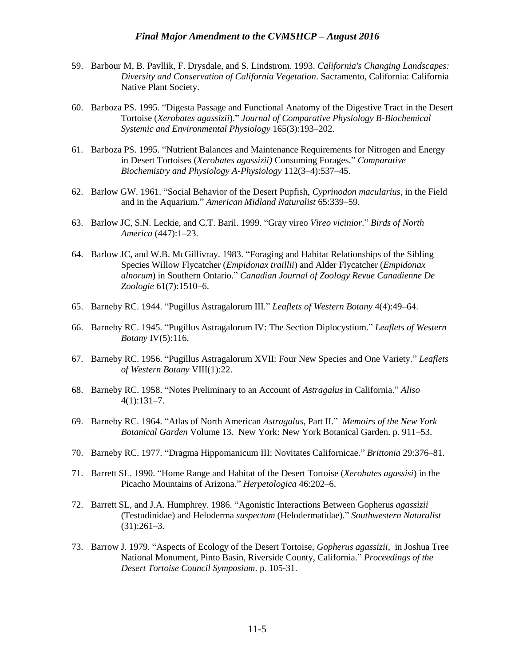- 59. Barbour M, B. Pavllik, F. Drysdale, and S. Lindstrom. 1993. *California's Changing Landscapes: Diversity and Conservation of California Vegetation*. Sacramento, California: California Native Plant Society.
- 60. Barboza PS. 1995. "Digesta Passage and Functional Anatomy of the Digestive Tract in the Desert Tortoise (*Xerobates agassizii*)." *Journal of Comparative Physiology B-Biochemical Systemic and Environmental Physiology* 165(3):193–202.
- 61. Barboza PS. 1995. "Nutrient Balances and Maintenance Requirements for Nitrogen and Energy in Desert Tortoises (*Xerobates agassizii)* Consuming Forages." *Comparative Biochemistry and Physiology A-Physiology* 112(3–4):537–45.
- 62. Barlow GW. 1961. "Social Behavior of the Desert Pupfish, *Cyprinodon macularius*, in the Field and in the Aquarium." *American Midland Naturalist* 65:339–59.
- 63. Barlow JC, S.N. Leckie, and C.T. Baril. 1999. "Gray vireo *Vireo vicinior*." *Birds of North America* (447):1–23.
- 64. Barlow JC, and W.B. McGillivray. 1983. "Foraging and Habitat Relationships of the Sibling Species Willow Flycatcher (*Empidonax traillii*) and Alder Flycatcher (*Empidonax alnorum*) in Southern Ontario." *Canadian Journal of Zoology Revue Canadienne De Zoologie* 61(7):1510–6.
- 65. Barneby RC. 1944. "Pugillus Astragalorum III." *Leaflets of Western Botany* 4(4):49–64.
- 66. Barneby RC. 1945. "Pugillus Astragalorum IV: The Section Diplocystium." *Leaflets of Western Botany* IV(5):116.
- 67. Barneby RC. 1956. "Pugillus Astragalorum XVII: Four New Species and One Variety." *Leaflets of Western Botany* VIII(1):22.
- 68. Barneby RC. 1958. "Notes Preliminary to an Account of *Astragalus* in California." *Aliso*  $4(1):131-7.$
- 69. Barneby RC. 1964. "Atlas of North American *Astragalus*, Part II." *Memoirs of the New York Botanical Garden* Volume 13. New York: New York Botanical Garden. p. 911–53.
- 70. Barneby RC. 1977. "Dragma Hippomanicum III: Novitates Californicae." *Brittonia* 29:376–81.
- 71. Barrett SL. 1990. "Home Range and Habitat of the Desert Tortoise (*Xerobates agassisi*) in the Picacho Mountains of Arizona." *Herpetologica* 46:202–6.
- 72. Barrett SL, and J.A. Humphrey. 1986. "Agonistic Interactions Between Gopherus *agassizii* (Testudinidae) and Heloderma *suspectum* (Helodermatidae)." *Southwestern Naturalist* (31):261–3.
- 73. Barrow J. 1979. "Aspects of Ecology of the Desert Tortoise, *Gopherus agassizii*, in Joshua Tree National Monument, Pinto Basin, Riverside County, California." *Proceedings of the Desert Tortoise Council Symposium*. p. 105-31.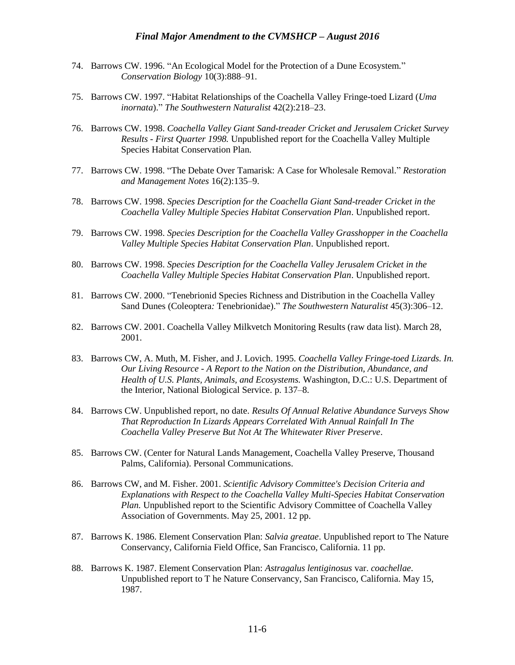- 74. Barrows CW. 1996. "An Ecological Model for the Protection of a Dune Ecosystem." *Conservation Biology* 10(3):888–91.
- 75. Barrows CW. 1997. "Habitat Relationships of the Coachella Valley Fringe-toed Lizard (*Uma inornata*)." *The Southwestern Naturalist* 42(2):218–23.
- 76. Barrows CW. 1998. *Coachella Valley Giant Sand-treader Cricket and Jerusalem Cricket Survey Results - First Quarter 1998.* Unpublished report for the Coachella Valley Multiple Species Habitat Conservation Plan.
- 77. Barrows CW. 1998. "The Debate Over Tamarisk: A Case for Wholesale Removal." *Restoration and Management Notes* 16(2):135–9.
- 78. Barrows CW. 1998. *Species Description for the Coachella Giant Sand-treader Cricket in the Coachella Valley Multiple Species Habitat Conservation Plan*. Unpublished report.
- 79. Barrows CW. 1998. *Species Description for the Coachella Valley Grasshopper in the Coachella Valley Multiple Species Habitat Conservation Plan*. Unpublished report.
- 80. Barrows CW. 1998. *Species Description for the Coachella Valley Jerusalem Cricket in the Coachella Valley Multiple Species Habitat Conservation Plan*. Unpublished report.
- 81. Barrows CW. 2000. "Tenebrionid Species Richness and Distribution in the Coachella Valley Sand Dunes (Coleoptera*:* Tenebrionidae)." *The Southwestern Naturalist* 45(3):306–12.
- 82. Barrows CW. 2001. Coachella Valley Milkvetch Monitoring Results (raw data list). March 28, 2001.
- 83. Barrows CW, A. Muth, M. Fisher, and J. Lovich. 1995. *Coachella Valley Fringe-toed Lizards. In. Our Living Resource - A Report to the Nation on the Distribution, Abundance, and Health of U.S. Plants, Animals, and Ecosystems.* Washington, D.C.: U.S. Department of the Interior, National Biological Service. p. 137–8.
- 84. Barrows CW. Unpublished report, no date. *Results Of Annual Relative Abundance Surveys Show That Reproduction In Lizards Appears Correlated With Annual Rainfall In The Coachella Valley Preserve But Not At The Whitewater River Preserve*.
- 85. Barrows CW. (Center for Natural Lands Management, Coachella Valley Preserve, Thousand Palms, California). Personal Communications.
- 86. Barrows CW, and M. Fisher. 2001. *Scientific Advisory Committee's Decision Criteria and Explanations with Respect to the Coachella Valley Multi-Species Habitat Conservation Plan.* Unpublished report to the Scientific Advisory Committee of Coachella Valley Association of Governments. May 25, 2001. 12 pp.
- 87. Barrows K. 1986. Element Conservation Plan: *Salvia greatae*. Unpublished report to The Nature Conservancy, California Field Office, San Francisco, California. 11 pp.
- 88. Barrows K. 1987. Element Conservation Plan: *Astragalus lentiginosus* var. *coachellae*. Unpublished report to T he Nature Conservancy, San Francisco, California. May 15, 1987.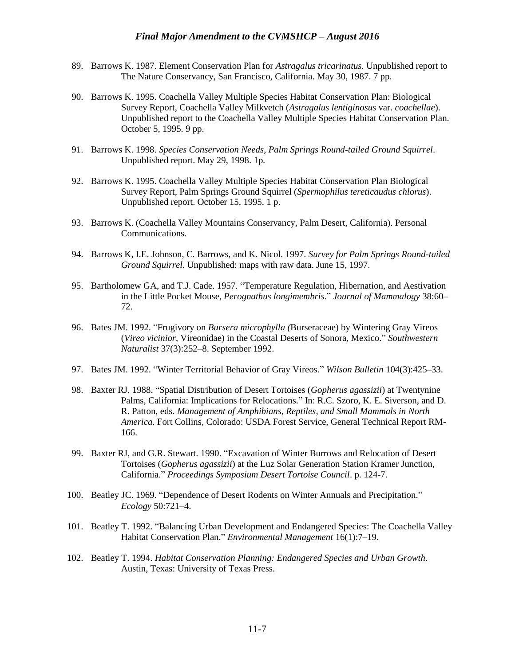- 89. Barrows K. 1987. Element Conservation Plan for *Astragalus tricarinatus.* Unpublished report to The Nature Conservancy, San Francisco, California. May 30, 1987. 7 pp.
- 90. Barrows K. 1995. Coachella Valley Multiple Species Habitat Conservation Plan: Biological Survey Report, Coachella Valley Milkvetch (*Astragalus lentiginosus* var. *coachellae*). Unpublished report to the Coachella Valley Multiple Species Habitat Conservation Plan. October 5, 1995. 9 pp.
- 91. Barrows K. 1998. *Species Conservation Needs, Palm Springs Round-tailed Ground Squirrel*. Unpublished report. May 29, 1998. 1p.
- 92. Barrows K. 1995. Coachella Valley Multiple Species Habitat Conservation Plan Biological Survey Report, Palm Springs Ground Squirrel (*Spermophilus tereticaudus chlorus*). Unpublished report. October 15, 1995. 1 p.
- 93. Barrows K. (Coachella Valley Mountains Conservancy, Palm Desert, California). Personal Communications.
- 94. Barrows K, I.E. Johnson, C. Barrows, and K. Nicol. 1997. *Survey for Palm Springs Round-tailed Ground Squirrel.* Unpublished: maps with raw data. June 15, 1997.
- 95. Bartholomew GA, and T.J. Cade. 1957. "Temperature Regulation, Hibernation, and Aestivation in the Little Pocket Mouse, *Perognathus longimembris*." *Journal of Mammalogy* 38:60– 72.
- 96. Bates JM. 1992. "Frugivory on *Bursera microphylla (*Burseraceae) by Wintering Gray Vireos (*Vireo vicinior*, Vireonidae) in the Coastal Deserts of Sonora, Mexico." *Southwestern Naturalist* 37(3):252–8. September 1992.
- 97. Bates JM. 1992. "Winter Territorial Behavior of Gray Vireos." *Wilson Bulletin* 104(3):425–33.
- 98. Baxter RJ. 1988. "Spatial Distribution of Desert Tortoises (*Gopherus agassizii*) at Twentynine Palms, California: Implications for Relocations." In: R.C. Szoro, K. E. Siverson, and D. R. Patton, eds. *Management of Amphibians, Reptiles, and Small Mammals in North America*. Fort Collins, Colorado: USDA Forest Service, General Technical Report RM-166.
- 99. Baxter RJ, and G.R. Stewart. 1990. "Excavation of Winter Burrows and Relocation of Desert Tortoises (*Gopherus agassizii*) at the Luz Solar Generation Station Kramer Junction, California." *Proceedings Symposium Desert Tortoise Council*. p. 124-7.
- 100. Beatley JC. 1969. "Dependence of Desert Rodents on Winter Annuals and Precipitation." *Ecology* 50:721–4.
- 101. Beatley T. 1992. "Balancing Urban Development and Endangered Species: The Coachella Valley Habitat Conservation Plan." *Environmental Management* 16(1):7–19.
- 102. Beatley T. 1994. *Habitat Conservation Planning: Endangered Species and Urban Growth*. Austin, Texas: University of Texas Press.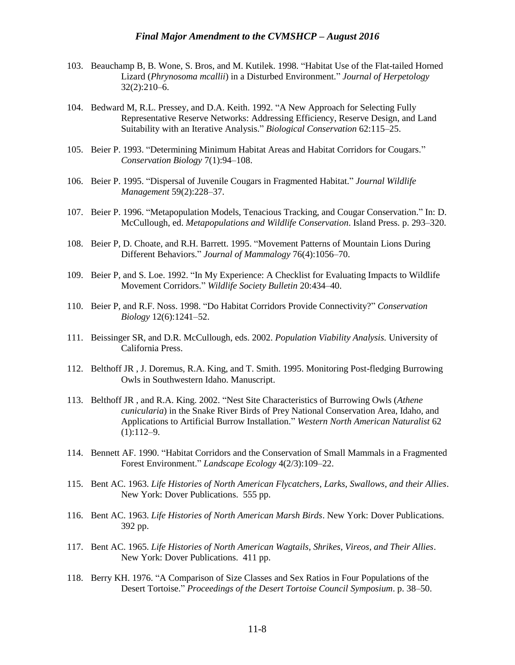- 103. Beauchamp B, B. Wone, S. Bros, and M. Kutilek. 1998. "Habitat Use of the Flat-tailed Horned Lizard (*Phrynosoma mcallii*) in a Disturbed Environment." *Journal of Herpetology* 32(2):210–6.
- 104. Bedward M, R.L. Pressey, and D.A. Keith. 1992. "A New Approach for Selecting Fully Representative Reserve Networks: Addressing Efficiency, Reserve Design, and Land Suitability with an Iterative Analysis." *Biological Conservation* 62:115–25.
- 105. Beier P. 1993. "Determining Minimum Habitat Areas and Habitat Corridors for Cougars." *Conservation Biology* 7(1):94–108.
- 106. Beier P. 1995. "Dispersal of Juvenile Cougars in Fragmented Habitat." *Journal Wildlife Management* 59(2):228–37.
- 107. Beier P. 1996. "Metapopulation Models, Tenacious Tracking, and Cougar Conservation." In: D. McCullough, ed. *Metapopulations and Wildlife Conservation*. Island Press. p. 293–320.
- 108. Beier P, D. Choate, and R.H. Barrett. 1995. "Movement Patterns of Mountain Lions During Different Behaviors." *Journal of Mammalogy* 76(4):1056–70.
- 109. Beier P, and S. Loe. 1992. "In My Experience: A Checklist for Evaluating Impacts to Wildlife Movement Corridors." *Wildlife Society Bulletin* 20:434–40.
- 110. Beier P, and R.F. Noss. 1998. "Do Habitat Corridors Provide Connectivity?" *Conservation Biology* 12(6):1241–52.
- 111. Beissinger SR, and D.R. McCullough, eds. 2002. *Population Viability Analysis.* University of California Press.
- 112. Belthoff JR , J. Doremus, R.A. King, and T. Smith. 1995. Monitoring Post-fledging Burrowing Owls in Southwestern Idaho. Manuscript.
- 113. Belthoff JR , and R.A. King. 2002. "Nest Site Characteristics of Burrowing Owls (*Athene cunicularia*) in the Snake River Birds of Prey National Conservation Area, Idaho, and Applications to Artificial Burrow Installation." *Western North American Naturalist* 62  $(1):112-9.$
- 114. Bennett AF. 1990. "Habitat Corridors and the Conservation of Small Mammals in a Fragmented Forest Environment." *Landscape Ecology* 4(2/3):109–22.
- 115. Bent AC. 1963. *Life Histories of North American Flycatchers, Larks, Swallows, and their Allies*. New York: Dover Publications. 555 pp.
- 116. Bent AC. 1963. *Life Histories of North American Marsh Birds*. New York: Dover Publications. 392 pp.
- 117. Bent AC. 1965. *Life Histories of North American Wagtails, Shrikes, Vireos, and Their Allies*. New York: Dover Publications. 411 pp.
- 118. Berry KH. 1976. "A Comparison of Size Classes and Sex Ratios in Four Populations of the Desert Tortoise." *Proceedings of the Desert Tortoise Council Symposium*. p. 38–50.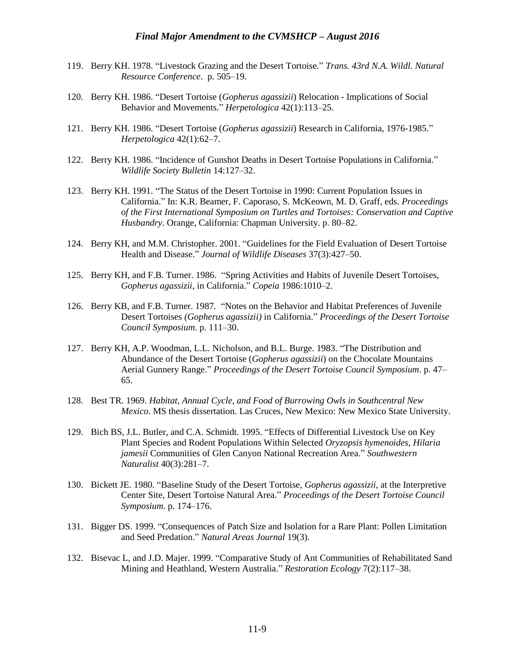- 119. Berry KH. 1978. "Livestock Grazing and the Desert Tortoise." *Trans. 43rd N.A. Wildl. Natural Resource Conference*. p. 505–19.
- 120. Berry KH. 1986. "Desert Tortoise (*Gopherus agassizii*) Relocation Implications of Social Behavior and Movements." *Herpetologica* 42(1):113–25.
- 121. Berry KH. 1986. "Desert Tortoise (*Gopherus agassizii*) Research in California, 1976-1985." *Herpetologica* 42(1):62–7.
- 122. Berry KH. 1986. "Incidence of Gunshot Deaths in Desert Tortoise Populations in California." *Wildlife Society Bulletin* 14:127–32.
- 123. Berry KH. 1991. "The Status of the Desert Tortoise in 1990: Current Population Issues in California." In: K.R. Beamer, F. Caporaso, S. McKeown, M. D. Graff, eds. *Proceedings of the First International Symposium on Turtles and Tortoises: Conservation and Captive Husbandry*. Orange, California: Chapman University. p. 80–82.
- 124. Berry KH, and M.M. Christopher. 2001. "Guidelines for the Field Evaluation of Desert Tortoise Health and Disease." *Journal of Wildlife Diseases* 37(3):427–50.
- 125. Berry KH, and F.B. Turner. 1986. "Spring Activities and Habits of Juvenile Desert Tortoises, *Gopherus agassizii*, in California." *Copeia* 1986:1010–2.
- 126. Berry KB, and F.B. Turner. 1987. "Notes on the Behavior and Habitat Preferences of Juvenile Desert Tortoises *(Gopherus agassizii)* in California." *Proceedings of the Desert Tortoise Council Symposium*. p. 111–30.
- 127. Berry KH, A.P. Woodman, L.L. Nicholson, and B.L. Burge. 1983. "The Distribution and Abundance of the Desert Tortoise (*Gopherus agassizii*) on the Chocolate Mountains Aerial Gunnery Range." *Proceedings of the Desert Tortoise Council Symposium*. p. 47– 65.
- 128. Best TR. 1969. *Habitat, Annual Cycle, and Food of Burrowing Owls in Southcentral New Mexico*. MS thesis dissertation. Las Cruces, New Mexico: New Mexico State University.
- 129. Bich BS, J.L. Butler, and C.A. Schmidt. 1995. "Effects of Differential Livestock Use on Key Plant Species and Rodent Populations Within Selected *Oryzopsis hymenoides, Hilaria jamesii* Communities of Glen Canyon National Recreation Area." *Southwestern Naturalist* 40(3):281–7.
- 130. Bickett JE. 1980. "Baseline Study of the Desert Tortoise, *Gopherus agassizii,* at the Interpretive Center Site, Desert Tortoise Natural Area." *Proceedings of the Desert Tortoise Council Symposium*. p. 174–176.
- 131. Bigger DS. 1999. "Consequences of Patch Size and Isolation for a Rare Plant: Pollen Limitation and Seed Predation." *Natural Areas Journal* 19(3).
- 132. Bisevac L, and J.D. Majer. 1999. "Comparative Study of Ant Communities of Rehabilitated Sand Mining and Heathland, Western Australia." *Restoration Ecology* 7(2):117–38.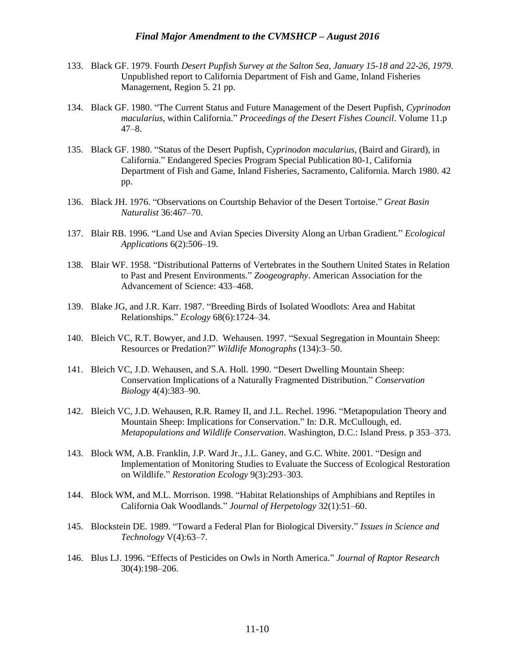- 133. Black GF. 1979. Fourth *Desert Pupfish Survey at the Salton Sea, January 15-18 and 22-26, 1979*. Unpublished report to California Department of Fish and Game, Inland Fisheries Management, Region 5. 21 pp.
- 134. Black GF. 1980. "The Current Status and Future Management of the Desert Pupfish, *Cyprinodon macularius*, within California." *Proceedings of the Desert Fishes Council*. Volume 11.p 47–8.
- 135. Black GF. 1980. "Status of the Desert Pupfish, C*yprinodon macularius,* (Baird and Girard), in California." Endangered Species Program Special Publication 80-1, California Department of Fish and Game, Inland Fisheries, Sacramento, California. March 1980. 42 pp.
- 136. Black JH. 1976. "Observations on Courtship Behavior of the Desert Tortoise." *Great Basin Naturalist* 36:467–70.
- 137. Blair RB. 1996. "Land Use and Avian Species Diversity Along an Urban Gradient." *Ecological Applications* 6(2):506–19.
- 138. Blair WF. 1958. "Distributional Patterns of Vertebrates in the Southern United States in Relation to Past and Present Environments." *Zoogeography*. American Association for the Advancement of Science: 433–468.
- 139. Blake JG, and J.R. Karr. 1987. "Breeding Birds of Isolated Woodlots: Area and Habitat Relationships." *Ecology* 68(6):1724–34.
- 140. Bleich VC, R.T. Bowyer, and J.D. Wehausen. 1997. "Sexual Segregation in Mountain Sheep: Resources or Predation?" *Wildlife Monographs* (134):3–50.
- 141. Bleich VC, J.D. Wehausen, and S.A. Holl. 1990. "Desert Dwelling Mountain Sheep: Conservation Implications of a Naturally Fragmented Distribution." *Conservation Biology* 4(4):383–90.
- 142. Bleich VC, J.D. Wehausen, R.R. Ramey II, and J.L. Rechel. 1996. "Metapopulation Theory and Mountain Sheep: Implications for Conservation." In: D.R. McCullough, ed. *Metapopulations and Wildlife Conservation*. Washington, D.C.: Island Press. p 353–373.
- 143. Block WM, A.B. Franklin, J.P. Ward Jr., J.L. Ganey, and G.C. White. 2001. "Design and Implementation of Monitoring Studies to Evaluate the Success of Ecological Restoration on Wildlife." *Restoration Ecology* 9(3):293–303.
- 144. Block WM, and M.L. Morrison. 1998. "Habitat Relationships of Amphibians and Reptiles in California Oak Woodlands." *Journal of Herpetology* 32(1):51–60.
- 145. Blockstein DE. 1989. "Toward a Federal Plan for Biological Diversity." *Issues in Science and Technology* V(4):63–7.
- 146. Blus LJ. 1996. "Effects of Pesticides on Owls in North America." *Journal of Raptor Research* 30(4):198–206.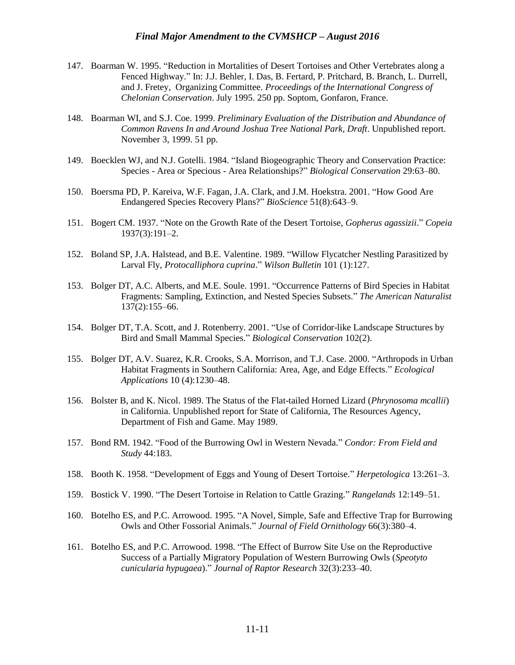- 147. Boarman W. 1995. "Reduction in Mortalities of Desert Tortoises and Other Vertebrates along a Fenced Highway." In: J.J. Behler, I. Das, B. Fertard, P. Pritchard, B. Branch, L. Durrell, and J. Fretey, Organizing Committee. *Proceedings of the International Congress of Chelonian Conservation*. July 1995. 250 pp. Soptom, Gonfaron, France.
- 148. Boarman WI, and S.J. Coe. 1999. *Preliminary Evaluation of the Distribution and Abundance of Common Ravens In and Around Joshua Tree National Park, Draft*. Unpublished report. November 3, 1999. 51 pp.
- 149. Boecklen WJ, and N.J. Gotelli. 1984. "Island Biogeographic Theory and Conservation Practice: Species - Area or Specious - Area Relationships?" *Biological Conservation* 29:63–80.
- 150. Boersma PD, P. Kareiva, W.F. Fagan, J.A. Clark, and J.M. Hoekstra. 2001. "How Good Are Endangered Species Recovery Plans?" *BioScience* 51(8):643–9.
- 151. Bogert CM. 1937. "Note on the Growth Rate of the Desert Tortoise, *Gopherus agassizii*." *Copeia* 1937(3):191–2.
- 152. Boland SP, J.A. Halstead, and B.E. Valentine. 1989. "Willow Flycatcher Nestling Parasitized by Larval Fly, *Protocalliphora cuprina*." *Wilson Bulletin* 101 (1):127.
- 153. Bolger DT, A.C. Alberts, and M.E. Soule. 1991. "Occurrence Patterns of Bird Species in Habitat Fragments: Sampling, Extinction, and Nested Species Subsets." *The American Naturalist* 137(2):155–66.
- 154. Bolger DT, T.A. Scott, and J. Rotenberry. 2001. "Use of Corridor-like Landscape Structures by Bird and Small Mammal Species." *Biological Conservation* 102(2).
- 155. Bolger DT, A.V. Suarez, K.R. Crooks, S.A. Morrison, and T.J. Case. 2000. "Arthropods in Urban Habitat Fragments in Southern California: Area, Age, and Edge Effects." *Ecological Applications* 10 (4):1230–48.
- 156. Bolster B, and K. Nicol. 1989. The Status of the Flat-tailed Horned Lizard (*Phrynosoma mcallii*) in California. Unpublished report for State of California, The Resources Agency, Department of Fish and Game. May 1989.
- 157. Bond RM. 1942. "Food of the Burrowing Owl in Western Nevada." *Condor: From Field and Study* 44:183.
- 158. Booth K. 1958. "Development of Eggs and Young of Desert Tortoise." *Herpetologica* 13:261–3.
- 159. Bostick V. 1990. "The Desert Tortoise in Relation to Cattle Grazing." *Rangelands* 12:149–51.
- 160. Botelho ES, and P.C. Arrowood. 1995. "A Novel, Simple, Safe and Effective Trap for Burrowing Owls and Other Fossorial Animals." *Journal of Field Ornithology* 66(3):380–4.
- 161. Botelho ES, and P.C. Arrowood. 1998. "The Effect of Burrow Site Use on the Reproductive Success of a Partially Migratory Population of Western Burrowing Owls (*Speotyto cunicularia hypugaea*)." *Journal of Raptor Research* 32(3):233–40.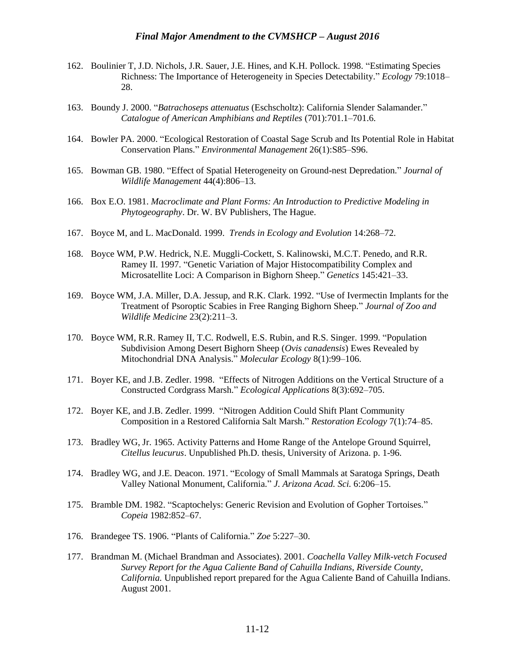- 162. Boulinier T, J.D. Nichols, J.R. Sauer, J.E. Hines, and K.H. Pollock. 1998. "Estimating Species Richness: The Importance of Heterogeneity in Species Detectability." *Ecology* 79:1018– 28.
- 163. Boundy J. 2000. "*Batrachoseps attenuatus* (Eschscholtz): California Slender Salamander." *Catalogue of American Amphibians and Reptiles* (701):701.1–701.6.
- 164. Bowler PA. 2000. "Ecological Restoration of Coastal Sage Scrub and Its Potential Role in Habitat Conservation Plans." *Environmental Management* 26(1):S85–S96.
- 165. Bowman GB. 1980. "Effect of Spatial Heterogeneity on Ground-nest Depredation." *Journal of Wildlife Management* 44(4):806–13.
- 166. Box E.O. 1981. *Macroclimate and Plant Forms: An Introduction to Predictive Modeling in Phytogeography*. Dr. W. BV Publishers, The Hague.
- 167. Boyce M, and L. MacDonald. 1999. *Trends in Ecology and Evolution* 14:268–72.
- 168. Boyce WM, P.W. Hedrick, N.E. Muggli-Cockett, S. Kalinowski, M.C.T. Penedo, and R.R. Ramey II. 1997. "Genetic Variation of Major Histocompatibility Complex and Microsatellite Loci: A Comparison in Bighorn Sheep." *Genetics* 145:421–33.
- 169. Boyce WM, J.A. Miller, D.A. Jessup, and R.K. Clark. 1992. "Use of Ivermectin Implants for the Treatment of Psoroptic Scabies in Free Ranging Bighorn Sheep." *Journal of Zoo and Wildlife Medicine* 23(2):211–3.
- 170. Boyce WM, R.R. Ramey II, T.C. Rodwell, E.S. Rubin, and R.S. Singer. 1999. "Population Subdivision Among Desert Bighorn Sheep (*Ovis canadensis*) Ewes Revealed by Mitochondrial DNA Analysis." *Molecular Ecology* 8(1):99–106.
- 171. Boyer KE, and J.B. Zedler. 1998. "Effects of Nitrogen Additions on the Vertical Structure of a Constructed Cordgrass Marsh." *Ecological Applications* 8(3):692–705.
- 172. Boyer KE, and J.B. Zedler. 1999. "Nitrogen Addition Could Shift Plant Community Composition in a Restored California Salt Marsh." *Restoration Ecology* 7(1):74–85.
- 173. Bradley WG, Jr. 1965. Activity Patterns and Home Range of the Antelope Ground Squirrel, *Citellus leucurus*. Unpublished Ph.D. thesis, University of Arizona. p. 1-96.
- 174. Bradley WG, and J.E. Deacon. 1971. "Ecology of Small Mammals at Saratoga Springs, Death Valley National Monument, California." *J. Arizona Acad. Sci.* 6:206–15.
- 175. Bramble DM. 1982. "Scaptochelys: Generic Revision and Evolution of Gopher Tortoises." *Copeia* 1982:852–67.
- 176. Brandegee TS. 1906. "Plants of California." *Zoe* 5:227–30.
- 177. Brandman M. (Michael Brandman and Associates). 2001. *Coachella Valley Milk-vetch Focused Survey Report for the Agua Caliente Band of Cahuilla Indians, Riverside County, California.* Unpublished report prepared for the Agua Caliente Band of Cahuilla Indians. August 2001.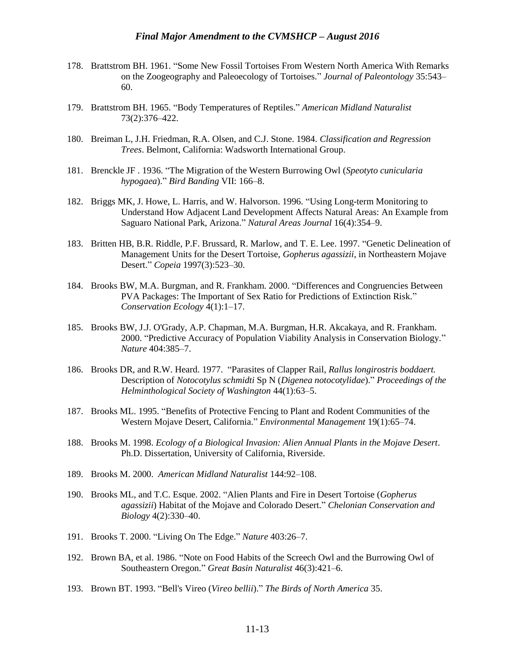- 178. Brattstrom BH. 1961. "Some New Fossil Tortoises From Western North America With Remarks on the Zoogeography and Paleoecology of Tortoises." *Journal of Paleontology* 35:543– 60.
- 179. Brattstrom BH. 1965. "Body Temperatures of Reptiles." *American Midland Naturalist* 73(2):376–422.
- 180. Breiman L, J.H. Friedman, R.A. Olsen, and C.J. Stone. 1984. *Classification and Regression Trees*. Belmont, California: Wadsworth International Group.
- 181. Brenckle JF . 1936. "The Migration of the Western Burrowing Owl (*Speotyto cunicularia hypogaea*)." *Bird Banding* VII: 166–8.
- 182. Briggs MK, J. Howe, L. Harris, and W. Halvorson. 1996. "Using Long-term Monitoring to Understand How Adjacent Land Development Affects Natural Areas: An Example from Saguaro National Park, Arizona." *Natural Areas Journal* 16(4):354–9.
- 183. Britten HB, B.R. Riddle, P.F. Brussard, R. Marlow, and T. E. Lee. 1997. "Genetic Delineation of Management Units for the Desert Tortoise, *Gopherus agassizii*, in Northeastern Mojave Desert." *Copeia* 1997(3):523–30.
- 184. Brooks BW, M.A. Burgman, and R. Frankham. 2000. "Differences and Congruencies Between PVA Packages: The Important of Sex Ratio for Predictions of Extinction Risk." *Conservation Ecology* 4(1):1–17.
- 185. Brooks BW, J.J. O'Grady, A.P. Chapman, M.A. Burgman, H.R. Akcakaya, and R. Frankham. 2000. "Predictive Accuracy of Population Viability Analysis in Conservation Biology." *Nature* 404:385–7.
- 186. Brooks DR, and R.W. Heard. 1977. "Parasites of Clapper Rail, *Rallus longirostris boddaert.* Description of *Notocotylus schmidti* Sp N (*Digenea notocotylidae*)." *Proceedings of the Helminthological Society of Washington* 44(1):63–5.
- 187. Brooks ML. 1995. "Benefits of Protective Fencing to Plant and Rodent Communities of the Western Mojave Desert, California." *Environmental Management* 19(1):65–74.
- 188. Brooks M. 1998. *Ecology of a Biological Invasion: Alien Annual Plants in the Mojave Desert*. Ph.D. Dissertation, University of California, Riverside.
- 189. Brooks M. 2000. *American Midland Naturalist* 144:92–108.
- 190. Brooks ML, and T.C. Esque. 2002. "Alien Plants and Fire in Desert Tortoise (*Gopherus agassizii*) Habitat of the Mojave and Colorado Desert." *Chelonian Conservation and Biology* 4(2):330–40.
- 191. Brooks T. 2000. "Living On The Edge." *Nature* 403:26–7.
- 192. Brown BA, et al. 1986. "Note on Food Habits of the Screech Owl and the Burrowing Owl of Southeastern Oregon." *Great Basin Naturalist* 46(3):421–6.
- 193. Brown BT. 1993. "Bell's Vireo (*Vireo bellii*)." *The Birds of North America* 35.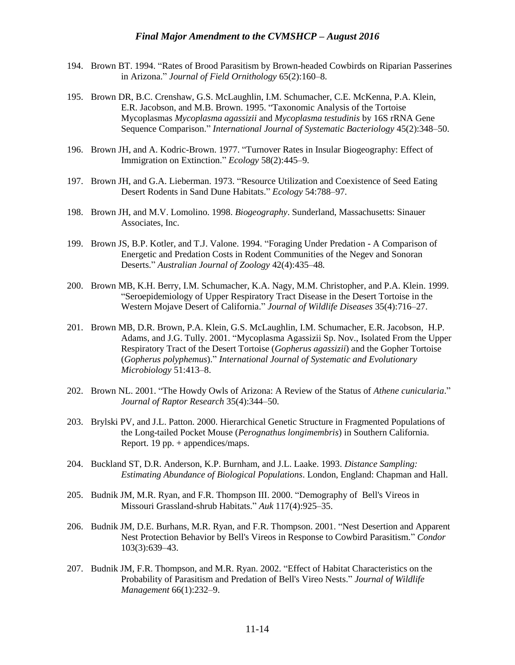- 194. Brown BT. 1994. "Rates of Brood Parasitism by Brown-headed Cowbirds on Riparian Passerines in Arizona." *Journal of Field Ornithology* 65(2):160–8.
- 195. Brown DR, B.C. Crenshaw, G.S. McLaughlin, I.M. Schumacher, C.E. McKenna, P.A. Klein, E.R. Jacobson, and M.B. Brown. 1995. "Taxonomic Analysis of the Tortoise Mycoplasmas *Mycoplasma agassizii* and *Mycoplasma testudinis* by 16S rRNA Gene Sequence Comparison." *International Journal of Systematic Bacteriology* 45(2):348–50.
- 196. Brown JH, and A. Kodric-Brown. 1977. "Turnover Rates in Insular Biogeography: Effect of Immigration on Extinction." *Ecology* 58(2):445–9.
- 197. Brown JH, and G.A. Lieberman. 1973. "Resource Utilization and Coexistence of Seed Eating Desert Rodents in Sand Dune Habitats." *Ecology* 54:788–97.
- 198. Brown JH, and M.V. Lomolino. 1998. *Biogeography*. Sunderland, Massachusetts: Sinauer Associates, Inc.
- 199. Brown JS, B.P. Kotler, and T.J. Valone. 1994. "Foraging Under Predation A Comparison of Energetic and Predation Costs in Rodent Communities of the Negev and Sonoran Deserts." *Australian Journal of Zoology* 42(4):435–48.
- 200. Brown MB, K.H. Berry, I.M. Schumacher, K.A. Nagy, M.M. Christopher, and P.A. Klein. 1999. "Seroepidemiology of Upper Respiratory Tract Disease in the Desert Tortoise in the Western Mojave Desert of California." *Journal of Wildlife Diseases* 35(4):716–27.
- 201. Brown MB, D.R. Brown, P.A. Klein, G.S. McLaughlin, I.M. Schumacher, E.R. Jacobson, H.P. Adams, and J.G. Tully. 2001. "Mycoplasma Agassizii Sp. Nov., Isolated From the Upper Respiratory Tract of the Desert Tortoise (*Gopherus agassizii*) and the Gopher Tortoise (*Gopherus polyphemus*)." *International Journal of Systematic and Evolutionary Microbiology* 51:413–8.
- 202. Brown NL. 2001. "The Howdy Owls of Arizona: A Review of the Status of *Athene cunicularia*." *Journal of Raptor Research* 35(4):344–50.
- 203. Brylski PV, and J.L. Patton. 2000. Hierarchical Genetic Structure in Fragmented Populations of the Long-tailed Pocket Mouse (*Perognathus longimembris*) in Southern California. Report. 19 pp. + appendices/maps.
- 204. Buckland ST, D.R. Anderson, K.P. Burnham, and J.L. Laake. 1993. *Distance Sampling: Estimating Abundance of Biological Populations*. London, England: Chapman and Hall.
- 205. Budnik JM, M.R. Ryan, and F.R. Thompson III. 2000. "Demography of Bell's Vireos in Missouri Grassland-shrub Habitats." *Auk* 117(4):925–35.
- 206. Budnik JM, D.E. Burhans, M.R. Ryan, and F.R. Thompson. 2001. "Nest Desertion and Apparent Nest Protection Behavior by Bell's Vireos in Response to Cowbird Parasitism." *Condor* 103(3):639–43.
- 207. Budnik JM, F.R. Thompson, and M.R. Ryan. 2002. "Effect of Habitat Characteristics on the Probability of Parasitism and Predation of Bell's Vireo Nests." *Journal of Wildlife Management* 66(1):232–9.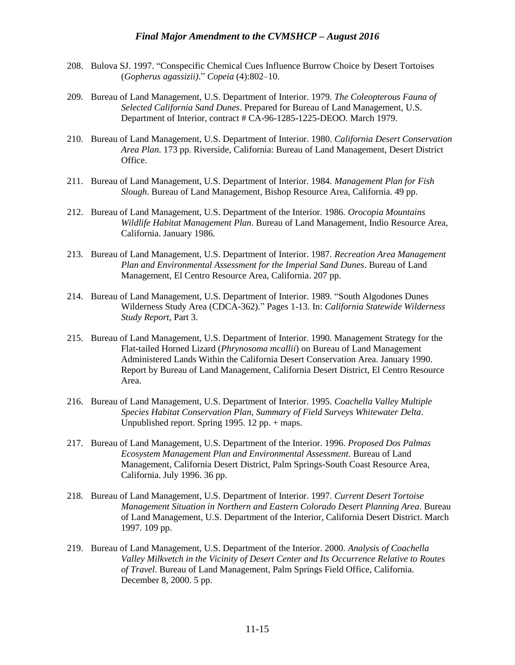- 208. Bulova SJ. 1997. "Conspecific Chemical Cues Influence Burrow Choice by Desert Tortoises (*Gopherus agassizii)*." *Copeia* (4):802–10.
- 209. Bureau of Land Management, U.S. Department of Interior. 1979. *The Coleopterous Fauna of Selected California Sand Dunes*. Prepared for Bureau of Land Management, U.S. Department of Interior, contract # CA-96-1285-1225-DEOO. March 1979.
- 210. Bureau of Land Management, U.S. Department of Interior. 1980. *California Desert Conservation Area Plan*. 173 pp. Riverside, California: Bureau of Land Management, Desert District Office.
- 211. Bureau of Land Management, U.S. Department of Interior. 1984. *Management Plan for Fish Slough*. Bureau of Land Management, Bishop Resource Area, California. 49 pp.
- 212. Bureau of Land Management, U.S. Department of the Interior. 1986. *Orocopia Mountains Wildlife Habitat Management Plan*. Bureau of Land Management, Indio Resource Area, California. January 1986.
- 213. Bureau of Land Management, U.S. Department of Interior. 1987. *Recreation Area Management Plan and Environmental Assessment for the Imperial Sand Dunes*. Bureau of Land Management, El Centro Resource Area, California. 207 pp.
- 214. Bureau of Land Management, U.S. Department of Interior. 1989. "South Algodones Dunes Wilderness Study Area (CDCA-362)." Pages 1-13. In: *California Statewide Wilderness Study Report*, Part 3.
- 215. Bureau of Land Management, U.S. Department of Interior. 1990. Management Strategy for the Flat-tailed Horned Lizard (*Phrynosoma mcallii*) on Bureau of Land Management Administered Lands Within the California Desert Conservation Area. January 1990. Report by Bureau of Land Management, California Desert District, El Centro Resource Area.
- 216. Bureau of Land Management, U.S. Department of Interior. 1995. *Coachella Valley Multiple Species Habitat Conservation Plan, Summary of Field Surveys Whitewater Delta*. Unpublished report. Spring 1995. 12 pp. + maps.
- 217. Bureau of Land Management, U.S. Department of the Interior. 1996. *Proposed Dos Palmas Ecosystem Management Plan and Environmental Assessment*. Bureau of Land Management, California Desert District, Palm Springs-South Coast Resource Area, California. July 1996. 36 pp.
- 218. Bureau of Land Management, U.S. Department of Interior. 1997. *Current Desert Tortoise Management Situation in Northern and Eastern Colorado Desert Planning Area*. Bureau of Land Management, U.S. Department of the Interior, California Desert District. March 1997. 109 pp.
- 219. Bureau of Land Management, U.S. Department of the Interior. 2000. *Analysis of Coachella Valley Milkvetch in the Vicinity of Desert Center and Its Occurrence Relative to Routes of Travel*. Bureau of Land Management, Palm Springs Field Office, California. December 8, 2000. 5 pp.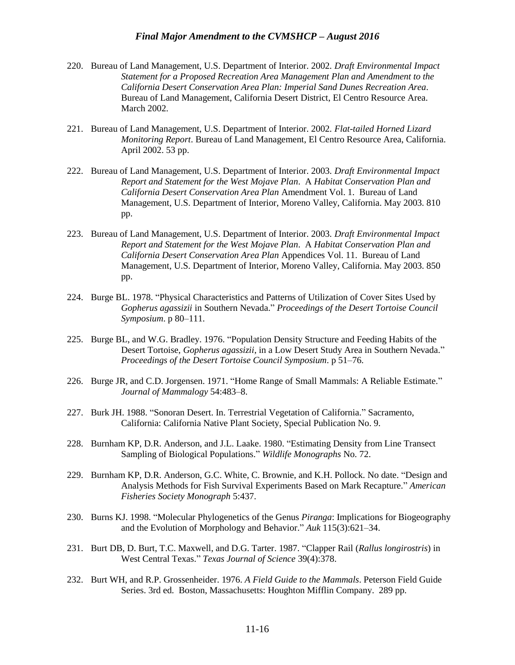- 220. Bureau of Land Management, U.S. Department of Interior. 2002. *Draft Environmental Impact Statement for a Proposed Recreation Area Management Plan and Amendment to the California Desert Conservation Area Plan: Imperial Sand Dunes Recreation Area*. Bureau of Land Management, California Desert District, El Centro Resource Area. March 2002.
- 221. Bureau of Land Management, U.S. Department of Interior. 2002. *Flat-tailed Horned Lizard Monitoring Report*. Bureau of Land Management, El Centro Resource Area, California. April 2002. 53 pp.
- 222. Bureau of Land Management, U.S. Department of Interior. 2003. *Draft Environmental Impact Report and Statement for the West Mojave Plan*. A *Habitat Conservation Plan and California Desert Conservation Area Plan* Amendment Vol. 1. Bureau of Land Management, U.S. Department of Interior, Moreno Valley, California. May 2003. 810 pp.
- 223. Bureau of Land Management, U.S. Department of Interior. 2003. *Draft Environmental Impact Report and Statement for the West Mojave Plan*. A *Habitat Conservation Plan and California Desert Conservation Area Plan* Appendices Vol. 11. Bureau of Land Management, U.S. Department of Interior, Moreno Valley, California. May 2003. 850 pp.
- 224. Burge BL. 1978. "Physical Characteristics and Patterns of Utilization of Cover Sites Used by *Gopherus agassizii* in Southern Nevada." *Proceedings of the Desert Tortoise Council Symposium*. p 80–111.
- 225. Burge BL, and W.G. Bradley. 1976. "Population Density Structure and Feeding Habits of the Desert Tortoise, *Gopherus agassizii*, in a Low Desert Study Area in Southern Nevada." *Proceedings of the Desert Tortoise Council Symposium*. p 51–76.
- 226. Burge JR, and C.D. Jorgensen. 1971. "Home Range of Small Mammals: A Reliable Estimate." *Journal of Mammalogy* 54:483–8.
- 227. Burk JH. 1988. "Sonoran Desert. In. Terrestrial Vegetation of California." Sacramento, California: California Native Plant Society, Special Publication No. 9.
- 228. Burnham KP, D.R. Anderson, and J.L. Laake. 1980. "Estimating Density from Line Transect Sampling of Biological Populations." *Wildlife Monographs* No. 72.
- 229. Burnham KP, D.R. Anderson, G.C. White, C. Brownie, and K.H. Pollock. No date. "Design and Analysis Methods for Fish Survival Experiments Based on Mark Recapture." *American Fisheries Society Monograph* 5:437.
- 230. Burns KJ. 1998. "Molecular Phylogenetics of the Genus *Piranga*: Implications for Biogeography and the Evolution of Morphology and Behavior." *Auk* 115(3):621–34.
- 231. Burt DB, D. Burt, T.C. Maxwell, and D.G. Tarter. 1987. "Clapper Rail (*Rallus longirostris*) in West Central Texas." *Texas Journal of Science* 39(4):378.
- 232. Burt WH, and R.P. Grossenheider. 1976. *A Field Guide to the Mammals*. Peterson Field Guide Series. 3rd ed. Boston, Massachusetts: Houghton Mifflin Company. 289 pp.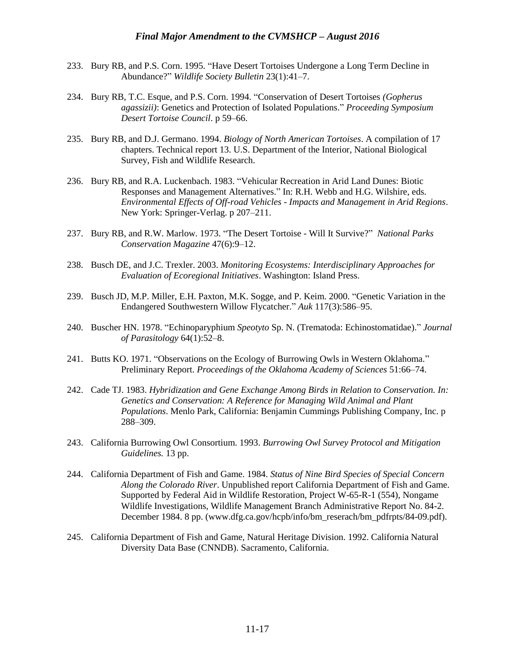- 233. Bury RB, and P.S. Corn. 1995. "Have Desert Tortoises Undergone a Long Term Decline in Abundance?" *Wildlife Society Bulletin* 23(1):41–7.
- 234. Bury RB, T.C. Esque, and P.S. Corn. 1994. "Conservation of Desert Tortoises *(Gopherus agassizii)*: Genetics and Protection of Isolated Populations." *Proceeding Symposium Desert Tortoise Council*. p 59–66.
- 235. Bury RB, and D.J. Germano. 1994. *Biology of North American Tortoises*. A compilation of 17 chapters. Technical report 13. U.S. Department of the Interior, National Biological Survey, Fish and Wildlife Research.
- 236. Bury RB, and R.A. Luckenbach. 1983. "Vehicular Recreation in Arid Land Dunes: Biotic Responses and Management Alternatives." In: R.H. Webb and H.G. Wilshire, eds. *Environmental Effects of Off-road Vehicles - Impacts and Management in Arid Regions*. New York: Springer-Verlag. p 207–211.
- 237. Bury RB, and R.W. Marlow. 1973. "The Desert Tortoise Will It Survive?" *National Parks Conservation Magazine* 47(6):9–12.
- 238. Busch DE, and J.C. Trexler. 2003. *Monitoring Ecosystems: Interdisciplinary Approaches for Evaluation of Ecoregional Initiatives*. Washington: Island Press.
- 239. Busch JD, M.P. Miller, E.H. Paxton, M.K. Sogge, and P. Keim. 2000. "Genetic Variation in the Endangered Southwestern Willow Flycatcher." *Auk* 117(3):586–95.
- 240. Buscher HN. 1978. "Echinoparyphium *Speotyto* Sp. N. (Trematoda: Echinostomatidae)." *Journal of Parasitology* 64(1):52–8.
- 241. Butts KO. 1971. "Observations on the Ecology of Burrowing Owls in Western Oklahoma." Preliminary Report. *Proceedings of the Oklahoma Academy of Sciences* 51:66–74.
- 242. Cade TJ. 1983. *Hybridization and Gene Exchange Among Birds in Relation to Conservation. In: Genetics and Conservation: A Reference for Managing Wild Animal and Plant Populations*. Menlo Park, California: Benjamin Cummings Publishing Company, Inc. p 288–309.
- 243. California Burrowing Owl Consortium. 1993. *Burrowing Owl Survey Protocol and Mitigation Guidelines.* 13 pp.
- 244. California Department of Fish and Game. 1984. *Status of Nine Bird Species of Special Concern Along the Colorado River*. Unpublished report California Department of Fish and Game. Supported by Federal Aid in Wildlife Restoration, Project W-65-R-1 (554), Nongame Wildlife Investigations, Wildlife Management Branch Administrative Report No. 84-2. December 1984. 8 pp. (www.dfg.ca.gov/hcpb/info/bm\_reserach/bm\_pdfrpts/84-09.pdf).
- 245. California Department of Fish and Game, Natural Heritage Division. 1992. California Natural Diversity Data Base (CNNDB). Sacramento, California.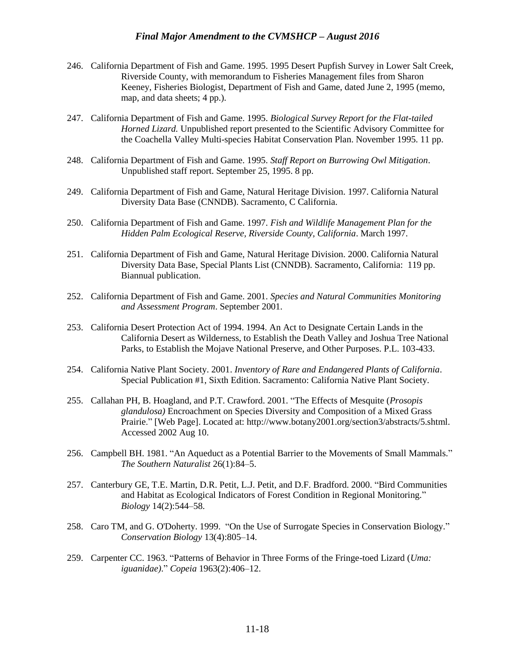- 246. California Department of Fish and Game. 1995. 1995 Desert Pupfish Survey in Lower Salt Creek, Riverside County, with memorandum to Fisheries Management files from Sharon Keeney, Fisheries Biologist, Department of Fish and Game, dated June 2, 1995 (memo, map, and data sheets; 4 pp.).
- 247. California Department of Fish and Game. 1995. *Biological Survey Report for the Flat-tailed Horned Lizard.* Unpublished report presented to the Scientific Advisory Committee for the Coachella Valley Multi-species Habitat Conservation Plan. November 1995. 11 pp.
- 248. California Department of Fish and Game. 1995. *Staff Report on Burrowing Owl Mitigation*. Unpublished staff report. September 25, 1995. 8 pp.
- 249. California Department of Fish and Game, Natural Heritage Division. 1997. California Natural Diversity Data Base (CNNDB). Sacramento, C California.
- 250. California Department of Fish and Game. 1997. *Fish and Wildlife Management Plan for the Hidden Palm Ecological Reserve, Riverside County, California*. March 1997.
- 251. California Department of Fish and Game, Natural Heritage Division. 2000. California Natural Diversity Data Base, Special Plants List (CNNDB). Sacramento, California: 119 pp. Biannual publication.
- 252. California Department of Fish and Game. 2001. *Species and Natural Communities Monitoring and Assessment Program*. September 2001.
- 253. California Desert Protection Act of 1994. 1994. An Act to Designate Certain Lands in the California Desert as Wilderness, to Establish the Death Valley and Joshua Tree National Parks, to Establish the Mojave National Preserve, and Other Purposes. P.L. 103-433.
- 254. California Native Plant Society. 2001. *Inventory of Rare and Endangered Plants of California*. Special Publication #1, Sixth Edition. Sacramento: California Native Plant Society.
- 255. Callahan PH, B. Hoagland, and P.T. Crawford. 2001. "The Effects of Mesquite (*Prosopis glandulosa)* Encroachment on Species Diversity and Composition of a Mixed Grass Prairie." [Web Page]. Located at: http://www.botany2001.org/section3/abstracts/5.shtml. Accessed 2002 Aug 10.
- 256. Campbell BH. 1981. "An Aqueduct as a Potential Barrier to the Movements of Small Mammals." *The Southern Naturalist* 26(1):84–5.
- 257. Canterbury GE, T.E. Martin, D.R. Petit, L.J. Petit, and D.F. Bradford. 2000. "Bird Communities and Habitat as Ecological Indicators of Forest Condition in Regional Monitoring." *Biology* 14(2):544–58.
- 258. Caro TM, and G. O'Doherty. 1999. "On the Use of Surrogate Species in Conservation Biology." *Conservation Biology* 13(4):805–14.
- 259. Carpenter CC. 1963. "Patterns of Behavior in Three Forms of the Fringe-toed Lizard (*Uma: iguanidae)*." *Copeia* 1963(2):406–12.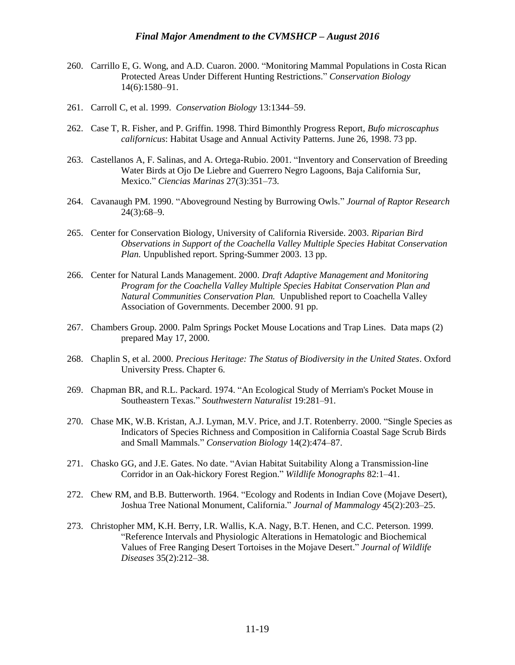- 260. Carrillo E, G. Wong, and A.D. Cuaron. 2000. "Monitoring Mammal Populations in Costa Rican Protected Areas Under Different Hunting Restrictions." *Conservation Biology* 14(6):1580–91.
- 261. Carroll C, et al. 1999. *Conservation Biology* 13:1344–59.
- 262. Case T, R. Fisher, and P. Griffin. 1998. Third Bimonthly Progress Report, *Bufo microscaphus californicus*: Habitat Usage and Annual Activity Patterns. June 26, 1998. 73 pp.
- 263. Castellanos A, F. Salinas, and A. Ortega-Rubio. 2001. "Inventory and Conservation of Breeding Water Birds at Ojo De Liebre and Guerrero Negro Lagoons, Baja California Sur, Mexico." *Ciencias Marinas* 27(3):351–73.
- 264. Cavanaugh PM. 1990. "Aboveground Nesting by Burrowing Owls." *Journal of Raptor Research* 24(3):68–9.
- 265. Center for Conservation Biology, University of California Riverside. 2003. *Riparian Bird Observations in Support of the Coachella Valley Multiple Species Habitat Conservation Plan.* Unpublished report. Spring-Summer 2003. 13 pp.
- 266. Center for Natural Lands Management. 2000. *Draft Adaptive Management and Monitoring Program for the Coachella Valley Multiple Species Habitat Conservation Plan and Natural Communities Conservation Plan.* Unpublished report to Coachella Valley Association of Governments. December 2000. 91 pp.
- 267. Chambers Group. 2000. Palm Springs Pocket Mouse Locations and Trap Lines. Data maps (2) prepared May 17, 2000.
- 268. Chaplin S, et al. 2000. *Precious Heritage: The Status of Biodiversity in the United States*. Oxford University Press. Chapter 6.
- 269. Chapman BR, and R.L. Packard. 1974. "An Ecological Study of Merriam's Pocket Mouse in Southeastern Texas." *Southwestern Naturalist* 19:281–91.
- 270. Chase MK, W.B. Kristan, A.J. Lyman, M.V. Price, and J.T. Rotenberry. 2000. "Single Species as Indicators of Species Richness and Composition in California Coastal Sage Scrub Birds and Small Mammals." *Conservation Biology* 14(2):474–87.
- 271. Chasko GG, and J.E. Gates. No date. "Avian Habitat Suitability Along a Transmission-line Corridor in an Oak-hickory Forest Region." *Wildlife Monographs* 82:1–41.
- 272. Chew RM, and B.B. Butterworth. 1964. "Ecology and Rodents in Indian Cove (Mojave Desert), Joshua Tree National Monument, California." *Journal of Mammalogy* 45(2):203–25.
- 273. Christopher MM, K.H. Berry, I.R. Wallis, K.A. Nagy, B.T. Henen, and C.C. Peterson. 1999. "Reference Intervals and Physiologic Alterations in Hematologic and Biochemical Values of Free Ranging Desert Tortoises in the Mojave Desert." *Journal of Wildlife Diseases* 35(2):212–38.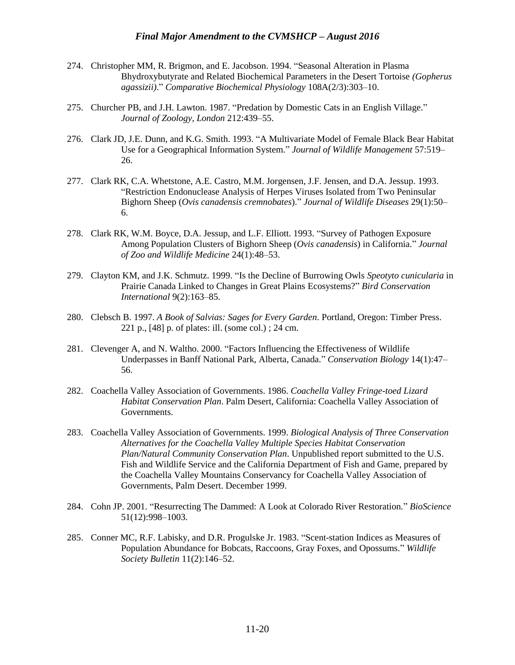- 274. Christopher MM, R. Brigmon, and E. Jacobson. 1994. "Seasonal Alteration in Plasma Bhydroxybutyrate and Related Biochemical Parameters in the Desert Tortoise *(Gopherus agassizii)*." *Comparative Biochemical Physiology* 108A(2/3):303–10.
- 275. Churcher PB, and J.H. Lawton. 1987. "Predation by Domestic Cats in an English Village." *Journal of Zoology, London* 212:439–55.
- 276. Clark JD, J.E. Dunn, and K.G. Smith. 1993. "A Multivariate Model of Female Black Bear Habitat Use for a Geographical Information System." *Journal of Wildlife Management* 57:519– 26.
- 277. Clark RK, C.A. Whetstone, A.E. Castro, M.M. Jorgensen, J.F. Jensen, and D.A. Jessup. 1993. "Restriction Endonuclease Analysis of Herpes Viruses Isolated from Two Peninsular Bighorn Sheep (*Ovis canadensis cremnobates*)." *Journal of Wildlife Diseases* 29(1):50– 6.
- 278. Clark RK, W.M. Boyce, D.A. Jessup, and L.F. Elliott. 1993. "Survey of Pathogen Exposure Among Population Clusters of Bighorn Sheep (*Ovis canadensis*) in California." *Journal of Zoo and Wildlife Medicine* 24(1):48–53.
- 279. Clayton KM, and J.K. Schmutz. 1999. "Is the Decline of Burrowing Owls *Speotyto cunicularia* in Prairie Canada Linked to Changes in Great Plains Ecosystems?" *Bird Conservation International* 9(2):163–85.
- 280. Clebsch B. 1997. *A Book of Salvias: Sages for Every Garden*. Portland, Oregon: Timber Press. 221 p., [48] p. of plates: ill. (some col.) ; 24 cm.
- 281. Clevenger A, and N. Waltho. 2000. "Factors Influencing the Effectiveness of Wildlife Underpasses in Banff National Park, Alberta, Canada." *Conservation Biology* 14(1):47– 56.
- 282. Coachella Valley Association of Governments. 1986. *Coachella Valley Fringe-toed Lizard Habitat Conservation Plan*. Palm Desert, California: Coachella Valley Association of Governments.
- 283. Coachella Valley Association of Governments. 1999. *Biological Analysis of Three Conservation Alternatives for the Coachella Valley Multiple Species Habitat Conservation Plan/Natural Community Conservation Plan*. Unpublished report submitted to the U.S. Fish and Wildlife Service and the California Department of Fish and Game, prepared by the Coachella Valley Mountains Conservancy for Coachella Valley Association of Governments, Palm Desert. December 1999.
- 284. Cohn JP. 2001. "Resurrecting The Dammed: A Look at Colorado River Restoration." *BioScience*  51(12):998–1003.
- 285. Conner MC, R.F. Labisky, and D.R. Progulske Jr. 1983. "Scent-station Indices as Measures of Population Abundance for Bobcats, Raccoons, Gray Foxes, and Opossums." *Wildlife Society Bulletin* 11(2):146–52.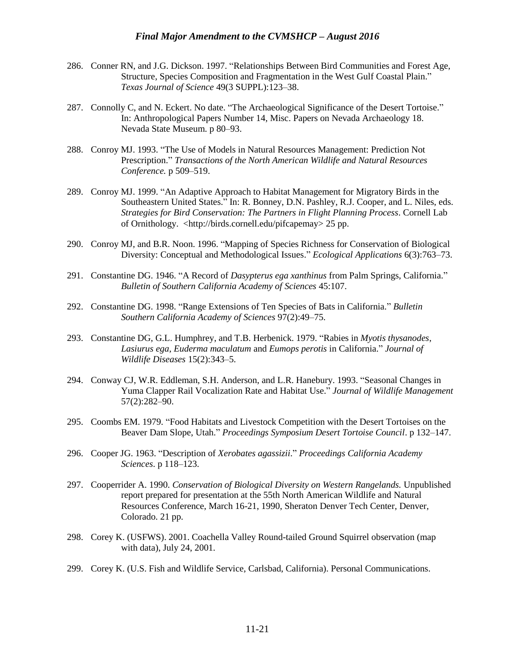- 286. Conner RN, and J.G. Dickson. 1997. "Relationships Between Bird Communities and Forest Age, Structure, Species Composition and Fragmentation in the West Gulf Coastal Plain." *Texas Journal of Science* 49(3 SUPPL):123–38.
- 287. Connolly C, and N. Eckert. No date. "The Archaeological Significance of the Desert Tortoise." In: Anthropological Papers Number 14, Misc. Papers on Nevada Archaeology 18. Nevada State Museum. p 80–93.
- 288. Conroy MJ. 1993. "The Use of Models in Natural Resources Management: Prediction Not Prescription." *Transactions of the North American Wildlife and Natural Resources Conference.* p 509–519.
- 289. Conroy MJ. 1999. "An Adaptive Approach to Habitat Management for Migratory Birds in the Southeastern United States." In: R. Bonney, D.N. Pashley, R.J. Cooper, and L. Niles, eds. *Strategies for Bird Conservation: The Partners in Flight Planning Process*. Cornell Lab of Ornithology. <http://birds.cornell.edu/pifcapemay> 25 pp.
- 290. Conroy MJ, and B.R. Noon. 1996. "Mapping of Species Richness for Conservation of Biological Diversity: Conceptual and Methodological Issues." *Ecological Applications* 6(3):763–73.
- 291. Constantine DG. 1946. "A Record of *Dasypterus ega xanthinus* from Palm Springs, California." *Bulletin of Southern California Academy of Sciences* 45:107.
- 292. Constantine DG. 1998. "Range Extensions of Ten Species of Bats in California." *Bulletin Southern California Academy of Sciences* 97(2):49–75.
- 293. Constantine DG, G.L. Humphrey, and T.B. Herbenick. 1979. "Rabies in *Myotis thysanodes*, *Lasiurus ega*, *Euderma maculatum* and *Eumops perotis* in California." *Journal of Wildlife Diseases* 15(2):343–5.
- 294. Conway CJ, W.R. Eddleman, S.H. Anderson, and L.R. Hanebury. 1993. "Seasonal Changes in Yuma Clapper Rail Vocalization Rate and Habitat Use." *Journal of Wildlife Management* 57(2):282–90.
- 295. Coombs EM. 1979. "Food Habitats and Livestock Competition with the Desert Tortoises on the Beaver Dam Slope, Utah." *Proceedings Symposium Desert Tortoise Council*. p 132–147.
- 296. Cooper JG. 1963. "Description of *Xerobates agassizii*." *Proceedings California Academy Sciences*. p 118–123.
- 297. Cooperrider A. 1990. *Conservation of Biological Diversity on Western Rangelands.* Unpublished report prepared for presentation at the 55th North American Wildlife and Natural Resources Conference, March 16-21, 1990, Sheraton Denver Tech Center, Denver, Colorado. 21 pp.
- 298. Corey K. (USFWS). 2001. Coachella Valley Round-tailed Ground Squirrel observation (map with data), July 24, 2001.
- 299. Corey K. (U.S. Fish and Wildlife Service, Carlsbad, California). Personal Communications.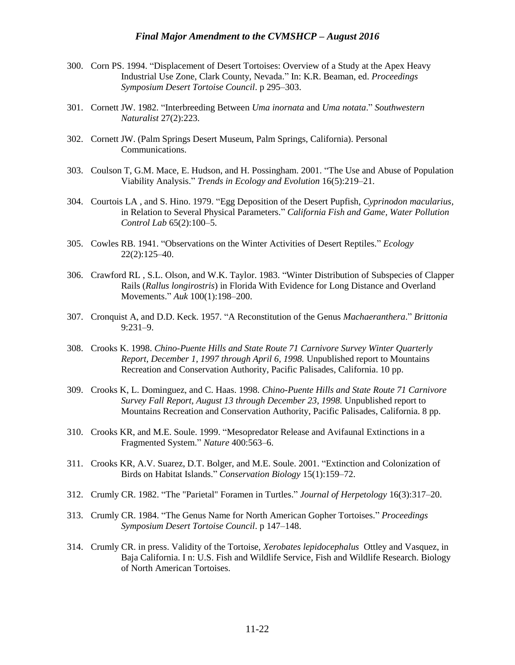- 300. Corn PS. 1994. "Displacement of Desert Tortoises: Overview of a Study at the Apex Heavy Industrial Use Zone, Clark County, Nevada." In: K.R. Beaman, ed. *Proceedings Symposium Desert Tortoise Council*. p 295–303.
- 301. Cornett JW. 1982. "Interbreeding Between *Uma inornata* and *Uma notata*." *Southwestern Naturalist* 27(2):223.
- 302. Cornett JW. (Palm Springs Desert Museum, Palm Springs, California). Personal Communications.
- 303. Coulson T, G.M. Mace, E. Hudson, and H. Possingham. 2001. "The Use and Abuse of Population Viability Analysis." *Trends in Ecology and Evolution* 16(5):219–21.
- 304. Courtois LA , and S. Hino. 1979. "Egg Deposition of the Desert Pupfish, *Cyprinodon macularius*, in Relation to Several Physical Parameters." *California Fish and Game, Water Pollution Control Lab* 65(2):100–5.
- 305. Cowles RB. 1941. "Observations on the Winter Activities of Desert Reptiles." *Ecology* 22(2):125–40.
- 306. Crawford RL , S.L. Olson, and W.K. Taylor. 1983. "Winter Distribution of Subspecies of Clapper Rails (*Rallus longirostris*) in Florida With Evidence for Long Distance and Overland Movements." *Auk* 100(1):198–200.
- 307. Cronquist A, and D.D. Keck. 1957. "A Reconstitution of the Genus *Machaeranthera*." *Brittonia*  9:231–9.
- 308. Crooks K. 1998. *Chino-Puente Hills and State Route 71 Carnivore Survey Winter Quarterly Report, December 1, 1997 through April 6, 1998.* Unpublished report to Mountains Recreation and Conservation Authority, Pacific Palisades, California. 10 pp.
- 309. Crooks K, L. Dominguez, and C. Haas. 1998. *Chino-Puente Hills and State Route 71 Carnivore Survey Fall Report, August 13 through December 23, 1998.* Unpublished report to Mountains Recreation and Conservation Authority, Pacific Palisades, California. 8 pp.
- 310. Crooks KR, and M.E. Soule. 1999. "Mesopredator Release and Avifaunal Extinctions in a Fragmented System." *Nature* 400:563–6.
- 311. Crooks KR, A.V. Suarez, D.T. Bolger, and M.E. Soule. 2001. "Extinction and Colonization of Birds on Habitat Islands." *Conservation Biology* 15(1):159–72.
- 312. Crumly CR. 1982. "The "Parietal" Foramen in Turtles." *Journal of Herpetology* 16(3):317–20.
- 313. Crumly CR. 1984. "The Genus Name for North American Gopher Tortoises." *Proceedings Symposium Desert Tortoise Council*. p 147–148.
- 314. Crumly CR. in press. Validity of the Tortoise, *Xerobates lepidocephalus* Ottley and Vasquez, in Baja California. I n: U.S. Fish and Wildlife Service, Fish and Wildlife Research. Biology of North American Tortoises.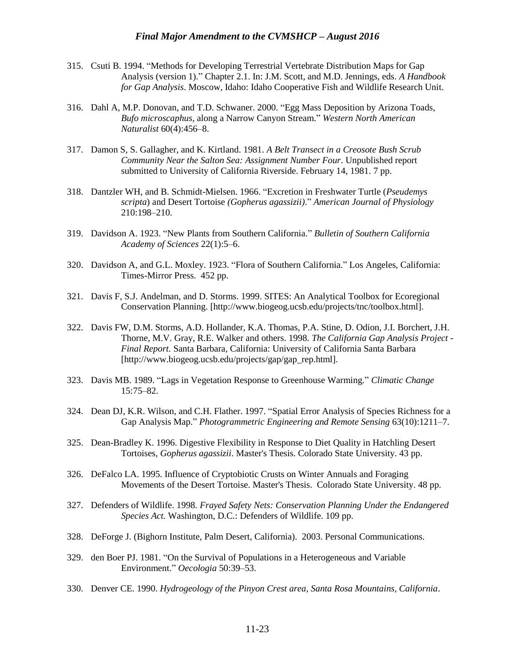- 315. Csuti B. 1994. "Methods for Developing Terrestrial Vertebrate Distribution Maps for Gap Analysis (version 1)." Chapter 2.1. In: J.M. Scott, and M.D. Jennings, eds. *A Handbook for Gap Analysis*. Moscow, Idaho: Idaho Cooperative Fish and Wildlife Research Unit.
- 316. Dahl A, M.P. Donovan, and T.D. Schwaner. 2000. "Egg Mass Deposition by Arizona Toads, *Bufo microscaphus*, along a Narrow Canyon Stream." *Western North American Naturalist* 60(4):456–8.
- 317. Damon S, S. Gallagher, and K. Kirtland. 1981. *A Belt Transect in a Creosote Bush Scrub Community Near the Salton Sea: Assignment Number Four*. Unpublished report submitted to University of California Riverside. February 14, 1981. 7 pp.
- 318. Dantzler WH, and B. Schmidt-Mielsen. 1966. "Excretion in Freshwater Turtle (*Pseudemys scripta*) and Desert Tortoise *(Gopherus agassizii)*." *American Journal of Physiology* 210:198–210.
- 319. Davidson A. 1923. "New Plants from Southern California." *Bulletin of Southern California Academy of Sciences* 22(1):5–6.
- 320. Davidson A, and G.L. Moxley. 1923. "Flora of Southern California." Los Angeles, California: Times-Mirror Press. 452 pp.
- 321. Davis F, S.J. Andelman, and D. Storms. 1999. SITES: An Analytical Toolbox for Ecoregional Conservation Planning. [http://www.biogeog.ucsb.edu/projects/tnc/toolbox.html].
- 322. Davis FW, D.M. Storms, A.D. Hollander, K.A. Thomas, P.A. Stine, D. Odion, J.I. Borchert, J.H. Thorne, M.V. Gray, R.E. Walker and others. 1998. *The California Gap Analysis Project - Final Report.* Santa Barbara, California: University of California Santa Barbara [http://www.biogeog.ucsb.edu/projects/gap/gap\_rep.html].
- 323. Davis MB. 1989. "Lags in Vegetation Response to Greenhouse Warming." *Climatic Change* 15:75–82.
- 324. Dean DJ, K.R. Wilson, and C.H. Flather. 1997. "Spatial Error Analysis of Species Richness for a Gap Analysis Map." *Photogrammetric Engineering and Remote Sensing* 63(10):1211–7.
- 325. Dean-Bradley K. 1996. Digestive Flexibility in Response to Diet Quality in Hatchling Desert Tortoises, *Gopherus agassizii*. Master's Thesis. Colorado State University. 43 pp.
- 326. DeFalco LA. 1995. Influence of Cryptobiotic Crusts on Winter Annuals and Foraging Movements of the Desert Tortoise. Master's Thesis. Colorado State University. 48 pp.
- 327. Defenders of Wildlife. 1998. *Frayed Safety Nets: Conservation Planning Under the Endangered Species Act.* Washington, D.C.: Defenders of Wildlife. 109 pp.
- 328. DeForge J. (Bighorn Institute, Palm Desert, California). 2003. Personal Communications.
- 329. den Boer PJ. 1981. "On the Survival of Populations in a Heterogeneous and Variable Environment." *Oecologia* 50:39–53.
- 330. Denver CE. 1990. *Hydrogeology of the Pinyon Crest area, Santa Rosa Mountains, California*.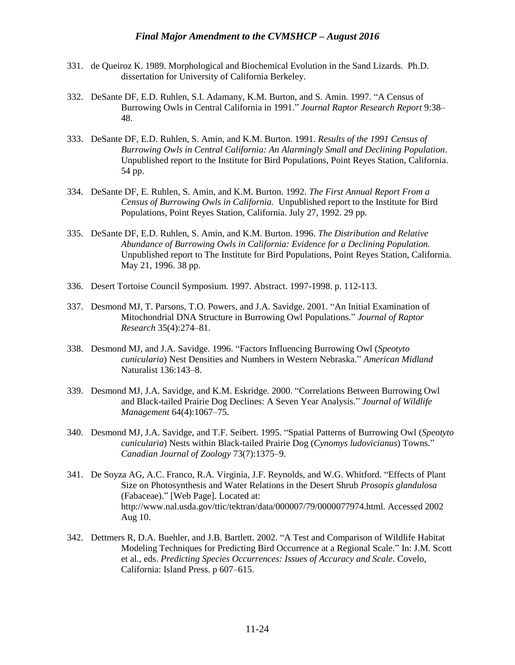- 331. de Queiroz K. 1989. Morphological and Biochemical Evolution in the Sand Lizards. Ph.D. dissertation for University of California Berkeley.
- 332. DeSante DF, E.D. Ruhlen, S.I. Adamany, K.M. Burton, and S. Amin. 1997. "A Census of Burrowing Owls in Central California in 1991." *Journal Raptor Research Report* 9:38– 48.
- 333. DeSante DF, E.D. Ruhlen, S. Amin, and K.M. Burton. 1991. *Results of the 1991 Census of Burrowing Owls in Central California: An Alarmingly Small and Declining Population*. Unpublished report to the Institute for Bird Populations, Point Reyes Station, California. 54 pp.
- 334. DeSante DF, E. Ruhlen, S. Amin, and K.M. Burton. 1992. *The First Annual Report From a Census of Burrowing Owls in California.* Unpublished report to the Institute for Bird Populations, Point Reyes Station, California. July 27, 1992. 29 pp.
- 335. DeSante DF, E.D. Ruhlen, S. Amin, and K.M. Burton. 1996. *The Distribution and Relative Abundance of Burrowing Owls in California: Evidence for a Declining Population.* Unpublished report to The Institute for Bird Populations, Point Reyes Station, California. May 21, 1996. 38 pp.
- 336. Desert Tortoise Council Symposium. 1997. Abstract. 1997-1998. p. 112-113.
- 337. Desmond MJ, T. Parsons, T.O. Powers, and J.A. Savidge. 2001. "An Initial Examination of Mitochondrial DNA Structure in Burrowing Owl Populations." *Journal of Raptor Research* 35(4):274–81.
- 338. Desmond MJ, and J.A. Savidge. 1996. "Factors Influencing Burrowing Owl (*Speotyto cunicularia*) Nest Densities and Numbers in Western Nebraska." *American Midland* Naturalist 136:143–8.
- 339. Desmond MJ, J.A. Savidge, and K.M. Eskridge. 2000. "Correlations Between Burrowing Owl and Black-tailed Prairie Dog Declines: A Seven Year Analysis." *Journal of Wildlife Management* 64(4):1067–75.
- 340. Desmond MJ, J.A. Savidge, and T.F. Seibert. 1995. "Spatial Patterns of Burrowing Owl (*Speotyto cunicularia*) Nests within Black-tailed Prairie Dog (*Cynomys ludovicianus*) Towns." *Canadian Journal of Zoology* 73(7):1375–9.
- 341. De Soyza AG, A.C. Franco, R.A. Virginia, J.F. Reynolds, and W.G. Whitford. "Effects of Plant Size on Photosynthesis and Water Relations in the Desert Shrub *Prosopis glandulosa* (Fabaceae)." [Web Page]. Located at: http://www.nal.usda.gov/ttic/tektran/data/000007/79/0000077974.html. Accessed 2002 Aug 10.
- 342. Dettmers R, D.A. Buehler, and J.B. Bartlett. 2002. "A Test and Comparison of Wildlife Habitat Modeling Techniques for Predicting Bird Occurrence at a Regional Scale." In: J.M. Scott et al., eds. *Predicting Species Occurrences: Issues of Accuracy and Scale*. Covelo, California: Island Press. p 607–615.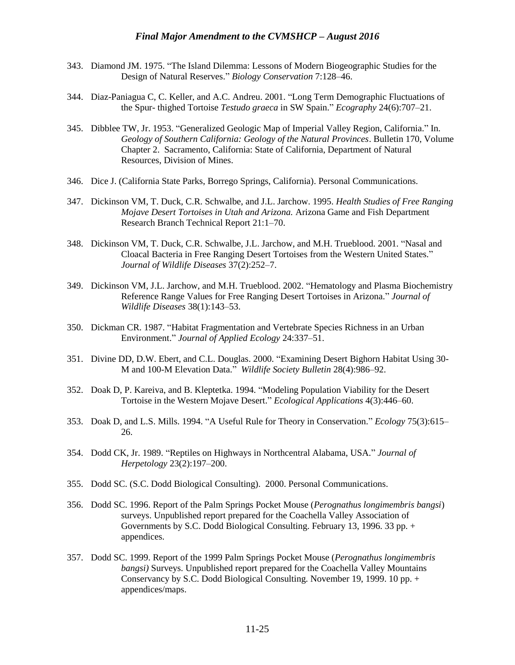- 343. Diamond JM. 1975. "The Island Dilemma: Lessons of Modern Biogeographic Studies for the Design of Natural Reserves." *Biology Conservation* 7:128–46.
- 344. Diaz-Paniagua C, C. Keller, and A.C. Andreu. 2001. "Long Term Demographic Fluctuations of the Spur- thighed Tortoise *Testudo graeca* in SW Spain." *Ecography* 24(6):707–21.
- 345. Dibblee TW, Jr. 1953. "Generalized Geologic Map of Imperial Valley Region, California." In. *Geology of Southern California: Geology of the Natural Provinces*. Bulletin 170, Volume Chapter 2. Sacramento, California: State of California, Department of Natural Resources, Division of Mines.
- 346. Dice J. (California State Parks, Borrego Springs, California). Personal Communications.
- 347. Dickinson VM, T. Duck, C.R. Schwalbe, and J.L. Jarchow. 1995. *Health Studies of Free Ranging Mojave Desert Tortoises in Utah and Arizona.* Arizona Game and Fish Department Research Branch Technical Report 21:1–70.
- 348. Dickinson VM, T. Duck, C.R. Schwalbe, J.L. Jarchow, and M.H. Trueblood. 2001. "Nasal and Cloacal Bacteria in Free Ranging Desert Tortoises from the Western United States." *Journal of Wildlife Diseases* 37(2):252–7.
- 349. Dickinson VM, J.L. Jarchow, and M.H. Trueblood. 2002. "Hematology and Plasma Biochemistry Reference Range Values for Free Ranging Desert Tortoises in Arizona." *Journal of Wildlife Diseases* 38(1):143–53.
- 350. Dickman CR. 1987. "Habitat Fragmentation and Vertebrate Species Richness in an Urban Environment." *Journal of Applied Ecology* 24:337–51.
- 351. Divine DD, D.W. Ebert, and C.L. Douglas. 2000. "Examining Desert Bighorn Habitat Using 30- M and 100-M Elevation Data." *Wildlife Society Bulletin* 28(4):986–92.
- 352. Doak D, P. Kareiva, and B. Kleptetka. 1994. "Modeling Population Viability for the Desert Tortoise in the Western Mojave Desert." *Ecological Applications* 4(3):446–60.
- 353. Doak D, and L.S. Mills. 1994. "A Useful Rule for Theory in Conservation." *Ecology* 75(3):615– 26.
- 354. Dodd CK, Jr. 1989. "Reptiles on Highways in Northcentral Alabama, USA." *Journal of Herpetology* 23(2):197–200.
- 355. Dodd SC. (S.C. Dodd Biological Consulting). 2000. Personal Communications.
- 356. Dodd SC. 1996. Report of the Palm Springs Pocket Mouse (*Perognathus longimembris bangsi*) surveys. Unpublished report prepared for the Coachella Valley Association of Governments by S.C. Dodd Biological Consulting. February 13, 1996. 33 pp. + appendices.
- 357. Dodd SC. 1999. Report of the 1999 Palm Springs Pocket Mouse (*Perognathus longimembris bangsi)* Surveys. Unpublished report prepared for the Coachella Valley Mountains Conservancy by S.C. Dodd Biological Consulting. November 19, 1999. 10 pp. + appendices/maps.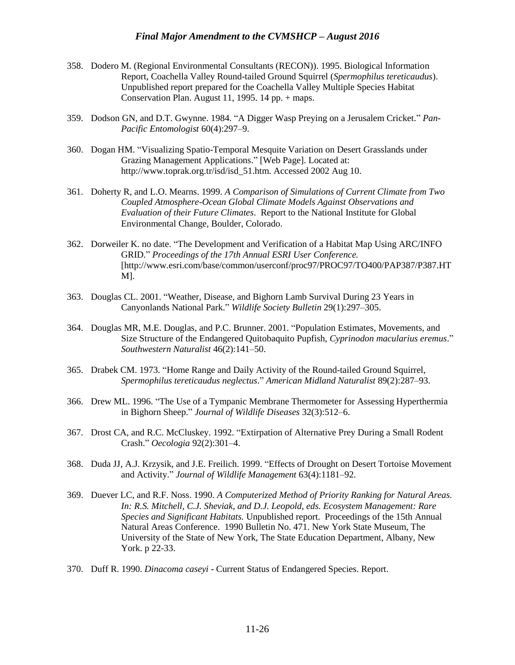- 358. Dodero M. (Regional Environmental Consultants (RECON)). 1995. Biological Information Report, Coachella Valley Round-tailed Ground Squirrel (*Spermophilus tereticaudus*). Unpublished report prepared for the Coachella Valley Multiple Species Habitat Conservation Plan. August 11, 1995. 14 pp. + maps.
- 359. Dodson GN, and D.T. Gwynne. 1984. "A Digger Wasp Preying on a Jerusalem Cricket." *Pan-Pacific Entomologist* 60(4):297–9.
- 360. Dogan HM. "Visualizing Spatio-Temporal Mesquite Variation on Desert Grasslands under Grazing Management Applications." [Web Page]. Located at: http://www.toprak.org.tr/isd/isd\_51.htm. Accessed 2002 Aug 10.
- 361. Doherty R, and L.O. Mearns. 1999. *A Comparison of Simulations of Current Climate from Two Coupled Atmosphere-Ocean Global Climate Models Against Observations and Evaluation of their Future Climates*. Report to the National Institute for Global Environmental Change, Boulder, Colorado.
- 362. Dorweiler K. no date. "The Development and Verification of a Habitat Map Using ARC/INFO GRID." *Proceedings of the 17th Annual ESRI User Conference.* [http://www.esri.com/base/common/userconf/proc97/PROC97/TO400/PAP387/P387.HT M].
- 363. Douglas CL. 2001. "Weather, Disease, and Bighorn Lamb Survival During 23 Years in Canyonlands National Park." *Wildlife Society Bulletin* 29(1):297–305.
- 364. Douglas MR, M.E. Douglas, and P.C. Brunner. 2001. "Population Estimates, Movements, and Size Structure of the Endangered Quitobaquito Pupfish, *Cyprinodon macularius eremus*." *Southwestern Naturalist* 46(2):141–50.
- 365. Drabek CM. 1973. "Home Range and Daily Activity of the Round-tailed Ground Squirrel, *Spermophilus tereticaudus neglectus*." *American Midland Naturalist* 89(2):287–93.
- 366. Drew ML. 1996. "The Use of a Tympanic Membrane Thermometer for Assessing Hyperthermia in Bighorn Sheep." *Journal of Wildlife Diseases* 32(3):512–6.
- 367. Drost CA, and R.C. McCluskey. 1992. "Extirpation of Alternative Prey During a Small Rodent Crash." *Oecologia* 92(2):301–4.
- 368. Duda JJ, A.J. Krzysik, and J.E. Freilich. 1999. "Effects of Drought on Desert Tortoise Movement and Activity." *Journal of Wildlife Management* 63(4):1181–92.
- 369. Duever LC, and R.F. Noss. 1990. *A Computerized Method of Priority Ranking for Natural Areas. In: R.S. Mitchell, C.J. Sheviak, and D.J. Leopold, eds. Ecosystem Management: Rare Species and Significant Habitats.* Unpublished report. Proceedings of the 15th Annual Natural Areas Conference. 1990 Bulletin No. 471. New York State Museum, The University of the State of New York, The State Education Department, Albany, New York. p 22-33.
- 370. Duff R. 1990. *Dinacoma caseyi* Current Status of Endangered Species. Report.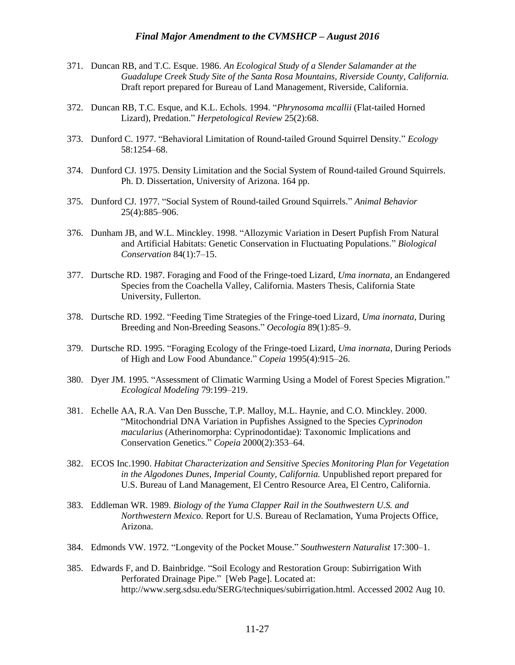- 371. Duncan RB, and T.C. Esque. 1986. *An Ecological Study of a Slender Salamander at the Guadalupe Creek Study Site of the Santa Rosa Mountains, Riverside County, California.* Draft report prepared for Bureau of Land Management, Riverside, California.
- 372. Duncan RB, T.C. Esque, and K.L. Echols. 1994. "*Phrynosoma mcallii* (Flat-tailed Horned Lizard), Predation." *Herpetological Review* 25(2):68.
- 373. Dunford C. 1977. "Behavioral Limitation of Round-tailed Ground Squirrel Density." *Ecology*  58:1254–68.
- 374. Dunford CJ. 1975. Density Limitation and the Social System of Round-tailed Ground Squirrels. Ph. D. Dissertation, University of Arizona. 164 pp.
- 375. Dunford CJ. 1977. "Social System of Round-tailed Ground Squirrels." *Animal Behavior* 25(4):885–906.
- 376. Dunham JB, and W.L. Minckley. 1998. "Allozymic Variation in Desert Pupfish From Natural and Artificial Habitats: Genetic Conservation in Fluctuating Populations." *Biological Conservation* 84(1):7–15.
- 377. Durtsche RD. 1987. Foraging and Food of the Fringe-toed Lizard, *Uma inornata*, an Endangered Species from the Coachella Valley, California. Masters Thesis, California State University, Fullerton.
- 378. Durtsche RD. 1992. "Feeding Time Strategies of the Fringe-toed Lizard, *Uma inornata*, During Breeding and Non-Breeding Seasons." *Oecologia* 89(1):85–9.
- 379. Durtsche RD. 1995. "Foraging Ecology of the Fringe-toed Lizard, *Uma inornata*, During Periods of High and Low Food Abundance." *Copeia* 1995(4):915–26.
- 380. Dyer JM. 1995. "Assessment of Climatic Warming Using a Model of Forest Species Migration." *Ecological Modeling* 79:199–219.
- 381. Echelle AA, R.A. Van Den Bussche, T.P. Malloy, M.L. Haynie, and C.O. Minckley. 2000. "Mitochondrial DNA Variation in Pupfishes Assigned to the Species *Cyprinodon macularius* (Atherinomorpha: Cyprinodontidae): Taxonomic Implications and Conservation Genetics." *Copeia* 2000(2):353–64.
- 382. ECOS Inc.1990. *Habitat Characterization and Sensitive Species Monitoring Plan for Vegetation in the Algodones Dunes, Imperial County, California.* Unpublished report prepared for U.S. Bureau of Land Management, El Centro Resource Area, El Centro, California.
- 383. Eddleman WR. 1989. *Biology of the Yuma Clapper Rail in the Southwestern U.S. and Northwestern Mexico.* Report for U.S. Bureau of Reclamation, Yuma Projects Office, Arizona.
- 384. Edmonds VW. 1972. "Longevity of the Pocket Mouse." *Southwestern Naturalist* 17:300–1.
- 385. Edwards F, and D. Bainbridge. "Soil Ecology and Restoration Group: Subirrigation With Perforated Drainage Pipe." [Web Page]. Located at: http://www.serg.sdsu.edu/SERG/techniques/subirrigation.html. Accessed 2002 Aug 10.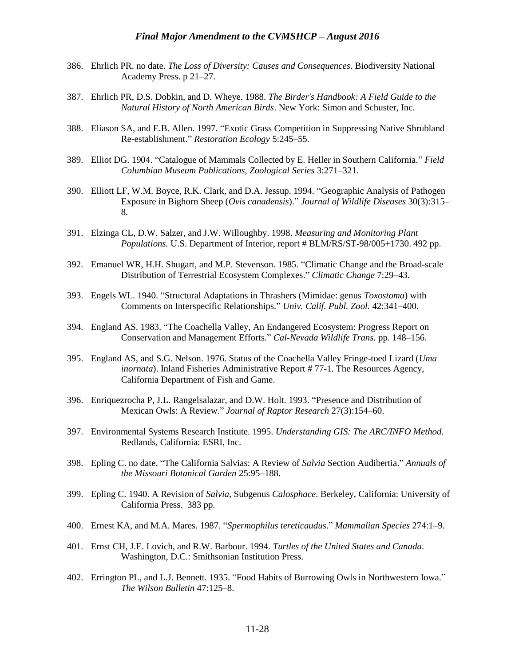- 386. Ehrlich PR. no date. *The Loss of Diversity: Causes and Consequences*. Biodiversity National Academy Press. p 21–27.
- 387. Ehrlich PR, D.S. Dobkin, and D. Wheye. 1988. *The Birder's Handbook: A Field Guide to the Natural History of North American Birds*. New York: Simon and Schuster, Inc.
- 388. Eliason SA, and E.B. Allen. 1997. "Exotic Grass Competition in Suppressing Native Shrubland Re-establishment." *Restoration Ecology* 5:245–55.
- 389. Elliot DG. 1904. "Catalogue of Mammals Collected by E. Heller in Southern California." *Field Columbian Museum Publications, Zoological Series* 3:271–321.
- 390. Elliott LF, W.M. Boyce, R.K. Clark, and D.A. Jessup. 1994. "Geographic Analysis of Pathogen Exposure in Bighorn Sheep (*Ovis canadensis*)." *Journal of Wildlife Diseases* 30(3):315– 8.
- 391. Elzinga CL, D.W. Salzer, and J.W. Willoughby. 1998. *Measuring and Monitoring Plant Populations.* U.S. Department of Interior, report # BLM/RS/ST-98/005+1730. 492 pp.
- 392. Emanuel WR, H.H. Shugart, and M.P. Stevenson. 1985. "Climatic Change and the Broad-scale Distribution of Terrestrial Ecosystem Complexes." *Climatic Change* 7:29–43.
- 393. Engels WL. 1940. "Structural Adaptations in Thrashers (Mimidae: genus *Toxostoma*) with Comments on Interspecific Relationships." *Univ. Calif. Publ. Zool.* 42:341–400.
- 394. England AS. 1983. "The Coachella Valley, An Endangered Ecosystem: Progress Report on Conservation and Management Efforts." *Cal-Nevada Wildlife Trans.* pp. 148–156.
- 395. England AS, and S.G. Nelson. 1976. Status of the Coachella Valley Fringe-toed Lizard (*Uma inornata*). Inland Fisheries Administrative Report # 77-1. The Resources Agency, California Department of Fish and Game.
- 396. Enriquezrocha P, J.L. Rangelsalazar, and D.W. Holt. 1993. "Presence and Distribution of Mexican Owls: A Review." *Journal of Raptor Research* 27(3):154–60.
- 397. Environmental Systems Research Institute. 1995. *Understanding GIS: The ARC/INFO Method*. Redlands, California: ESRI, Inc.
- 398. Epling C. no date. "The California Salvias: A Review of *Salvia* Section Audibertia." *Annuals of the Missouri Botanical Garden* 25:95–188.
- 399. Epling C. 1940. A Revision of *Salvia*, Subgenus *Calosphace*. Berkeley, California: University of California Press. 383 pp.
- 400. Ernest KA, and M.A. Mares. 1987. "*Spermophilus tereticaudus*." *Mammalian Species* 274:1–9.
- 401. Ernst CH, J.E. Lovich, and R.W. Barbour. 1994. *Turtles of the United States and Canada*. Washington, D.C.: Smithsonian Institution Press.
- 402. Errington PL, and L.J. Bennett. 1935. "Food Habits of Burrowing Owls in Northwestern Iowa." *The Wilson Bulletin* 47:125–8.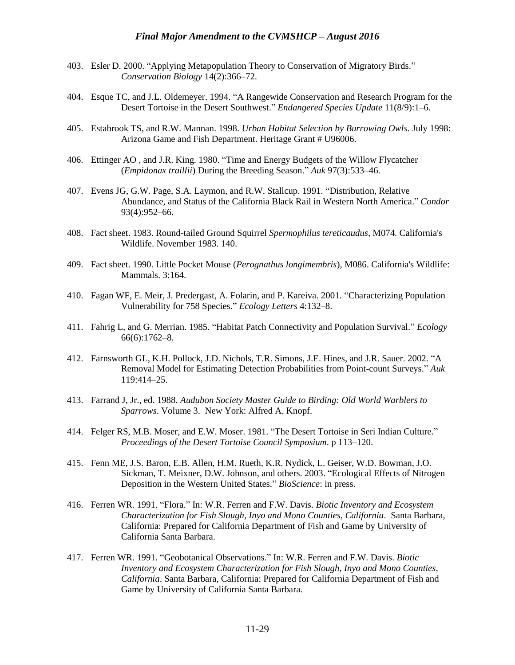- 403. Esler D. 2000. "Applying Metapopulation Theory to Conservation of Migratory Birds." *Conservation Biology* 14(2):366–72.
- 404. Esque TC, and J.L. Oldemeyer. 1994. "A Rangewide Conservation and Research Program for the Desert Tortoise in the Desert Southwest." *Endangered Species Update* 11(8/9):1–6.
- 405. Estabrook TS, and R.W. Mannan. 1998. *Urban Habitat Selection by Burrowing Owls*. July 1998: Arizona Game and Fish Department. Heritage Grant # U96006.
- 406. Ettinger AO , and J.R. King. 1980. "Time and Energy Budgets of the Willow Flycatcher (*Empidonax traillii*) During the Breeding Season." *Auk* 97(3):533–46.
- 407. Evens JG, G.W. Page, S.A. Laymon, and R.W. Stallcup. 1991. "Distribution, Relative Abundance, and Status of the California Black Rail in Western North America." *Condor*  93(4):952–66.
- 408. Fact sheet. 1983. Round-tailed Ground Squirrel *Spermophilus tereticaudus*, M074. California's Wildlife. November 1983. 140.
- 409. Fact sheet. 1990. Little Pocket Mouse (*Perognathus longimembris*), M086. California's Wildlife: Mammals. 3:164.
- 410. Fagan WF, E. Meir, J. Predergast, A. Folarin, and P. Kareiva. 2001. "Characterizing Population Vulnerability for 758 Species." *Ecology Letters* 4:132–8.
- 411. Fahrig L, and G. Merrian. 1985. "Habitat Patch Connectivity and Population Survival." *Ecology* 66(6):1762–8.
- 412. Farnsworth GL, K.H. Pollock, J.D. Nichols, T.R. Simons, J.E. Hines, and J.R. Sauer. 2002. "A Removal Model for Estimating Detection Probabilities from Point-count Surveys." *Auk* 119:414–25.
- 413. Farrand J, Jr., ed. 1988. *Audubon Society Master Guide to Birding: Old World Warblers to Sparrows*. Volume 3. New York: Alfred A. Knopf.
- 414. Felger RS, M.B. Moser, and E.W. Moser. 1981. "The Desert Tortoise in Seri Indian Culture." *Proceedings of the Desert Tortoise Council Symposium*. p 113–120.
- 415. Fenn ME, J.S. Baron, E.B. Allen, H.M. Rueth, K.R. Nydick, L. Geiser, W.D. Bowman, J.O. Sickman, T. Meixner, D.W. Johnson, and others. 2003. "Ecological Effects of Nitrogen Deposition in the Western United States." *BioScience*: in press.
- 416. Ferren WR. 1991. "Flora." In: W.R. Ferren and F.W. Davis. *Biotic Inventory and Ecosystem Characterization for Fish Slough, Inyo and Mono Counties, California*. Santa Barbara, California: Prepared for California Department of Fish and Game by University of California Santa Barbara.
- 417. Ferren WR. 1991. "Geobotanical Observations." In: W.R. Ferren and F.W. Davis. *Biotic Inventory and Ecosystem Characterization for Fish Slough, Inyo and Mono Counties, California*. Santa Barbara, California: Prepared for California Department of Fish and Game by University of California Santa Barbara.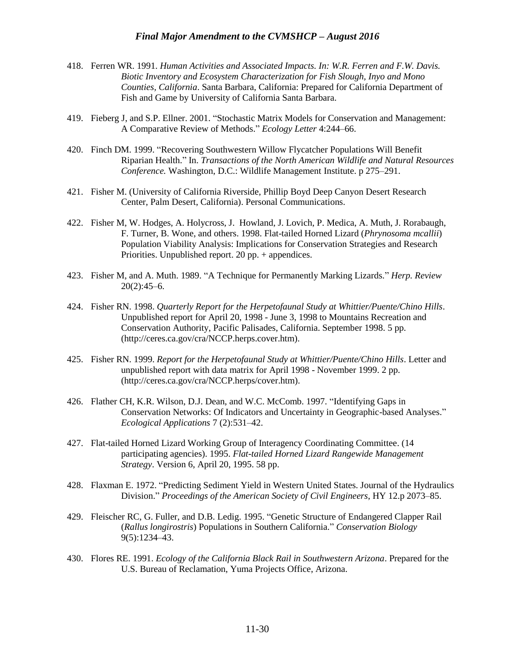- 418. Ferren WR. 1991. *Human Activities and Associated Impacts. In: W.R. Ferren and F.W. Davis. Biotic Inventory and Ecosystem Characterization for Fish Slough, Inyo and Mono Counties, California*. Santa Barbara, California: Prepared for California Department of Fish and Game by University of California Santa Barbara.
- 419. Fieberg J, and S.P. Ellner. 2001. "Stochastic Matrix Models for Conservation and Management: A Comparative Review of Methods." *Ecology Letter* 4:244–66.
- 420. Finch DM. 1999. "Recovering Southwestern Willow Flycatcher Populations Will Benefit Riparian Health." In. *Transactions of the North American Wildlife and Natural Resources Conference.* Washington, D.C.: Wildlife Management Institute. p 275–291.
- 421. Fisher M. (University of California Riverside, Phillip Boyd Deep Canyon Desert Research Center, Palm Desert, California). Personal Communications.
- 422. Fisher M, W. Hodges, A. Holycross, J. Howland, J. Lovich, P. Medica, A. Muth, J. Rorabaugh, F. Turner, B. Wone, and others. 1998. Flat-tailed Horned Lizard (*Phrynosoma mcallii*) Population Viability Analysis: Implications for Conservation Strategies and Research Priorities. Unpublished report. 20 pp. + appendices.
- 423. Fisher M, and A. Muth. 1989. "A Technique for Permanently Marking Lizards." *Herp. Review* 20(2):45–6.
- 424. Fisher RN. 1998. *Quarterly Report for the Herpetofaunal Study at Whittier/Puente/Chino Hills*. Unpublished report for April 20, 1998 - June 3, 1998 to Mountains Recreation and Conservation Authority, Pacific Palisades, California. September 1998. 5 pp. (http://ceres.ca.gov/cra/NCCP.herps.cover.htm).
- 425. Fisher RN. 1999. *Report for the Herpetofaunal Study at Whittier/Puente/Chino Hills*. Letter and unpublished report with data matrix for April 1998 - November 1999. 2 pp. (http://ceres.ca.gov/cra/NCCP.herps/cover.htm).
- 426. Flather CH, K.R. Wilson, D.J. Dean, and W.C. McComb. 1997. "Identifying Gaps in Conservation Networks: Of Indicators and Uncertainty in Geographic-based Analyses." *Ecological Applications* 7 (2):531–42.
- 427. Flat-tailed Horned Lizard Working Group of Interagency Coordinating Committee. (14 participating agencies). 1995. *Flat-tailed Horned Lizard Rangewide Management Strategy*. Version 6, April 20, 1995. 58 pp.
- 428. Flaxman E. 1972. "Predicting Sediment Yield in Western United States. Journal of the Hydraulics Division." *Proceedings of the American Society of Civil Engineers*, HY 12.p 2073–85.
- 429. Fleischer RC, G. Fuller, and D.B. Ledig. 1995. "Genetic Structure of Endangered Clapper Rail (*Rallus longirostris*) Populations in Southern California." *Conservation Biology* 9(5):1234–43.
- 430. Flores RE. 1991. *Ecology of the California Black Rail in Southwestern Arizona*. Prepared for the U.S. Bureau of Reclamation, Yuma Projects Office, Arizona.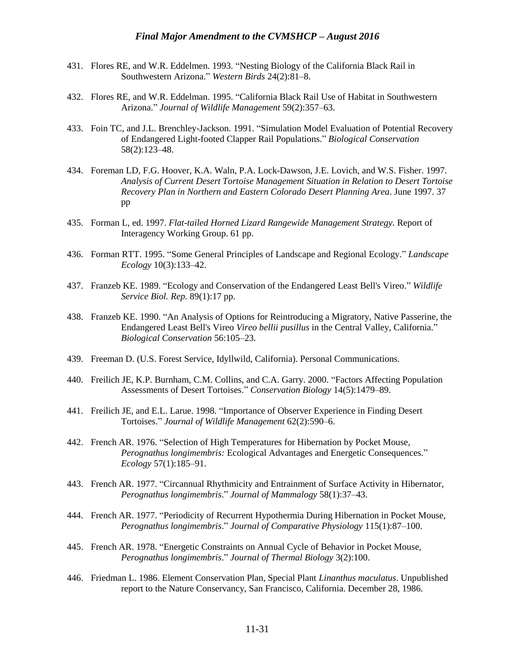- 431. Flores RE, and W.R. Eddelmen. 1993. "Nesting Biology of the California Black Rail in Southwestern Arizona." *Western Birds* 24(2):81–8.
- 432. Flores RE, and W.R. Eddelman. 1995. "California Black Rail Use of Habitat in Southwestern Arizona." *Journal of Wildlife Management* 59(2):357–63.
- 433. Foin TC, and J.L. Brenchley-Jackson. 1991. "Simulation Model Evaluation of Potential Recovery of Endangered Light-footed Clapper Rail Populations." *Biological Conservation* 58(2):123–48.
- 434. Foreman LD, F.G. Hoover, K.A. Waln, P.A. Lock-Dawson, J.E. Lovich, and W.S. Fisher. 1997. *Analysis of Current Desert Tortoise Management Situation in Relation to Desert Tortoise Recovery Plan in Northern and Eastern Colorado Desert Planning Area*. June 1997. 37 pp
- 435. Forman L, ed. 1997. *Flat-tailed Horned Lizard Rangewide Management Strategy*. Report of Interagency Working Group. 61 pp.
- 436. Forman RTT. 1995. "Some General Principles of Landscape and Regional Ecology." *Landscape Ecology* 10(3):133–42.
- 437. Franzeb KE. 1989. "Ecology and Conservation of the Endangered Least Bell's Vireo." *Wildlife Service Biol. Rep.* 89(1):17 pp.
- 438. Franzeb KE. 1990. "An Analysis of Options for Reintroducing a Migratory, Native Passerine, the Endangered Least Bell's Vireo *Vireo bellii pusillus* in the Central Valley, California." *Biological Conservation* 56:105–23.
- 439. Freeman D. (U.S. Forest Service, Idyllwild, California). Personal Communications.
- 440. Freilich JE, K.P. Burnham, C.M. Collins, and C.A. Garry. 2000. "Factors Affecting Population Assessments of Desert Tortoises." *Conservation Biology* 14(5):1479–89.
- 441. Freilich JE, and E.L. Larue. 1998. "Importance of Observer Experience in Finding Desert Tortoises." *Journal of Wildlife Management* 62(2):590–6.
- 442. French AR. 1976. "Selection of High Temperatures for Hibernation by Pocket Mouse, *Perognathus longimembris:* Ecological Advantages and Energetic Consequences." *Ecology* 57(1):185–91.
- 443. French AR. 1977. "Circannual Rhythmicity and Entrainment of Surface Activity in Hibernator, *Perognathus longimembris*." *Journal of Mammalogy* 58(1):37–43.
- 444. French AR. 1977. "Periodicity of Recurrent Hypothermia During Hibernation in Pocket Mouse, *Perognathus longimembris*." *Journal of Comparative Physiology* 115(1):87–100.
- 445. French AR. 1978. "Energetic Constraints on Annual Cycle of Behavior in Pocket Mouse, *Perognathus longimembris*." *Journal of Thermal Biology* 3(2):100.
- 446. Friedman L. 1986. Element Conservation Plan, Special Plant *Linanthus maculatus*. Unpublished report to the Nature Conservancy, San Francisco, California. December 28, 1986.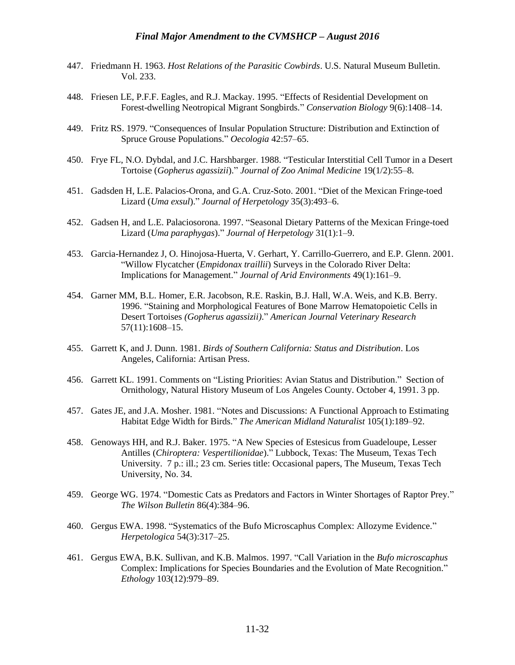- 447. Friedmann H. 1963. *Host Relations of the Parasitic Cowbirds*. U.S. Natural Museum Bulletin. Vol. 233.
- 448. Friesen LE, P.F.F. Eagles, and R.J. Mackay. 1995. "Effects of Residential Development on Forest-dwelling Neotropical Migrant Songbirds." *Conservation Biology* 9(6):1408–14.
- 449. Fritz RS. 1979. "Consequences of Insular Population Structure: Distribution and Extinction of Spruce Grouse Populations." *Oecologia* 42:57–65.
- 450. Frye FL, N.O. Dybdal, and J.C. Harshbarger. 1988. "Testicular Interstitial Cell Tumor in a Desert Tortoise (*Gopherus agassizii*)." *Journal of Zoo Animal Medicine* 19(1/2):55–8.
- 451. Gadsden H, L.E. Palacios-Orona, and G.A. Cruz-Soto. 2001. "Diet of the Mexican Fringe-toed Lizard (*Uma exsul*)." *Journal of Herpetology* 35(3):493–6.
- 452. Gadsen H, and L.E. Palaciosorona. 1997. "Seasonal Dietary Patterns of the Mexican Fringe-toed Lizard (*Uma paraphygas*)." *Journal of Herpetology* 31(1):1–9.
- 453. Garcia-Hernandez J, O. Hinojosa-Huerta, V. Gerhart, Y. Carrillo-Guerrero, and E.P. Glenn. 2001. "Willow Flycatcher (*Empidonax traillii*) Surveys in the Colorado River Delta: Implications for Management." *Journal of Arid Environments* 49(1):161–9.
- 454. Garner MM, B.L. Homer, E.R. Jacobson, R.E. Raskin, B.J. Hall, W.A. Weis, and K.B. Berry. 1996. "Staining and Morphological Features of Bone Marrow Hematopoietic Cells in Desert Tortoises *(Gopherus agassizii)*." *American Journal Veterinary Research* 57(11):1608–15.
- 455. Garrett K, and J. Dunn. 1981. *Birds of Southern California: Status and Distribution*. Los Angeles, California: Artisan Press.
- 456. Garrett KL. 1991. Comments on "Listing Priorities: Avian Status and Distribution." Section of Ornithology, Natural History Museum of Los Angeles County. October 4, 1991. 3 pp.
- 457. Gates JE, and J.A. Mosher. 1981. "Notes and Discussions: A Functional Approach to Estimating Habitat Edge Width for Birds." *The American Midland Naturalist* 105(1):189–92.
- 458. Genoways HH, and R.J. Baker. 1975. "A New Species of Estesicus from Guadeloupe, Lesser Antilles (*Chiroptera: Vespertilionidae*)." Lubbock, Texas: The Museum, Texas Tech University. 7 p.: ill.; 23 cm. Series title: Occasional papers, The Museum, Texas Tech University, No. 34.
- 459. George WG. 1974. "Domestic Cats as Predators and Factors in Winter Shortages of Raptor Prey." *The Wilson Bulletin* 86(4):384–96.
- 460. Gergus EWA. 1998. "Systematics of the Bufo Microscaphus Complex: Allozyme Evidence." *Herpetologica* 54(3):317–25.
- 461. Gergus EWA, B.K. Sullivan, and K.B. Malmos. 1997. "Call Variation in the *Bufo microscaphus* Complex: Implications for Species Boundaries and the Evolution of Mate Recognition." *Ethology* 103(12):979–89.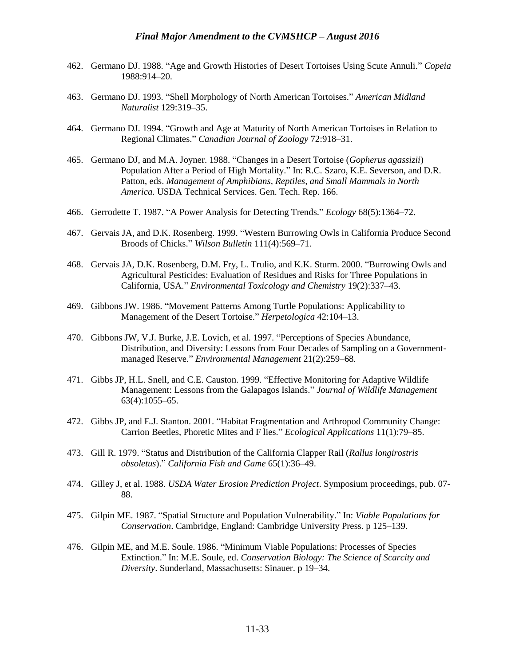- 462. Germano DJ. 1988. "Age and Growth Histories of Desert Tortoises Using Scute Annuli." *Copeia* 1988:914–20.
- 463. Germano DJ. 1993. "Shell Morphology of North American Tortoises." *American Midland Naturalist* 129:319–35.
- 464. Germano DJ. 1994. "Growth and Age at Maturity of North American Tortoises in Relation to Regional Climates." *Canadian Journal of Zoology* 72:918–31.
- 465. Germano DJ, and M.A. Joyner. 1988. "Changes in a Desert Tortoise (*Gopherus agassizii*) Population After a Period of High Mortality." In: R.C. Szaro, K.E. Severson, and D.R. Patton, eds. *Management of Amphibians, Reptiles, and Small Mammals in North America*. USDA Technical Services. Gen. Tech. Rep. 166.
- 466. Gerrodette T. 1987. "A Power Analysis for Detecting Trends." *Ecology* 68(5):1364–72.
- 467. Gervais JA, and D.K. Rosenberg. 1999. "Western Burrowing Owls in California Produce Second Broods of Chicks." *Wilson Bulletin* 111(4):569–71.
- 468. Gervais JA, D.K. Rosenberg, D.M. Fry, L. Trulio, and K.K. Sturm. 2000. "Burrowing Owls and Agricultural Pesticides: Evaluation of Residues and Risks for Three Populations in California, USA." *Environmental Toxicology and Chemistry* 19(2):337–43.
- 469. Gibbons JW. 1986. "Movement Patterns Among Turtle Populations: Applicability to Management of the Desert Tortoise." *Herpetologica* 42:104–13.
- 470. Gibbons JW, V.J. Burke, J.E. Lovich, et al. 1997. "Perceptions of Species Abundance, Distribution, and Diversity: Lessons from Four Decades of Sampling on a Governmentmanaged Reserve." *Environmental Management* 21(2):259–68.
- 471. Gibbs JP, H.L. Snell, and C.E. Causton. 1999. "Effective Monitoring for Adaptive Wildlife Management: Lessons from the Galapagos Islands." *Journal of Wildlife Management* 63(4):1055–65.
- 472. Gibbs JP, and E.J. Stanton. 2001. "Habitat Fragmentation and Arthropod Community Change: Carrion Beetles, Phoretic Mites and F lies." *Ecological Applications* 11(1):79–85.
- 473. Gill R. 1979. "Status and Distribution of the California Clapper Rail (*Rallus longirostris obsoletus*)." *California Fish and Game* 65(1):36–49.
- 474. Gilley J, et al. 1988. *USDA Water Erosion Prediction Project*. Symposium proceedings, pub. 07- 88.
- 475. Gilpin ME. 1987. "Spatial Structure and Population Vulnerability." In: *Viable Populations for Conservation*. Cambridge, England: Cambridge University Press. p 125–139.
- 476. Gilpin ME, and M.E. Soule. 1986. "Minimum Viable Populations: Processes of Species Extinction." In: M.E. Soule, ed. *Conservation Biology: The Science of Scarcity and Diversity*. Sunderland, Massachusetts: Sinauer. p 19–34.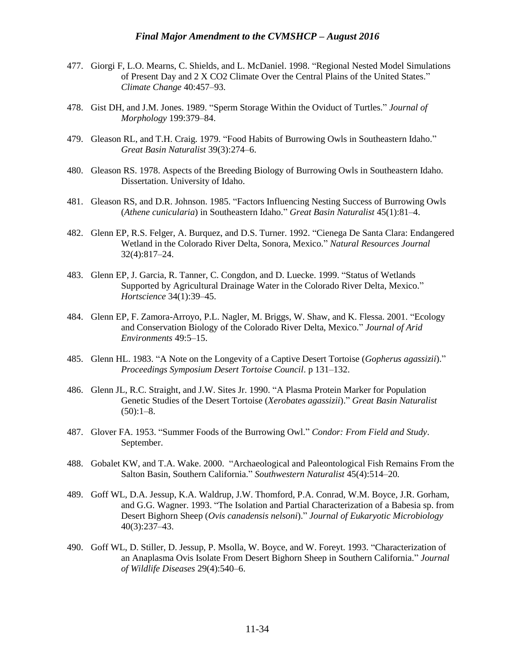- 477. Giorgi F, L.O. Mearns, C. Shields, and L. McDaniel. 1998. "Regional Nested Model Simulations of Present Day and 2 X CO2 Climate Over the Central Plains of the United States." *Climate Change* 40:457–93.
- 478. Gist DH, and J.M. Jones. 1989. "Sperm Storage Within the Oviduct of Turtles." *Journal of Morphology* 199:379–84.
- 479. Gleason RL, and T.H. Craig. 1979. "Food Habits of Burrowing Owls in Southeastern Idaho." *Great Basin Naturalist* 39(3):274–6.
- 480. Gleason RS. 1978. Aspects of the Breeding Biology of Burrowing Owls in Southeastern Idaho. Dissertation. University of Idaho.
- 481. Gleason RS, and D.R. Johnson. 1985. "Factors Influencing Nesting Success of Burrowing Owls (*Athene cunicularia*) in Southeastern Idaho." *Great Basin Naturalist* 45(1):81–4.
- 482. Glenn EP, R.S. Felger, A. Burquez, and D.S. Turner. 1992. "Cienega De Santa Clara: Endangered Wetland in the Colorado River Delta, Sonora, Mexico." *Natural Resources Journal* 32(4):817–24.
- 483. Glenn EP, J. Garcia, R. Tanner, C. Congdon, and D. Luecke. 1999. "Status of Wetlands Supported by Agricultural Drainage Water in the Colorado River Delta, Mexico." *Hortscience* 34(1):39–45.
- 484. Glenn EP, F. Zamora-Arroyo, P.L. Nagler, M. Briggs, W. Shaw, and K. Flessa. 2001. "Ecology and Conservation Biology of the Colorado River Delta, Mexico." *Journal of Arid Environments* 49:5–15.
- 485. Glenn HL. 1983. "A Note on the Longevity of a Captive Desert Tortoise (*Gopherus agassizii*)." *Proceedings Symposium Desert Tortoise Council*. p 131–132.
- 486. Glenn JL, R.C. Straight, and J.W. Sites Jr. 1990. "A Plasma Protein Marker for Population Genetic Studies of the Desert Tortoise (*Xerobates agassizii*)." *Great Basin Naturalist*  $(50):1-8.$
- 487. Glover FA. 1953. "Summer Foods of the Burrowing Owl." *Condor: From Field and Study*. September.
- 488. Gobalet KW, and T.A. Wake. 2000. "Archaeological and Paleontological Fish Remains From the Salton Basin, Southern California." *Southwestern Naturalist* 45(4):514–20.
- 489. Goff WL, D.A. Jessup, K.A. Waldrup, J.W. Thomford, P.A. Conrad, W.M. Boyce, J.R. Gorham, and G.G. Wagner. 1993. "The Isolation and Partial Characterization of a Babesia sp. from Desert Bighorn Sheep (*Ovis canadensis nelsoni*)." *Journal of Eukaryotic Microbiology* 40(3):237–43.
- 490. Goff WL, D. Stiller, D. Jessup, P. Msolla, W. Boyce, and W. Foreyt. 1993. "Characterization of an Anaplasma Ovis Isolate From Desert Bighorn Sheep in Southern California." *Journal of Wildlife Diseases* 29(4):540–6.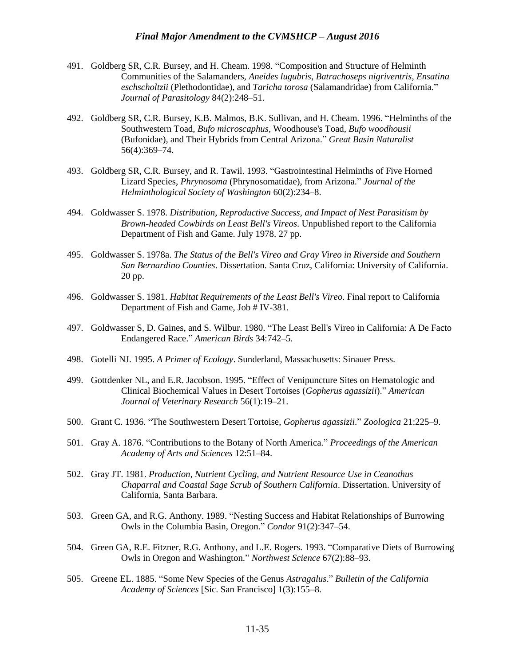- 491. Goldberg SR, C.R. Bursey, and H. Cheam. 1998. "Composition and Structure of Helminth Communities of the Salamanders, *Aneides lugubris*, *Batrachoseps nigriventris*, *Ensatina eschscholtzii* (Plethodontidae), and *Taricha torosa* (Salamandridae) from California." *Journal of Parasitology* 84(2):248–51.
- 492. Goldberg SR, C.R. Bursey, K.B. Malmos, B.K. Sullivan, and H. Cheam. 1996. "Helminths of the Southwestern Toad, *Bufo microscaphus*, Woodhouse's Toad, *Bufo woodhousii* (Bufonidae), and Their Hybrids from Central Arizona." *Great Basin Naturalist* 56(4):369–74.
- 493. Goldberg SR, C.R. Bursey, and R. Tawil. 1993. "Gastrointestinal Helminths of Five Horned Lizard Species, *Phrynosoma* (Phrynosomatidae), from Arizona." *Journal of the Helminthological Society of Washington* 60(2):234–8.
- 494. Goldwasser S. 1978. *Distribution, Reproductive Success, and Impact of Nest Parasitism by Brown-headed Cowbirds on Least Bell's Vireos*. Unpublished report to the California Department of Fish and Game. July 1978. 27 pp.
- 495. Goldwasser S. 1978a. *The Status of the Bell's Vireo and Gray Vireo in Riverside and Southern San Bernardino Counties*. Dissertation. Santa Cruz, California: University of California. 20 pp.
- 496. Goldwasser S. 1981. *Habitat Requirements of the Least Bell's Vireo*. Final report to California Department of Fish and Game, Job # IV-381.
- 497. Goldwasser S, D. Gaines, and S. Wilbur. 1980. "The Least Bell's Vireo in California: A De Facto Endangered Race." *American Birds* 34:742–5.
- 498. Gotelli NJ. 1995. *A Primer of Ecology*. Sunderland, Massachusetts: Sinauer Press.
- 499. Gottdenker NL, and E.R. Jacobson. 1995. "Effect of Venipuncture Sites on Hematologic and Clinical Biochemical Values in Desert Tortoises (*Gopherus agassizii*)." *American Journal of Veterinary Research* 56(1):19–21.
- 500. Grant C. 1936. "The Southwestern Desert Tortoise, *Gopherus agassizii*." *Zoologica* 21:225–9.
- 501. Gray A. 1876. "Contributions to the Botany of North America." *Proceedings of the American Academy of Arts and Sciences* 12:51–84.
- 502. Gray JT. 1981. *Production, Nutrient Cycling, and Nutrient Resource Use in Ceanothus Chaparral and Coastal Sage Scrub of Southern California*. Dissertation. University of California, Santa Barbara.
- 503. Green GA, and R.G. Anthony. 1989. "Nesting Success and Habitat Relationships of Burrowing Owls in the Columbia Basin, Oregon." *Condor* 91(2):347–54.
- 504. Green GA, R.E. Fitzner, R.G. Anthony, and L.E. Rogers. 1993. "Comparative Diets of Burrowing Owls in Oregon and Washington." *Northwest Science* 67(2):88–93.
- 505. Greene EL. 1885. "Some New Species of the Genus *Astragalus*." *Bulletin of the California Academy of Sciences* [Sic. San Francisco] 1(3):155–8.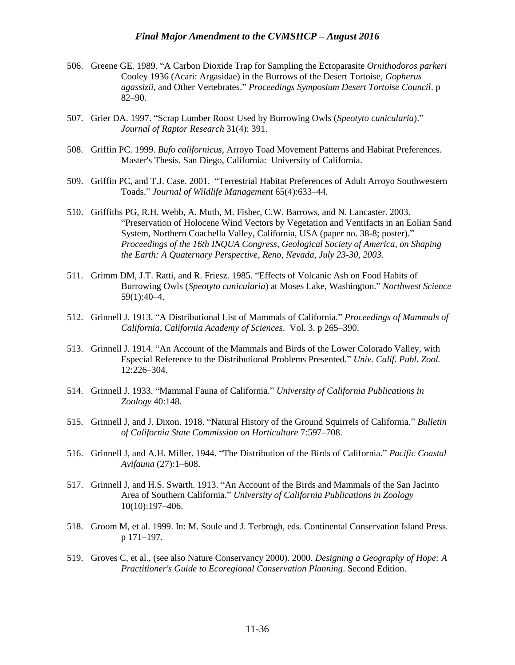- 506. Greene GE. 1989. "A Carbon Dioxide Trap for Sampling the Ectoparasite *Ornithodoros parkeri* Cooley 1936 (Acari: Argasidae) in the Burrows of the Desert Tortoise, *Gopherus agassizii*, and Other Vertebrates." *Proceedings Symposium Desert Tortoise Council*. p 82–90.
- 507. Grier DA. 1997. "Scrap Lumber Roost Used by Burrowing Owls (*Speotyto cunicularia*)." *Journal of Raptor Research* 31(4): 391.
- 508. Griffin PC. 1999. *Bufo californicus*, Arroyo Toad Movement Patterns and Habitat Preferences. Master's Thesis. San Diego, California: University of California.
- 509. Griffin PC, and T.J. Case. 2001. "Terrestrial Habitat Preferences of Adult Arroyo Southwestern Toads." *Journal of Wildlife Management* 65(4):633–44.
- 510. Griffiths PG, R.H. Webb, A. Muth, M. Fisher, C.W. Barrows, and N. Lancaster. 2003. "Preservation of Holocene Wind Vectors by Vegetation and Ventifacts in an Eolian Sand System, Northern Coachella Valley, California, USA (paper no. 38-8; poster)." *Proceedings of the 16th INQUA Congress, Geological Society of America, on Shaping the Earth: A Quaternary Perspective, Reno, Nevada, July 23-30, 2003*.
- 511. Grimm DM, J.T. Ratti, and R. Friesz. 1985. "Effects of Volcanic Ash on Food Habits of Burrowing Owls (*Speotyto cunicularia*) at Moses Lake, Washington." *Northwest Science* 59(1):40–4.
- 512. Grinnell J. 1913. "A Distributional List of Mammals of California." *Proceedings of Mammals of California, California Academy of Sciences*. Vol. 3. p 265–390.
- 513. Grinnell J. 1914. "An Account of the Mammals and Birds of the Lower Colorado Valley, with Especial Reference to the Distributional Problems Presented." *Univ. Calif. Publ. Zool.* 12:226–304.
- 514. Grinnell J. 1933. "Mammal Fauna of California." *University of California Publications in Zoology* 40:148.
- 515. Grinnell J, and J. Dixon. 1918. "Natural History of the Ground Squirrels of California." *Bulletin of California State Commission on Horticulture* 7:597–708.
- 516. Grinnell J, and A.H. Miller. 1944. "The Distribution of the Birds of California." *Pacific Coastal Avifauna* (27):1–608.
- 517. Grinnell J, and H.S. Swarth. 1913. "An Account of the Birds and Mammals of the San Jacinto Area of Southern California." *University of California Publications in Zoology* 10(10):197–406.
- 518. Groom M, et al. 1999. In: M. Soule and J. Terbrogh, eds. Continental Conservation Island Press. p 171–197.
- 519. Groves C, et al., (see also Nature Conservancy 2000). 2000. *Designing a Geography of Hope: A Practitioner's Guide to Ecoregional Conservation Planning*. Second Edition.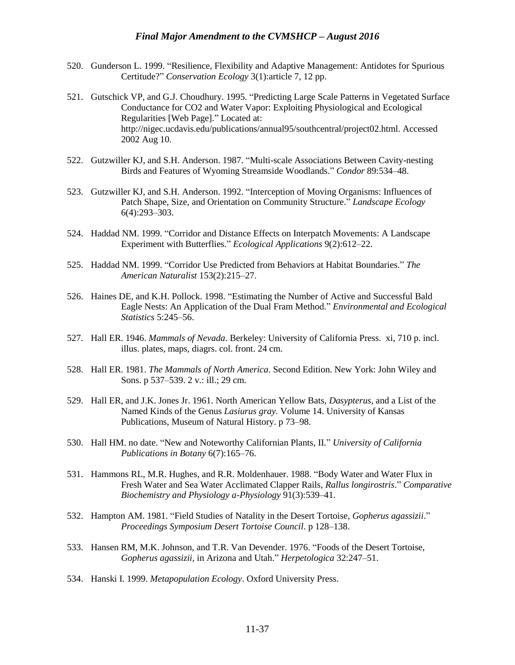- 520. Gunderson L. 1999. "Resilience, Flexibility and Adaptive Management: Antidotes for Spurious Certitude?" *Conservation Ecology* 3(1):article 7, 12 pp.
- 521. Gutschick VP, and G.J. Choudhury. 1995. "Predicting Large Scale Patterns in Vegetated Surface Conductance for CO2 and Water Vapor: Exploiting Physiological and Ecological Regularities [Web Page]." Located at: http://nigec.ucdavis.edu/publications/annual95/southcentral/project02.html. Accessed 2002 Aug 10.
- 522. Gutzwiller KJ, and S.H. Anderson. 1987. "Multi-scale Associations Between Cavity-nesting Birds and Features of Wyoming Streamside Woodlands." *Condor* 89:534–48.
- 523. Gutzwiller KJ, and S.H. Anderson. 1992. "Interception of Moving Organisms: Influences of Patch Shape, Size, and Orientation on Community Structure." *Landscape Ecology* 6(4):293–303.
- 524. Haddad NM. 1999. "Corridor and Distance Effects on Interpatch Movements: A Landscape Experiment with Butterflies." *Ecological Applications* 9(2):612–22.
- 525. Haddad NM. 1999. "Corridor Use Predicted from Behaviors at Habitat Boundaries." *The American Naturalist* 153(2):215–27.
- 526. Haines DE, and K.H. Pollock. 1998. "Estimating the Number of Active and Successful Bald Eagle Nests: An Application of the Dual Fram Method." *Environmental and Ecological Statistics* 5:245–56.
- 527. Hall ER. 1946. *Mammals of Nevada*. Berkeley: University of California Press. xi, 710 p. incl. illus. plates, maps, diagrs. col. front. 24 cm.
- 528. Hall ER. 1981. *The Mammals of North America*. Second Edition. New York: John Wiley and Sons. p 537–539. 2 v.: ill.; 29 cm.
- 529. Hall ER, and J.K. Jones Jr. 1961. North American Yellow Bats, *Dasypterus*, and a List of the Named Kinds of the Genus *Lasiurus gray.* Volume 14. University of Kansas Publications, Museum of Natural History. p 73–98.
- 530. Hall HM. no date. "New and Noteworthy Californian Plants, II." *University of California Publications in Botany* 6(7):165–76.
- 531. Hammons RL, M.R. Hughes, and R.R. Moldenhauer. 1988. "Body Water and Water Flux in Fresh Water and Sea Water Acclimated Clapper Rails, *Rallus longirostris*." *Comparative Biochemistry and Physiology a-Physiology* 91(3):539–41.
- 532. Hampton AM. 1981. "Field Studies of Natality in the Desert Tortoise, *Gopherus agassizii*." *Proceedings Symposium Desert Tortoise Council*. p 128–138.
- 533. Hansen RM, M.K. Johnson, and T.R. Van Devender. 1976. "Foods of the Desert Tortoise, *Gopherus agassizii,* in Arizona and Utah." *Herpetologica* 32:247–51.
- 534. Hanski I. 1999. *Metapopulation Ecology*. Oxford University Press.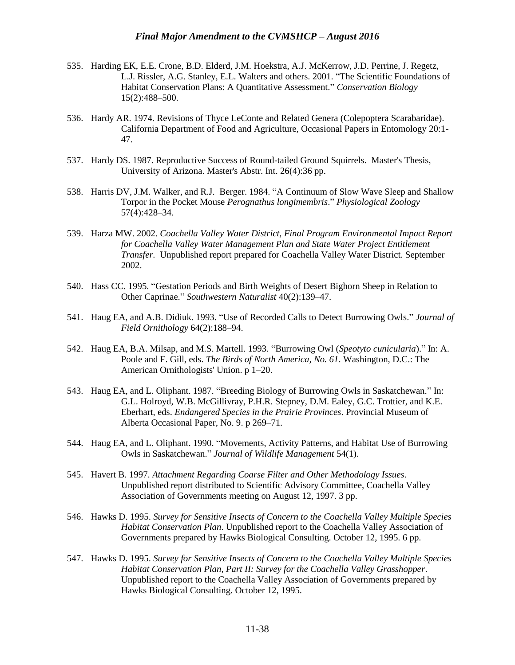- 535. Harding EK, E.E. Crone, B.D. Elderd, J.M. Hoekstra, A.J. McKerrow, J.D. Perrine, J. Regetz, L.J. Rissler, A.G. Stanley, E.L. Walters and others. 2001. "The Scientific Foundations of Habitat Conservation Plans: A Quantitative Assessment." *Conservation Biology*  15(2):488–500.
- 536. Hardy AR. 1974. Revisions of Thyce LeConte and Related Genera (Colepoptera Scarabaridae). California Department of Food and Agriculture, Occasional Papers in Entomology 20:1- 47.
- 537. Hardy DS. 1987. Reproductive Success of Round-tailed Ground Squirrels. Master's Thesis, University of Arizona. Master's Abstr. Int. 26(4):36 pp.
- 538. Harris DV, J.M. Walker, and R.J. Berger. 1984. "A Continuum of Slow Wave Sleep and Shallow Torpor in the Pocket Mouse *Perognathus longimembris*." *Physiological Zoology* 57(4):428–34.
- 539. Harza MW. 2002. *Coachella Valley Water District, Final Program Environmental Impact Report for Coachella Valley Water Management Plan and State Water Project Entitlement Transfer.* Unpublished report prepared for Coachella Valley Water District. September 2002.
- 540. Hass CC. 1995. "Gestation Periods and Birth Weights of Desert Bighorn Sheep in Relation to Other Caprinae." *Southwestern Naturalist* 40(2):139–47.
- 541. Haug EA, and A.B. Didiuk. 1993. "Use of Recorded Calls to Detect Burrowing Owls." *Journal of Field Ornithology* 64(2):188–94.
- 542. Haug EA, B.A. Milsap, and M.S. Martell. 1993. "Burrowing Owl (*Speotyto cunicularia*)." In: A. Poole and F. Gill, eds. *The Birds of North America, No. 61*. Washington, D.C.: The American Ornithologists' Union. p 1–20.
- 543. Haug EA, and L. Oliphant. 1987. "Breeding Biology of Burrowing Owls in Saskatchewan." In: G.L. Holroyd, W.B. McGillivray, P.H.R. Stepney, D.M. Ealey, G.C. Trottier, and K.E. Eberhart, eds. *Endangered Species in the Prairie Provinces*. Provincial Museum of Alberta Occasional Paper, No. 9. p 269–71.
- 544. Haug EA, and L. Oliphant. 1990. "Movements, Activity Patterns, and Habitat Use of Burrowing Owls in Saskatchewan." *Journal of Wildlife Management* 54(1).
- 545. Havert B. 1997. *Attachment Regarding Coarse Filter and Other Methodology Issues*. Unpublished report distributed to Scientific Advisory Committee, Coachella Valley Association of Governments meeting on August 12, 1997. 3 pp.
- 546. Hawks D. 1995. *Survey for Sensitive Insects of Concern to the Coachella Valley Multiple Species Habitat Conservation Plan*. Unpublished report to the Coachella Valley Association of Governments prepared by Hawks Biological Consulting. October 12, 1995. 6 pp.
- 547. Hawks D. 1995. *Survey for Sensitive Insects of Concern to the Coachella Valley Multiple Species Habitat Conservation Plan, Part II: Survey for the Coachella Valley Grasshopper*. Unpublished report to the Coachella Valley Association of Governments prepared by Hawks Biological Consulting. October 12, 1995.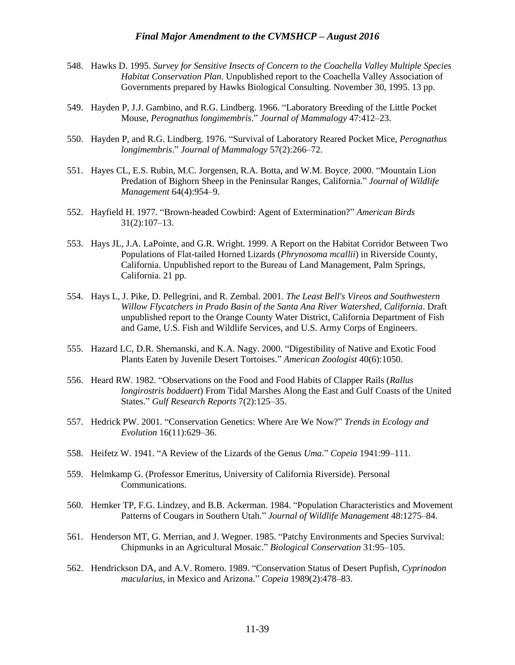- 548. Hawks D. 1995. *Survey for Sensitive Insects of Concern to the Coachella Valley Multiple Species Habitat Conservation Plan*. Unpublished report to the Coachella Valley Association of Governments prepared by Hawks Biological Consulting. November 30, 1995. 13 pp.
- 549. Hayden P, J.J. Gambino, and R.G. Lindberg. 1966. "Laboratory Breeding of the Little Pocket Mouse, *Perognathus longimembris*." *Journal of Mammalogy* 47:412–23.
- 550. Hayden P, and R.G. Lindberg. 1976. "Survival of Laboratory Reared Pocket Mice, *Perognathus longimembris*." *Journal of Mammalogy* 57(2):266–72.
- 551. Hayes CL, E.S. Rubin, M.C. Jorgensen, R.A. Botta, and W.M. Boyce. 2000. "Mountain Lion Predation of Bighorn Sheep in the Peninsular Ranges, California." *Journal of Wildlife Management* 64(4):954–9.
- 552. Hayfield H. 1977. "Brown-headed Cowbird: Agent of Extermination?" *American Birds* 31(2):107–13.
- 553. Hays JL, J.A. LaPointe, and G.R. Wright. 1999. A Report on the Habitat Corridor Between Two Populations of Flat-tailed Horned Lizards (*Phrynosoma mcallii*) in Riverside County, California. Unpublished report to the Bureau of Land Management, Palm Springs, California. 21 pp.
- 554. Hays L, J. Pike, D. Pellegrini, and R. Zembal. 2001. *The Least Bell's Vireos and Southwestern Willow Flycatchers in Prado Basin of the Santa Ana River Watershed, California*. Draft unpublished report to the Orange County Water District, California Department of Fish and Game, U.S. Fish and Wildlife Services, and U.S. Army Corps of Engineers.
- 555. Hazard LC, D.R. Shemanski, and K.A. Nagy. 2000. "Digestibility of Native and Exotic Food Plants Eaten by Juvenile Desert Tortoises." *American Zoologist* 40(6):1050.
- 556. Heard RW. 1982. "Observations on the Food and Food Habits of Clapper Rails (*Rallus longirostris boddaert*) From Tidal Marshes Along the East and Gulf Coasts of the United States." *Gulf Research Reports* 7(2):125–35.
- 557. Hedrick PW. 2001. "Conservation Genetics: Where Are We Now?" *Trends in Ecology and Evolution* 16(11):629–36.
- 558. Heifetz W. 1941. "A Review of the Lizards of the Genus *Uma*." *Copeia* 1941:99–111.
- 559. Helmkamp G. (Professor Emeritus, University of California Riverside). Personal Communications.
- 560. Hemker TP, F.G. Lindzey, and B.B. Ackerman. 1984. "Population Characteristics and Movement Patterns of Cougars in Southern Utah." *Journal of Wildlife Management* 48:1275–84.
- 561. Henderson MT, G. Merrian, and J. Wegner. 1985. "Patchy Environments and Species Survival: Chipmunks in an Agricultural Mosaic." *Biological Conservation* 31:95–105.
- 562. Hendrickson DA, and A.V. Romero. 1989. "Conservation Status of Desert Pupfish, *Cyprinodon macularius*, in Mexico and Arizona." *Copeia* 1989(2):478–83.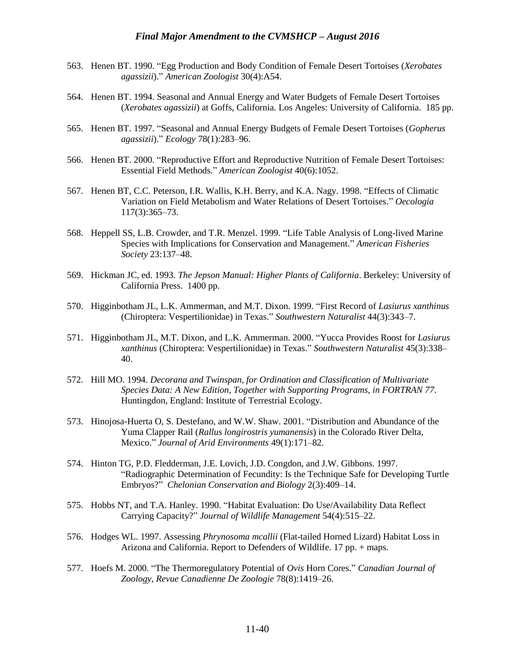- 563. Henen BT. 1990. "Egg Production and Body Condition of Female Desert Tortoises (*Xerobates agassizii*)." *American Zoologist* 30(4):A54.
- 564. Henen BT. 1994. Seasonal and Annual Energy and Water Budgets of Female Desert Tortoises (*Xerobates agassizii*) at Goffs, California. Los Angeles: University of California. 185 pp.
- 565. Henen BT. 1997. "Seasonal and Annual Energy Budgets of Female Desert Tortoises (*Gopherus agassizii*)." *Ecology* 78(1):283–96.
- 566. Henen BT. 2000. "Reproductive Effort and Reproductive Nutrition of Female Desert Tortoises: Essential Field Methods." *American Zoologist* 40(6):1052.
- 567. Henen BT, C.C. Peterson, I.R. Wallis, K.H. Berry, and K.A. Nagy. 1998. "Effects of Climatic Variation on Field Metabolism and Water Relations of Desert Tortoises." *Oecologia* 117(3):365–73.
- 568. Heppell SS, L.B. Crowder, and T.R. Menzel. 1999. "Life Table Analysis of Long-lived Marine Species with Implications for Conservation and Management." *American Fisheries Society* 23:137–48.
- 569. Hickman JC, ed. 1993. *The Jepson Manual: Higher Plants of California*. Berkeley: University of California Press. 1400 pp.
- 570. Higginbotham JL, L.K. Ammerman, and M.T. Dixon. 1999. "First Record of *Lasiurus xanthinus* (Chiroptera: Vespertilionidae) in Texas." *Southwestern Naturalist* 44(3):343–7.
- 571. Higginbotham JL, M.T. Dixon, and L.K. Ammerman. 2000. "Yucca Provides Roost for *Lasiurus xanthinus* (Chiroptera: Vespertilionidae) in Texas." *Southwestern Naturalist* 45(3):338– 40.
- 572. Hill MO. 1994. *Decorana and Twinspan, for Ordination and Classification of Multivariate Species Data: A New Edition, Together with Supporting Programs, in FORTRAN 77*. Huntingdon, England: Institute of Terrestrial Ecology.
- 573. Hinojosa-Huerta O, S. Destefano, and W.W. Shaw. 2001. "Distribution and Abundance of the Yuma Clapper Rail (*Rallus longirostris yumanensis*) in the Colorado River Delta, Mexico." *Journal of Arid Environments* 49(1):171–82.
- 574. Hinton TG, P.D. Fledderman, J.E. Lovich, J.D. Congdon, and J.W. Gibbons. 1997. "Radiographic Determination of Fecundity: Is the Technique Safe for Developing Turtle Embryos?" *Chelonian Conservation and Biology* 2(3):409–14.
- 575. Hobbs NT, and T.A. Hanley. 1990. "Habitat Evaluation: Do Use/Availability Data Reflect Carrying Capacity?" *Journal of Wildlife Management* 54(4):515–22.
- 576. Hodges WL. 1997. Assessing *Phrynosoma mcallii* (Flat-tailed Horned Lizard) Habitat Loss in Arizona and California. Report to Defenders of Wildlife. 17 pp. + maps.
- 577. Hoefs M. 2000. "The Thermoregulatory Potential of *Ovis* Horn Cores." *Canadian Journal of Zoology, Revue Canadienne De Zoologie* 78(8):1419–26.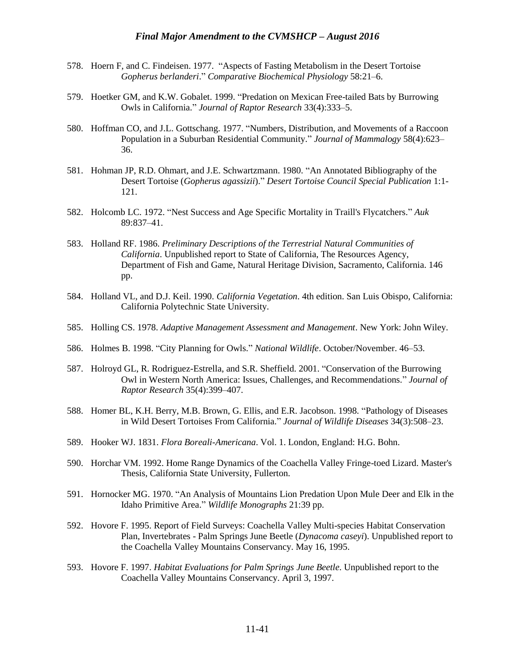- 578. Hoern F, and C. Findeisen. 1977. "Aspects of Fasting Metabolism in the Desert Tortoise *Gopherus berlanderi*." *Comparative Biochemical Physiology* 58:21–6.
- 579. Hoetker GM, and K.W. Gobalet. 1999. "Predation on Mexican Free-tailed Bats by Burrowing Owls in California." *Journal of Raptor Research* 33(4):333–5.
- 580. Hoffman CO, and J.L. Gottschang. 1977. "Numbers, Distribution, and Movements of a Raccoon Population in a Suburban Residential Community." *Journal of Mammalogy* 58(4):623– 36.
- 581. Hohman JP, R.D. Ohmart, and J.E. Schwartzmann. 1980. "An Annotated Bibliography of the Desert Tortoise (*Gopherus agassizii*)." *Desert Tortoise Council Special Publication* 1:1- 121.
- 582. Holcomb LC. 1972. "Nest Success and Age Specific Mortality in Traill's Flycatchers." *Auk* 89:837–41.
- 583. Holland RF. 1986. *Preliminary Descriptions of the Terrestrial Natural Communities of California*. Unpublished report to State of California, The Resources Agency, Department of Fish and Game, Natural Heritage Division, Sacramento, California. 146 pp.
- 584. Holland VL, and D.J. Keil. 1990. *California Vegetation*. 4th edition. San Luis Obispo, California: California Polytechnic State University.
- 585. Holling CS. 1978. *Adaptive Management Assessment and Management*. New York: John Wiley.
- 586. Holmes B. 1998. "City Planning for Owls." *National Wildlife*. October/November. 46–53.
- 587. Holroyd GL, R. Rodriguez-Estrella, and S.R. Sheffield. 2001. "Conservation of the Burrowing Owl in Western North America: Issues, Challenges, and Recommendations." *Journal of Raptor Research* 35(4):399–407.
- 588. Homer BL, K.H. Berry, M.B. Brown, G. Ellis, and E.R. Jacobson. 1998. "Pathology of Diseases in Wild Desert Tortoises From California." *Journal of Wildlife Diseases* 34(3):508–23.
- 589. Hooker WJ. 1831. *Flora Boreali-Americana*. Vol. 1. London, England: H.G. Bohn.
- 590. Horchar VM. 1992. Home Range Dynamics of the Coachella Valley Fringe-toed Lizard. Master's Thesis, California State University, Fullerton.
- 591. Hornocker MG. 1970. "An Analysis of Mountains Lion Predation Upon Mule Deer and Elk in the Idaho Primitive Area." *Wildlife Monographs* 21:39 pp.
- 592. Hovore F. 1995. Report of Field Surveys: Coachella Valley Multi-species Habitat Conservation Plan, Invertebrates - Palm Springs June Beetle (*Dynacoma caseyi*). Unpublished report to the Coachella Valley Mountains Conservancy. May 16, 1995.
- 593. Hovore F. 1997. *Habitat Evaluations for Palm Springs June Beetle*. Unpublished report to the Coachella Valley Mountains Conservancy. April 3, 1997.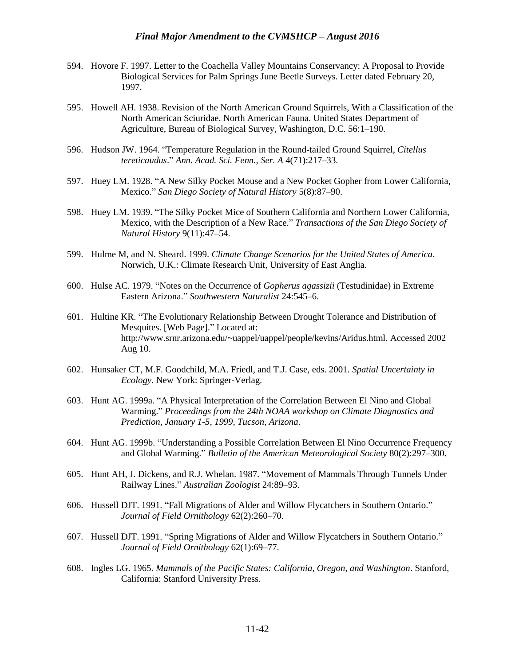- 594. Hovore F. 1997. Letter to the Coachella Valley Mountains Conservancy: A Proposal to Provide Biological Services for Palm Springs June Beetle Surveys. Letter dated February 20, 1997.
- 595. Howell AH. 1938. Revision of the North American Ground Squirrels, With a Classification of the North American Sciuridae. North American Fauna. United States Department of Agriculture, Bureau of Biological Survey, Washington, D.C. 56:1–190.
- 596. Hudson JW. 1964. "Temperature Regulation in the Round-tailed Ground Squirrel, *Citellus tereticaudus*." *Ann. Acad. Sci. Fenn., Ser. A* 4(71):217–33.
- 597. Huey LM. 1928. "A New Silky Pocket Mouse and a New Pocket Gopher from Lower California, Mexico." *San Diego Society of Natural History* 5(8):87–90.
- 598. Huey LM. 1939. "The Silky Pocket Mice of Southern California and Northern Lower California, Mexico, with the Description of a New Race." *Transactions of the San Diego Society of Natural History* 9(11):47–54.
- 599. Hulme M, and N. Sheard. 1999. *Climate Change Scenarios for the United States of America*. Norwich, U.K.: Climate Research Unit, University of East Anglia.
- 600. Hulse AC. 1979. "Notes on the Occurrence of *Gopherus agassizii* (Testudinidae) in Extreme Eastern Arizona." *Southwestern Naturalist* 24:545–6.
- 601. Hultine KR. "The Evolutionary Relationship Between Drought Tolerance and Distribution of Mesquites. [Web Page]." Located at: http://www.srnr.arizona.edu/~uappel/uappel/people/kevins/Aridus.html. Accessed 2002 Aug 10.
- 602. Hunsaker CT, M.F. Goodchild, M.A. Friedl, and T.J. Case, eds. 2001. *Spatial Uncertainty in Ecology*. New York: Springer-Verlag.
- 603. Hunt AG. 1999a. "A Physical Interpretation of the Correlation Between El Nino and Global Warming." *Proceedings from the 24th NOAA workshop on Climate Diagnostics and Prediction, January 1-5, 1999, Tucson, Arizona*.
- 604. Hunt AG. 1999b. "Understanding a Possible Correlation Between El Nino Occurrence Frequency and Global Warming." *Bulletin of the American Meteorological Society* 80(2):297–300.
- 605. Hunt AH, J. Dickens, and R.J. Whelan. 1987. "Movement of Mammals Through Tunnels Under Railway Lines." *Australian Zoologist* 24:89–93.
- 606. Hussell DJT. 1991. "Fall Migrations of Alder and Willow Flycatchers in Southern Ontario." *Journal of Field Ornithology* 62(2):260–70.
- 607. Hussell DJT. 1991. "Spring Migrations of Alder and Willow Flycatchers in Southern Ontario." *Journal of Field Ornithology* 62(1):69–77.
- 608. Ingles LG. 1965. *Mammals of the Pacific States: California, Oregon, and Washington*. Stanford, California: Stanford University Press.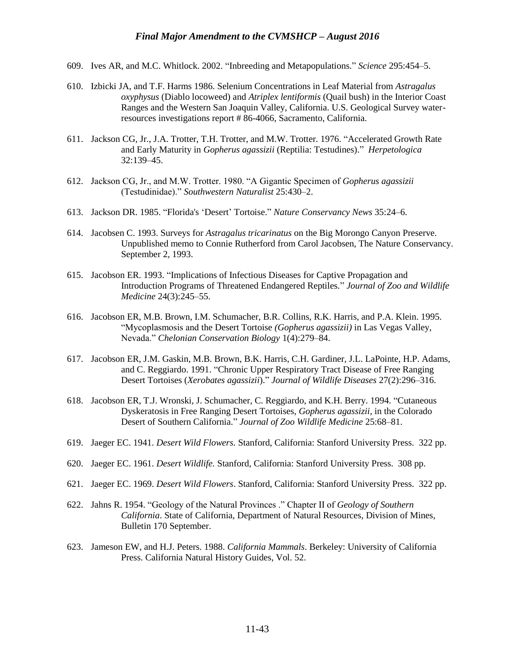- 609. Ives AR, and M.C. Whitlock. 2002. "Inbreeding and Metapopulations." *Science* 295:454–5.
- 610. Izbicki JA, and T.F. Harms 1986. Selenium Concentrations in Leaf Material from *Astragalus oxyphysus* (Diablo locoweed) and *Atriplex lentiformis* (Quail bush) in the Interior Coast Ranges and the Western San Joaquin Valley, California. U.S. Geological Survey waterresources investigations report # 86-4066, Sacramento, California.
- 611. Jackson CG, Jr., J.A. Trotter, T.H. Trotter, and M.W. Trotter. 1976. "Accelerated Growth Rate and Early Maturity in *Gopherus agassizii* (Reptilia: Testudines)." *Herpetologica* 32:139–45.
- 612. Jackson CG, Jr., and M.W. Trotter. 1980. "A Gigantic Specimen of *Gopherus agassizii*  (Testudinidae)." *Southwestern Naturalist* 25:430–2.
- 613. Jackson DR. 1985. "Florida's 'Desert' Tortoise." *Nature Conservancy News* 35:24–6.
- 614. Jacobsen C. 1993. Surveys for *Astragalus tricarinatus* on the Big Morongo Canyon Preserve. Unpublished memo to Connie Rutherford from Carol Jacobsen, The Nature Conservancy. September 2, 1993.
- 615. Jacobson ER. 1993. "Implications of Infectious Diseases for Captive Propagation and Introduction Programs of Threatened Endangered Reptiles." *Journal of Zoo and Wildlife Medicine* 24(3):245–55.
- 616. Jacobson ER, M.B. Brown, I.M. Schumacher, B.R. Collins, R.K. Harris, and P.A. Klein. 1995. "Mycoplasmosis and the Desert Tortoise *(Gopherus agassizii)* in Las Vegas Valley, Nevada." *Chelonian Conservation Biology* 1(4):279–84.
- 617. Jacobson ER, J.M. Gaskin, M.B. Brown, B.K. Harris, C.H. Gardiner, J.L. LaPointe, H.P. Adams, and C. Reggiardo. 1991. "Chronic Upper Respiratory Tract Disease of Free Ranging Desert Tortoises (*Xerobates agassizii*)." *Journal of Wildlife Diseases* 27(2):296–316.
- 618. Jacobson ER, T.J. Wronski, J. Schumacher, C. Reggiardo, and K.H. Berry. 1994. "Cutaneous Dyskeratosis in Free Ranging Desert Tortoises, *Gopherus agassizii*, in the Colorado Desert of Southern California." *Journal of Zoo Wildlife Medicine* 25:68–81.
- 619. Jaeger EC. 1941. *Desert Wild Flowers.* Stanford, California: Stanford University Press. 322 pp.
- 620. Jaeger EC. 1961. *Desert Wildlife.* Stanford, California: Stanford University Press. 308 pp.
- 621. Jaeger EC. 1969. *Desert Wild Flowers*. Stanford, California: Stanford University Press. 322 pp.
- 622. Jahns R. 1954. "Geology of the Natural Provinces ." Chapter II of *Geology of Southern California*. State of California, Department of Natural Resources, Division of Mines, Bulletin 170 September.
- 623. Jameson EW, and H.J. Peters. 1988. *California Mammals*. Berkeley: University of California Press. California Natural History Guides, Vol. 52.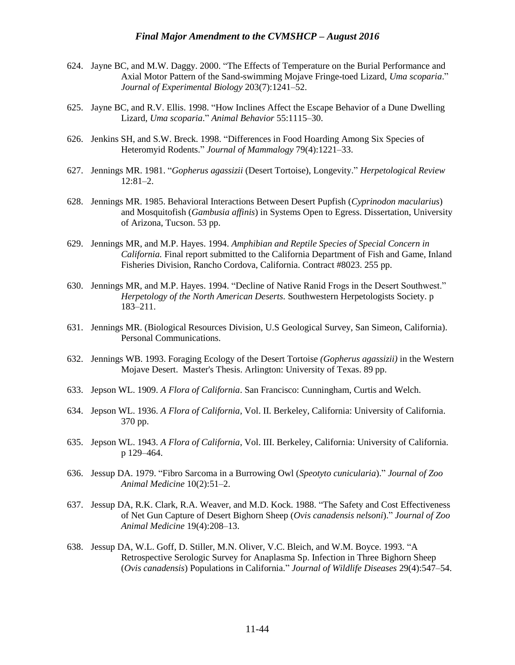- 624. Jayne BC, and M.W. Daggy. 2000. "The Effects of Temperature on the Burial Performance and Axial Motor Pattern of the Sand-swimming Mojave Fringe-toed Lizard, *Uma scoparia*." *Journal of Experimental Biology* 203(7):1241–52.
- 625. Jayne BC, and R.V. Ellis. 1998. "How Inclines Affect the Escape Behavior of a Dune Dwelling Lizard, *Uma scoparia*." *Animal Behavior* 55:1115–30.
- 626. Jenkins SH, and S.W. Breck. 1998. "Differences in Food Hoarding Among Six Species of Heteromyid Rodents." *Journal of Mammalogy* 79(4):1221–33.
- 627. Jennings MR. 1981. "*Gopherus agassizii* (Desert Tortoise), Longevity." *Herpetological Review* 12:81–2.
- 628. Jennings MR. 1985. Behavioral Interactions Between Desert Pupfish (*Cyprinodon macularius*) and Mosquitofish (*Gambusia affinis*) in Systems Open to Egress. Dissertation, University of Arizona, Tucson. 53 pp.
- 629. Jennings MR, and M.P. Hayes. 1994. *Amphibian and Reptile Species of Special Concern in California.* Final report submitted to the California Department of Fish and Game, Inland Fisheries Division, Rancho Cordova, California. Contract #8023. 255 pp.
- 630. Jennings MR, and M.P. Hayes. 1994. "Decline of Native Ranid Frogs in the Desert Southwest." *Herpetology of the North American Deserts.* Southwestern Herpetologists Society. p 183–211.
- 631. Jennings MR. (Biological Resources Division, U.S Geological Survey, San Simeon, California). Personal Communications.
- 632. Jennings WB. 1993. Foraging Ecology of the Desert Tortoise *(Gopherus agassizii)* in the Western Mojave Desert. Master's Thesis. Arlington: University of Texas. 89 pp.
- 633. Jepson WL. 1909. *A Flora of California*. San Francisco: Cunningham, Curtis and Welch.
- 634. Jepson WL. 1936. *A Flora of California*, Vol. II. Berkeley, California: University of California. 370 pp.
- 635. Jepson WL. 1943. *A Flora of California*, Vol. III. Berkeley, California: University of California. p 129–464.
- 636. Jessup DA. 1979. "Fibro Sarcoma in a Burrowing Owl (*Speotyto cunicularia*)." *Journal of Zoo Animal Medicine* 10(2):51–2.
- 637. Jessup DA, R.K. Clark, R.A. Weaver, and M.D. Kock. 1988. "The Safety and Cost Effectiveness of Net Gun Capture of Desert Bighorn Sheep (*Ovis canadensis nelsoni*)." *Journal of Zoo Animal Medicine* 19(4):208–13.
- 638. Jessup DA, W.L. Goff, D. Stiller, M.N. Oliver, V.C. Bleich, and W.M. Boyce. 1993. "A Retrospective Serologic Survey for Anaplasma Sp. Infection in Three Bighorn Sheep (*Ovis canadensis*) Populations in California." *Journal of Wildlife Diseases* 29(4):547–54.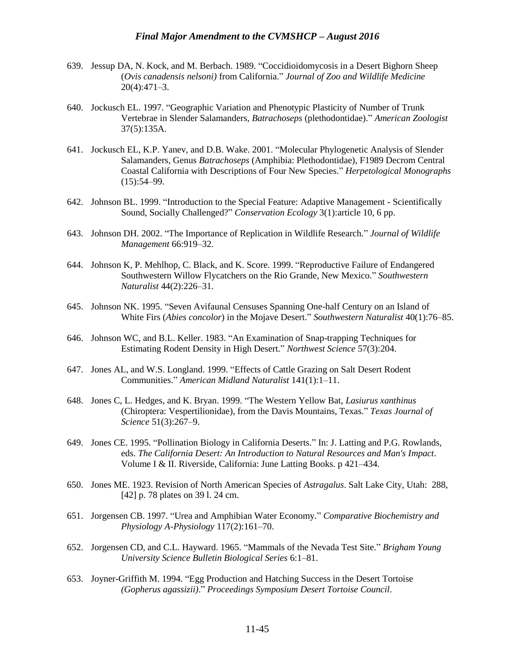- 639. Jessup DA, N. Kock, and M. Berbach. 1989. "Coccidioidomycosis in a Desert Bighorn Sheep (*Ovis canadensis nelsoni)* from California." *Journal of Zoo and Wildlife Medicine* 20(4):471–3.
- 640. Jockusch EL. 1997. "Geographic Variation and Phenotypic Plasticity of Number of Trunk Vertebrae in Slender Salamanders, *Batrachoseps* (plethodontidae)." *American Zoologist* 37(5):135A.
- 641. Jockusch EL, K.P. Yanev, and D.B. Wake. 2001. "Molecular Phylogenetic Analysis of Slender Salamanders, Genus *Batrachoseps* (Amphibia: Plethodontidae), F1989 Decrom Central Coastal California with Descriptions of Four New Species." *Herpetological Monographs*  $(15):54-99.$
- 642. Johnson BL. 1999. "Introduction to the Special Feature: Adaptive Management Scientifically Sound, Socially Challenged?" *Conservation Ecology* 3(1):article 10, 6 pp.
- 643. Johnson DH. 2002. "The Importance of Replication in Wildlife Research." *Journal of Wildlife Management* 66:919–32.
- 644. Johnson K, P. Mehlhop, C. Black, and K. Score. 1999. "Reproductive Failure of Endangered Southwestern Willow Flycatchers on the Rio Grande, New Mexico." *Southwestern Naturalist* 44(2):226–31.
- 645. Johnson NK. 1995. "Seven Avifaunal Censuses Spanning One-half Century on an Island of White Firs (*Abies concolor*) in the Mojave Desert." *Southwestern Naturalist* 40(1):76–85.
- 646. Johnson WC, and B.L. Keller. 1983. "An Examination of Snap-trapping Techniques for Estimating Rodent Density in High Desert." *Northwest Science* 57(3):204.
- 647. Jones AL, and W.S. Longland. 1999. "Effects of Cattle Grazing on Salt Desert Rodent Communities." *American Midland Naturalist* 141(1):1–11.
- 648. Jones C, L. Hedges, and K. Bryan. 1999. "The Western Yellow Bat, *Lasiurus xanthinus* (Chiroptera: Vespertilionidae), from the Davis Mountains, Texas." *Texas Journal of Science* 51(3):267–9.
- 649. Jones CE. 1995. "Pollination Biology in California Deserts." In: J. Latting and P.G. Rowlands, eds. *The California Desert: An Introduction to Natural Resources and Man's Impact*. Volume I & II. Riverside, California: June Latting Books. p 421–434.
- 650. Jones ME. 1923. Revision of North American Species of *Astragalus*. Salt Lake City, Utah: 288, [42] p. 78 plates on 39 l. 24 cm.
- 651. Jorgensen CB. 1997. "Urea and Amphibian Water Economy." *Comparative Biochemistry and Physiology A-Physiology* 117(2):161–70.
- 652. Jorgensen CD, and C.L. Hayward. 1965. "Mammals of the Nevada Test Site." *Brigham Young University Science Bulletin Biological Series* 6:1–81.
- 653. Joyner-Griffith M. 1994. "Egg Production and Hatching Success in the Desert Tortoise *(Gopherus agassizii)*." *Proceedings Symposium Desert Tortoise Council*.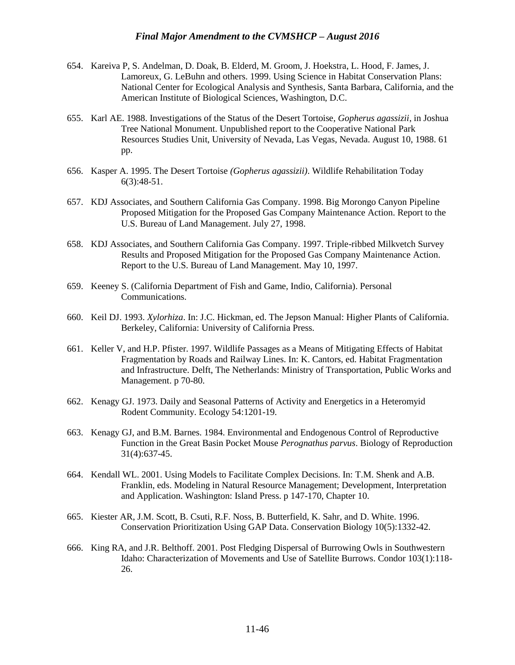- 654. Kareiva P, S. Andelman, D. Doak, B. Elderd, M. Groom, J. Hoekstra, L. Hood, F. James, J. Lamoreux, G. LeBuhn and others. 1999. Using Science in Habitat Conservation Plans: National Center for Ecological Analysis and Synthesis, Santa Barbara, California, and the American Institute of Biological Sciences, Washington, D.C.
- 655. Karl AE. 1988. Investigations of the Status of the Desert Tortoise, *Gopherus agassizii*, in Joshua Tree National Monument. Unpublished report to the Cooperative National Park Resources Studies Unit, University of Nevada, Las Vegas, Nevada. August 10, 1988. 61 pp.
- 656. Kasper A. 1995. The Desert Tortoise *(Gopherus agassizii)*. Wildlife Rehabilitation Today 6(3):48-51.
- 657. KDJ Associates, and Southern California Gas Company. 1998. Big Morongo Canyon Pipeline Proposed Mitigation for the Proposed Gas Company Maintenance Action. Report to the U.S. Bureau of Land Management. July 27, 1998.
- 658. KDJ Associates, and Southern California Gas Company. 1997. Triple-ribbed Milkvetch Survey Results and Proposed Mitigation for the Proposed Gas Company Maintenance Action. Report to the U.S. Bureau of Land Management. May 10, 1997.
- 659. Keeney S. (California Department of Fish and Game, Indio, California). Personal Communications.
- 660. Keil DJ. 1993. *Xylorhiza*. In: J.C. Hickman, ed. The Jepson Manual: Higher Plants of California. Berkeley, California: University of California Press.
- 661. Keller V, and H.P. Pfister. 1997. Wildlife Passages as a Means of Mitigating Effects of Habitat Fragmentation by Roads and Railway Lines. In: K. Cantors, ed. Habitat Fragmentation and Infrastructure. Delft, The Netherlands: Ministry of Transportation, Public Works and Management. p 70-80.
- 662. Kenagy GJ. 1973. Daily and Seasonal Patterns of Activity and Energetics in a Heteromyid Rodent Community. Ecology 54:1201-19.
- 663. Kenagy GJ, and B.M. Barnes. 1984. Environmental and Endogenous Control of Reproductive Function in the Great Basin Pocket Mouse *Perognathus parvus*. Biology of Reproduction 31(4):637-45.
- 664. Kendall WL. 2001. Using Models to Facilitate Complex Decisions. In: T.M. Shenk and A.B. Franklin, eds. Modeling in Natural Resource Management; Development, Interpretation and Application. Washington: Island Press. p 147-170, Chapter 10.
- 665. Kiester AR, J.M. Scott, B. Csuti, R.F. Noss, B. Butterfield, K. Sahr, and D. White. 1996. Conservation Prioritization Using GAP Data. Conservation Biology 10(5):1332-42.
- 666. King RA, and J.R. Belthoff. 2001. Post Fledging Dispersal of Burrowing Owls in Southwestern Idaho: Characterization of Movements and Use of Satellite Burrows. Condor 103(1):118- 26.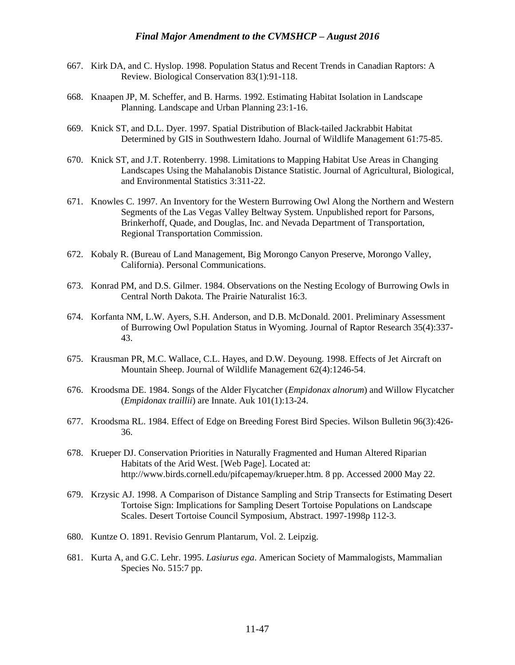- 667. Kirk DA, and C. Hyslop. 1998. Population Status and Recent Trends in Canadian Raptors: A Review. Biological Conservation 83(1):91-118.
- 668. Knaapen JP, M. Scheffer, and B. Harms. 1992. Estimating Habitat Isolation in Landscape Planning. Landscape and Urban Planning 23:1-16.
- 669. Knick ST, and D.L. Dyer. 1997. Spatial Distribution of Black-tailed Jackrabbit Habitat Determined by GIS in Southwestern Idaho. Journal of Wildlife Management 61:75-85.
- 670. Knick ST, and J.T. Rotenberry. 1998. Limitations to Mapping Habitat Use Areas in Changing Landscapes Using the Mahalanobis Distance Statistic. Journal of Agricultural, Biological, and Environmental Statistics 3:311-22.
- 671. Knowles C. 1997. An Inventory for the Western Burrowing Owl Along the Northern and Western Segments of the Las Vegas Valley Beltway System. Unpublished report for Parsons, Brinkerhoff, Quade, and Douglas, Inc. and Nevada Department of Transportation, Regional Transportation Commission.
- 672. Kobaly R. (Bureau of Land Management, Big Morongo Canyon Preserve, Morongo Valley, California). Personal Communications.
- 673. Konrad PM, and D.S. Gilmer. 1984. Observations on the Nesting Ecology of Burrowing Owls in Central North Dakota. The Prairie Naturalist 16:3.
- 674. Korfanta NM, L.W. Ayers, S.H. Anderson, and D.B. McDonald. 2001. Preliminary Assessment of Burrowing Owl Population Status in Wyoming. Journal of Raptor Research 35(4):337- 43.
- 675. Krausman PR, M.C. Wallace, C.L. Hayes, and D.W. Deyoung. 1998. Effects of Jet Aircraft on Mountain Sheep. Journal of Wildlife Management 62(4):1246-54.
- 676. Kroodsma DE. 1984. Songs of the Alder Flycatcher (*Empidonax alnorum*) and Willow Flycatcher (*Empidonax traillii*) are Innate. Auk 101(1):13-24.
- 677. Kroodsma RL. 1984. Effect of Edge on Breeding Forest Bird Species. Wilson Bulletin 96(3):426- 36.
- 678. Krueper DJ. Conservation Priorities in Naturally Fragmented and Human Altered Riparian Habitats of the Arid West. [Web Page]. Located at: http://www.birds.cornell.edu/pifcapemay/krueper.htm. 8 pp. Accessed 2000 May 22.
- 679. Krzysic AJ. 1998. A Comparison of Distance Sampling and Strip Transects for Estimating Desert Tortoise Sign: Implications for Sampling Desert Tortoise Populations on Landscape Scales. Desert Tortoise Council Symposium, Abstract. 1997-1998p 112-3.
- 680. Kuntze O. 1891. Revisio Genrum Plantarum, Vol. 2. Leipzig.
- 681. Kurta A, and G.C. Lehr. 1995. *Lasiurus ega*. American Society of Mammalogists, Mammalian Species No. 515:7 pp.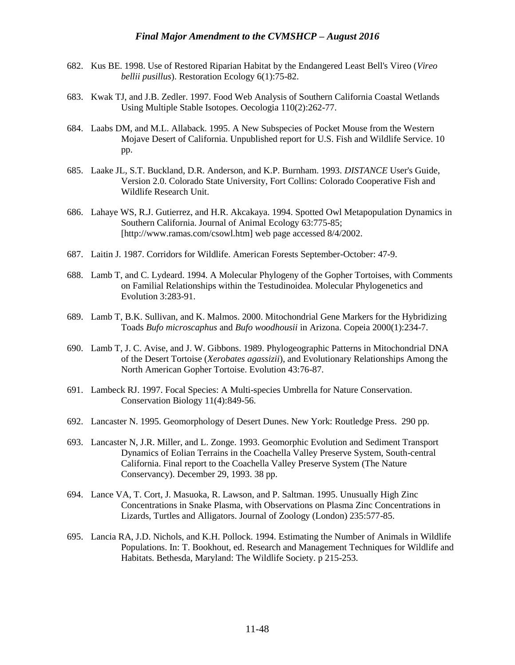- 682. Kus BE. 1998. Use of Restored Riparian Habitat by the Endangered Least Bell's Vireo (*Vireo bellii pusillus*). Restoration Ecology 6(1):75-82.
- 683. Kwak TJ, and J.B. Zedler. 1997. Food Web Analysis of Southern California Coastal Wetlands Using Multiple Stable Isotopes. Oecologia 110(2):262-77.
- 684. Laabs DM, and M.L. Allaback. 1995. A New Subspecies of Pocket Mouse from the Western Mojave Desert of California. Unpublished report for U.S. Fish and Wildlife Service. 10 pp.
- 685. Laake JL, S.T. Buckland, D.R. Anderson, and K.P. Burnham. 1993. *DISTANCE* User's Guide, Version 2.0. Colorado State University, Fort Collins: Colorado Cooperative Fish and Wildlife Research Unit.
- 686. Lahaye WS, R.J. Gutierrez, and H.R. Akcakaya. 1994. Spotted Owl Metapopulation Dynamics in Southern California. Journal of Animal Ecology 63:775-85; [http://www.ramas.com/csowl.htm] web page accessed 8/4/2002.
- 687. Laitin J. 1987. Corridors for Wildlife. American Forests September-October: 47-9.
- 688. Lamb T, and C. Lydeard. 1994. A Molecular Phylogeny of the Gopher Tortoises, with Comments on Familial Relationships within the Testudinoidea. Molecular Phylogenetics and Evolution 3:283-91.
- 689. Lamb T, B.K. Sullivan, and K. Malmos. 2000. Mitochondrial Gene Markers for the Hybridizing Toads *Bufo microscaphus* and *Bufo woodhousii* in Arizona. Copeia 2000(1):234-7.
- 690. Lamb T, J. C. Avise, and J. W. Gibbons. 1989. Phylogeographic Patterns in Mitochondrial DNA of the Desert Tortoise (*Xerobates agassizii*), and Evolutionary Relationships Among the North American Gopher Tortoise. Evolution 43:76-87.
- 691. Lambeck RJ. 1997. Focal Species: A Multi-species Umbrella for Nature Conservation. Conservation Biology 11(4):849-56.
- 692. Lancaster N. 1995. Geomorphology of Desert Dunes. New York: Routledge Press. 290 pp.
- 693. Lancaster N, J.R. Miller, and L. Zonge. 1993. Geomorphic Evolution and Sediment Transport Dynamics of Eolian Terrains in the Coachella Valley Preserve System, South-central California. Final report to the Coachella Valley Preserve System (The Nature Conservancy). December 29, 1993. 38 pp.
- 694. Lance VA, T. Cort, J. Masuoka, R. Lawson, and P. Saltman. 1995. Unusually High Zinc Concentrations in Snake Plasma, with Observations on Plasma Zinc Concentrations in Lizards, Turtles and Alligators. Journal of Zoology (London) 235:577-85.
- 695. Lancia RA, J.D. Nichols, and K.H. Pollock. 1994. Estimating the Number of Animals in Wildlife Populations. In: T. Bookhout, ed. Research and Management Techniques for Wildlife and Habitats. Bethesda, Maryland: The Wildlife Society. p 215-253.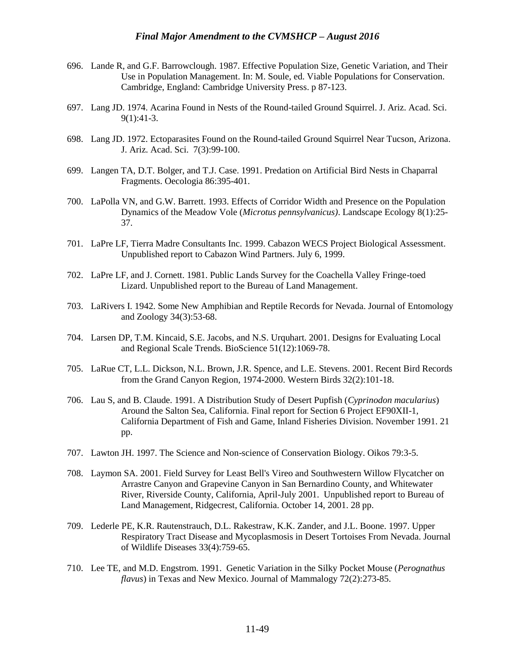- 696. Lande R, and G.F. Barrowclough. 1987. Effective Population Size, Genetic Variation, and Their Use in Population Management. In: M. Soule, ed. Viable Populations for Conservation. Cambridge, England: Cambridge University Press. p 87-123.
- 697. Lang JD. 1974. Acarina Found in Nests of the Round-tailed Ground Squirrel. J. Ariz. Acad. Sci. 9(1):41-3.
- 698. Lang JD. 1972. Ectoparasites Found on the Round-tailed Ground Squirrel Near Tucson, Arizona. J. Ariz. Acad. Sci. 7(3):99-100.
- 699. Langen TA, D.T. Bolger, and T.J. Case. 1991. Predation on Artificial Bird Nests in Chaparral Fragments. Oecologia 86:395-401.
- 700. LaPolla VN, and G.W. Barrett. 1993. Effects of Corridor Width and Presence on the Population Dynamics of the Meadow Vole (*Microtus pennsylvanicus)*. Landscape Ecology 8(1):25- 37.
- 701. LaPre LF, Tierra Madre Consultants Inc. 1999. Cabazon WECS Project Biological Assessment. Unpublished report to Cabazon Wind Partners. July 6, 1999.
- 702. LaPre LF, and J. Cornett. 1981. Public Lands Survey for the Coachella Valley Fringe-toed Lizard. Unpublished report to the Bureau of Land Management.
- 703. LaRivers I. 1942. Some New Amphibian and Reptile Records for Nevada. Journal of Entomology and Zoology 34(3):53-68.
- 704. Larsen DP, T.M. Kincaid, S.E. Jacobs, and N.S. Urquhart. 2001. Designs for Evaluating Local and Regional Scale Trends. BioScience 51(12):1069-78.
- 705. LaRue CT, L.L. Dickson, N.L. Brown, J.R. Spence, and L.E. Stevens. 2001. Recent Bird Records from the Grand Canyon Region, 1974-2000. Western Birds 32(2):101-18.
- 706. Lau S, and B. Claude. 1991. A Distribution Study of Desert Pupfish (*Cyprinodon macularius*) Around the Salton Sea, California. Final report for Section 6 Project EF90XII-1, California Department of Fish and Game, Inland Fisheries Division. November 1991. 21 pp.
- 707. Lawton JH. 1997. The Science and Non-science of Conservation Biology. Oikos 79:3-5.
- 708. Laymon SA. 2001. Field Survey for Least Bell's Vireo and Southwestern Willow Flycatcher on Arrastre Canyon and Grapevine Canyon in San Bernardino County, and Whitewater River, Riverside County, California, April-July 2001. Unpublished report to Bureau of Land Management, Ridgecrest, California. October 14, 2001. 28 pp.
- 709. Lederle PE, K.R. Rautenstrauch, D.L. Rakestraw, K.K. Zander, and J.L. Boone. 1997. Upper Respiratory Tract Disease and Mycoplasmosis in Desert Tortoises From Nevada. Journal of Wildlife Diseases 33(4):759-65.
- 710. Lee TE, and M.D. Engstrom. 1991. Genetic Variation in the Silky Pocket Mouse (*Perognathus flavus*) in Texas and New Mexico. Journal of Mammalogy 72(2):273-85.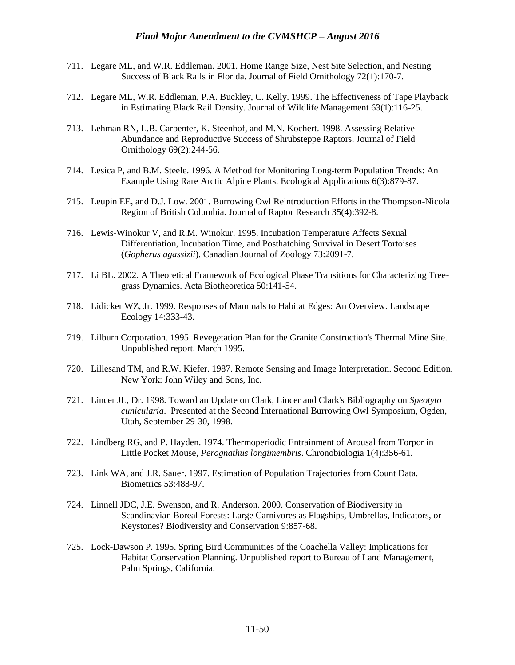- 711. Legare ML, and W.R. Eddleman. 2001. Home Range Size, Nest Site Selection, and Nesting Success of Black Rails in Florida. Journal of Field Ornithology 72(1):170-7.
- 712. Legare ML, W.R. Eddleman, P.A. Buckley, C. Kelly. 1999. The Effectiveness of Tape Playback in Estimating Black Rail Density. Journal of Wildlife Management 63(1):116-25.
- 713. Lehman RN, L.B. Carpenter, K. Steenhof, and M.N. Kochert. 1998. Assessing Relative Abundance and Reproductive Success of Shrubsteppe Raptors. Journal of Field Ornithology 69(2):244-56.
- 714. Lesica P, and B.M. Steele. 1996. A Method for Monitoring Long-term Population Trends: An Example Using Rare Arctic Alpine Plants. Ecological Applications 6(3):879-87.
- 715. Leupin EE, and D.J. Low. 2001. Burrowing Owl Reintroduction Efforts in the Thompson-Nicola Region of British Columbia. Journal of Raptor Research 35(4):392-8.
- 716. Lewis-Winokur V, and R.M. Winokur. 1995. Incubation Temperature Affects Sexual Differentiation, Incubation Time, and Posthatching Survival in Desert Tortoises (*Gopherus agassizii*). Canadian Journal of Zoology 73:2091-7.
- 717. Li BL. 2002. A Theoretical Framework of Ecological Phase Transitions for Characterizing Treegrass Dynamics. Acta Biotheoretica 50:141-54.
- 718. Lidicker WZ, Jr. 1999. Responses of Mammals to Habitat Edges: An Overview. Landscape Ecology 14:333-43.
- 719. Lilburn Corporation. 1995. Revegetation Plan for the Granite Construction's Thermal Mine Site. Unpublished report. March 1995.
- 720. Lillesand TM, and R.W. Kiefer. 1987. Remote Sensing and Image Interpretation. Second Edition. New York: John Wiley and Sons, Inc.
- 721. Lincer JL, Dr. 1998. Toward an Update on Clark, Lincer and Clark's Bibliography on *Speotyto cunicularia*. Presented at the Second International Burrowing Owl Symposium, Ogden, Utah, September 29-30, 1998.
- 722. Lindberg RG, and P. Hayden. 1974. Thermoperiodic Entrainment of Arousal from Torpor in Little Pocket Mouse, *Perognathus longimembris*. Chronobiologia 1(4):356-61.
- 723. Link WA, and J.R. Sauer. 1997. Estimation of Population Trajectories from Count Data. Biometrics 53:488-97.
- 724. Linnell JDC, J.E. Swenson, and R. Anderson. 2000. Conservation of Biodiversity in Scandinavian Boreal Forests: Large Carnivores as Flagships, Umbrellas, Indicators, or Keystones? Biodiversity and Conservation 9:857-68.
- 725. Lock-Dawson P. 1995. Spring Bird Communities of the Coachella Valley: Implications for Habitat Conservation Planning. Unpublished report to Bureau of Land Management, Palm Springs, California.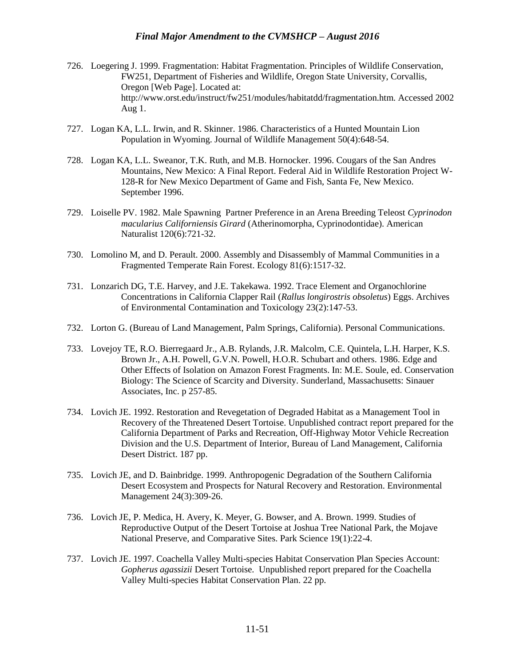- 726. Loegering J. 1999. Fragmentation: Habitat Fragmentation. Principles of Wildlife Conservation, FW251, Department of Fisheries and Wildlife, Oregon State University, Corvallis, Oregon [Web Page]. Located at: http://www.orst.edu/instruct/fw251/modules/habitatdd/fragmentation.htm. Accessed 2002 Aug 1.
- 727. Logan KA, L.L. Irwin, and R. Skinner. 1986. Characteristics of a Hunted Mountain Lion Population in Wyoming. Journal of Wildlife Management 50(4):648-54.
- 728. Logan KA, L.L. Sweanor, T.K. Ruth, and M.B. Hornocker. 1996. Cougars of the San Andres Mountains, New Mexico: A Final Report. Federal Aid in Wildlife Restoration Project W-128-R for New Mexico Department of Game and Fish, Santa Fe, New Mexico. September 1996.
- 729. Loiselle PV. 1982. Male Spawning Partner Preference in an Arena Breeding Teleost *Cyprinodon macularius Californiensis Girard* (Atherinomorpha, Cyprinodontidae). American Naturalist 120(6):721-32.
- 730. Lomolino M, and D. Perault. 2000. Assembly and Disassembly of Mammal Communities in a Fragmented Temperate Rain Forest. Ecology 81(6):1517-32.
- 731. Lonzarich DG, T.E. Harvey, and J.E. Takekawa. 1992. Trace Element and Organochlorine Concentrations in California Clapper Rail (*Rallus longirostris obsoletus*) Eggs. Archives of Environmental Contamination and Toxicology 23(2):147-53.
- 732. Lorton G. (Bureau of Land Management, Palm Springs, California). Personal Communications.
- 733. Lovejoy TE, R.O. Bierregaard Jr., A.B. Rylands, J.R. Malcolm, C.E. Quintela, L.H. Harper, K.S. Brown Jr., A.H. Powell, G.V.N. Powell, H.O.R. Schubart and others. 1986. Edge and Other Effects of Isolation on Amazon Forest Fragments. In: M.E. Soule, ed. Conservation Biology: The Science of Scarcity and Diversity. Sunderland, Massachusetts: Sinauer Associates, Inc. p 257-85.
- 734. Lovich JE. 1992. Restoration and Revegetation of Degraded Habitat as a Management Tool in Recovery of the Threatened Desert Tortoise. Unpublished contract report prepared for the California Department of Parks and Recreation, Off-Highway Motor Vehicle Recreation Division and the U.S. Department of Interior, Bureau of Land Management, California Desert District. 187 pp.
- 735. Lovich JE, and D. Bainbridge. 1999. Anthropogenic Degradation of the Southern California Desert Ecosystem and Prospects for Natural Recovery and Restoration. Environmental Management 24(3):309-26.
- 736. Lovich JE, P. Medica, H. Avery, K. Meyer, G. Bowser, and A. Brown. 1999. Studies of Reproductive Output of the Desert Tortoise at Joshua Tree National Park, the Mojave National Preserve, and Comparative Sites. Park Science 19(1):22-4.
- 737. Lovich JE. 1997. Coachella Valley Multi-species Habitat Conservation Plan Species Account: *Gopherus agassizii* Desert Tortoise. Unpublished report prepared for the Coachella Valley Multi-species Habitat Conservation Plan. 22 pp.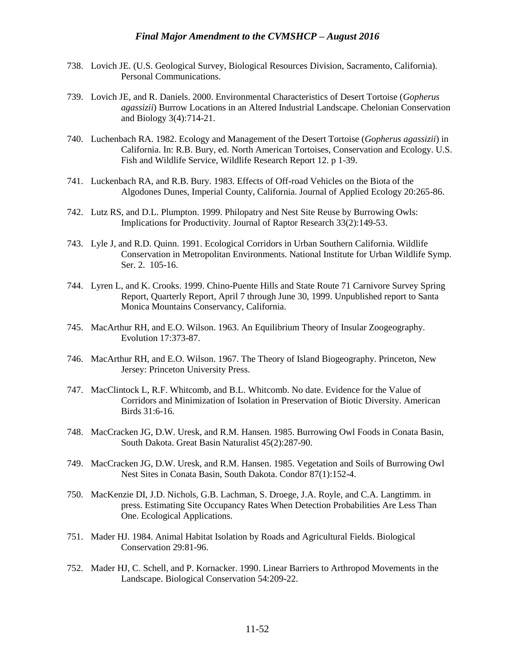- 738. Lovich JE. (U.S. Geological Survey, Biological Resources Division, Sacramento, California). Personal Communications.
- 739. Lovich JE, and R. Daniels. 2000. Environmental Characteristics of Desert Tortoise (*Gopherus agassizii*) Burrow Locations in an Altered Industrial Landscape. Chelonian Conservation and Biology 3(4):714-21.
- 740. Luchenbach RA. 1982. Ecology and Management of the Desert Tortoise (*Gopherus agassizii*) in California. In: R.B. Bury, ed. North American Tortoises, Conservation and Ecology. U.S. Fish and Wildlife Service, Wildlife Research Report 12. p 1-39.
- 741. Luckenbach RA, and R.B. Bury. 1983. Effects of Off-road Vehicles on the Biota of the Algodones Dunes, Imperial County, California. Journal of Applied Ecology 20:265-86.
- 742. Lutz RS, and D.L. Plumpton. 1999. Philopatry and Nest Site Reuse by Burrowing Owls: Implications for Productivity. Journal of Raptor Research 33(2):149-53.
- 743. Lyle J, and R.D. Quinn. 1991. Ecological Corridors in Urban Southern California. Wildlife Conservation in Metropolitan Environments. National Institute for Urban Wildlife Symp. Ser. 2. 105-16.
- 744. Lyren L, and K. Crooks. 1999. Chino-Puente Hills and State Route 71 Carnivore Survey Spring Report, Quarterly Report, April 7 through June 30, 1999. Unpublished report to Santa Monica Mountains Conservancy, California.
- 745. MacArthur RH, and E.O. Wilson. 1963. An Equilibrium Theory of Insular Zoogeography. Evolution 17:373-87.
- 746. MacArthur RH, and E.O. Wilson. 1967. The Theory of Island Biogeography. Princeton, New Jersey: Princeton University Press.
- 747. MacClintock L, R.F. Whitcomb, and B.L. Whitcomb. No date. Evidence for the Value of Corridors and Minimization of Isolation in Preservation of Biotic Diversity. American Birds 31:6-16.
- 748. MacCracken JG, D.W. Uresk, and R.M. Hansen. 1985. Burrowing Owl Foods in Conata Basin, South Dakota. Great Basin Naturalist 45(2):287-90.
- 749. MacCracken JG, D.W. Uresk, and R.M. Hansen. 1985. Vegetation and Soils of Burrowing Owl Nest Sites in Conata Basin, South Dakota. Condor 87(1):152-4.
- 750. MacKenzie DI, J.D. Nichols, G.B. Lachman, S. Droege, J.A. Royle, and C.A. Langtimm. in press. Estimating Site Occupancy Rates When Detection Probabilities Are Less Than One. Ecological Applications.
- 751. Mader HJ. 1984. Animal Habitat Isolation by Roads and Agricultural Fields. Biological Conservation 29:81-96.
- 752. Mader HJ, C. Schell, and P. Kornacker. 1990. Linear Barriers to Arthropod Movements in the Landscape. Biological Conservation 54:209-22.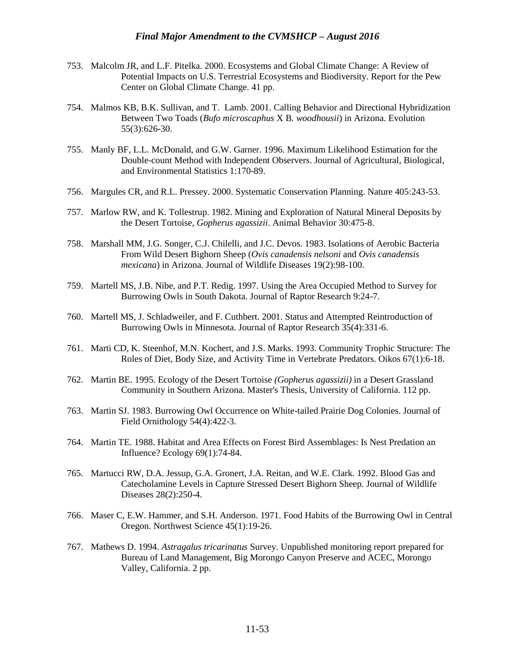- 753. Malcolm JR, and L.F. Pitelka. 2000. Ecosystems and Global Climate Change: A Review of Potential Impacts on U.S. Terrestrial Ecosystems and Biodiversity. Report for the Pew Center on Global Climate Change. 41 pp.
- 754. Malmos KB, B.K. Sullivan, and T. Lamb. 2001. Calling Behavior and Directional Hybridization Between Two Toads (*Bufo microscaphus* X B*. woodhousii*) in Arizona. Evolution 55(3):626-30.
- 755. Manly BF, L.L. McDonald, and G.W. Garner. 1996. Maximum Likelihood Estimation for the Double-count Method with Independent Observers. Journal of Agricultural, Biological, and Environmental Statistics 1:170-89.
- 756. Margules CR, and R.L. Pressey. 2000. Systematic Conservation Planning. Nature 405:243-53.
- 757. Marlow RW, and K. Tollestrup. 1982. Mining and Exploration of Natural Mineral Deposits by the Desert Tortoise, *Gopherus agassizii*. Animal Behavior 30:475-8.
- 758. Marshall MM, J.G. Songer, C.J. Chilelli, and J.C. Devos. 1983. Isolations of Aerobic Bacteria From Wild Desert Bighorn Sheep (*Ovis canadensis nelsoni* and *Ovis canadensis mexicana*) in Arizona. Journal of Wildlife Diseases 19(2):98-100.
- 759. Martell MS, J.B. Nibe, and P.T. Redig. 1997. Using the Area Occupied Method to Survey for Burrowing Owls in South Dakota. Journal of Raptor Research 9:24-7.
- 760. Martell MS, J. Schladweiler, and F. Cuthbert. 2001. Status and Attempted Reintroduction of Burrowing Owls in Minnesota. Journal of Raptor Research 35(4):331-6.
- 761. Marti CD, K. Steenhof, M.N. Kochert, and J.S. Marks. 1993. Community Trophic Structure: The Roles of Diet, Body Size, and Activity Time in Vertebrate Predators. Oikos 67(1):6-18.
- 762. Martin BE. 1995. Ecology of the Desert Tortoise *(Gopherus agassizii)* in a Desert Grassland Community in Southern Arizona. Master's Thesis, University of California. 112 pp.
- 763. Martin SJ. 1983. Burrowing Owl Occurrence on White-tailed Prairie Dog Colonies. Journal of Field Ornithology 54(4):422-3.
- 764. Martin TE. 1988. Habitat and Area Effects on Forest Bird Assemblages: Is Nest Predation an Influence? Ecology 69(1):74-84.
- 765. Martucci RW, D.A. Jessup, G.A. Gronert, J.A. Reitan, and W.E. Clark. 1992. Blood Gas and Catecholamine Levels in Capture Stressed Desert Bighorn Sheep. Journal of Wildlife Diseases 28(2):250-4.
- 766. Maser C, E.W. Hammer, and S.H. Anderson. 1971. Food Habits of the Burrowing Owl in Central Oregon. Northwest Science 45(1):19-26.
- 767. Mathews D. 1994. *Astragalus tricarinatus* Survey. Unpublished monitoring report prepared for Bureau of Land Management, Big Morongo Canyon Preserve and ACEC, Morongo Valley, California. 2 pp.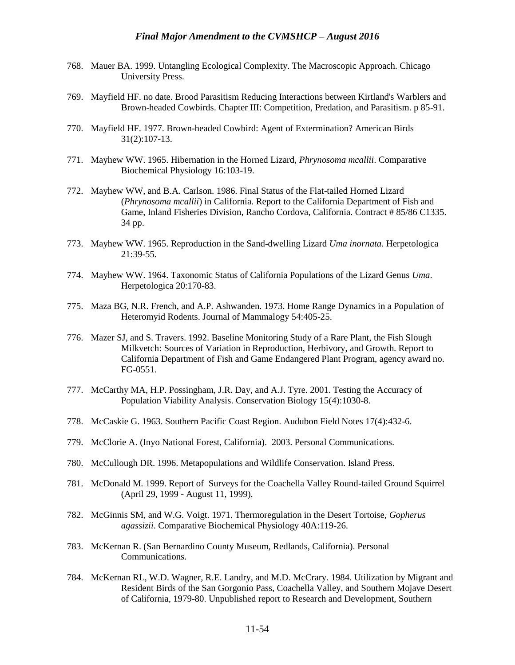- 768. Mauer BA. 1999. Untangling Ecological Complexity. The Macroscopic Approach. Chicago University Press.
- 769. Mayfield HF. no date. Brood Parasitism Reducing Interactions between Kirtland's Warblers and Brown-headed Cowbirds. Chapter III: Competition, Predation, and Parasitism. p 85-91.
- 770. Mayfield HF. 1977. Brown-headed Cowbird: Agent of Extermination? American Birds 31(2):107-13.
- 771. Mayhew WW. 1965. Hibernation in the Horned Lizard, *Phrynosoma mcallii*. Comparative Biochemical Physiology 16:103-19.
- 772. Mayhew WW, and B.A. Carlson. 1986. Final Status of the Flat-tailed Horned Lizard (*Phrynosoma mcallii*) in California. Report to the California Department of Fish and Game, Inland Fisheries Division, Rancho Cordova, California. Contract # 85/86 C1335. 34 pp.
- 773. Mayhew WW. 1965. Reproduction in the Sand-dwelling Lizard *Uma inornata*. Herpetologica 21:39-55.
- 774. Mayhew WW. 1964. Taxonomic Status of California Populations of the Lizard Genus *Uma*. Herpetologica 20:170-83.
- 775. Maza BG, N.R. French, and A.P. Ashwanden. 1973. Home Range Dynamics in a Population of Heteromyid Rodents. Journal of Mammalogy 54:405-25.
- 776. Mazer SJ, and S. Travers. 1992. Baseline Monitoring Study of a Rare Plant, the Fish Slough Milkvetch: Sources of Variation in Reproduction, Herbivory, and Growth. Report to California Department of Fish and Game Endangered Plant Program, agency award no. FG-0551.
- 777. McCarthy MA, H.P. Possingham, J.R. Day, and A.J. Tyre. 2001. Testing the Accuracy of Population Viability Analysis. Conservation Biology 15(4):1030-8.
- 778. McCaskie G. 1963. Southern Pacific Coast Region. Audubon Field Notes 17(4):432-6.
- 779. McClorie A. (Inyo National Forest, California). 2003. Personal Communications.
- 780. McCullough DR. 1996. Metapopulations and Wildlife Conservation. Island Press.
- 781. McDonald M. 1999. Report of Surveys for the Coachella Valley Round-tailed Ground Squirrel (April 29, 1999 - August 11, 1999).
- 782. McGinnis SM, and W.G. Voigt. 1971. Thermoregulation in the Desert Tortoise, *Gopherus agassizii*. Comparative Biochemical Physiology 40A:119-26.
- 783. McKernan R. (San Bernardino County Museum, Redlands, California). Personal Communications.
- 784. McKernan RL, W.D. Wagner, R.E. Landry, and M.D. McCrary. 1984. Utilization by Migrant and Resident Birds of the San Gorgonio Pass, Coachella Valley, and Southern Mojave Desert of California, 1979-80. Unpublished report to Research and Development, Southern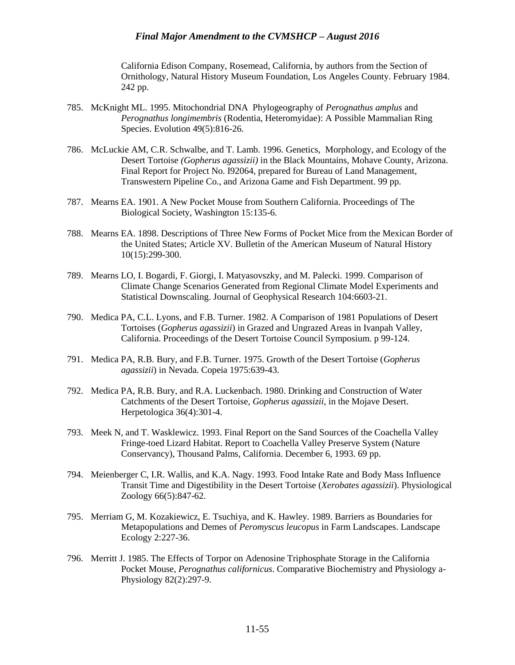California Edison Company, Rosemead, California, by authors from the Section of Ornithology, Natural History Museum Foundation, Los Angeles County. February 1984. 242 pp.

- 785. McKnight ML. 1995. Mitochondrial DNA Phylogeography of *Perognathus amplus* and *Perognathus longimembris* (Rodentia, Heteromyidae): A Possible Mammalian Ring Species. Evolution 49(5):816-26.
- 786. McLuckie AM, C.R. Schwalbe, and T. Lamb. 1996. Genetics, Morphology, and Ecology of the Desert Tortoise *(Gopherus agassizii)* in the Black Mountains, Mohave County, Arizona. Final Report for Project No. I92064, prepared for Bureau of Land Management, Transwestern Pipeline Co., and Arizona Game and Fish Department. 99 pp.
- 787. Mearns EA. 1901. A New Pocket Mouse from Southern California. Proceedings of The Biological Society, Washington 15:135-6.
- 788. Mearns EA. 1898. Descriptions of Three New Forms of Pocket Mice from the Mexican Border of the United States; Article XV. Bulletin of the American Museum of Natural History 10(15):299-300.
- 789. Mearns LO, I. Bogardi, F. Giorgi, I. Matyasovszky, and M. Palecki. 1999. Comparison of Climate Change Scenarios Generated from Regional Climate Model Experiments and Statistical Downscaling. Journal of Geophysical Research 104:6603-21.
- 790. Medica PA, C.L. Lyons, and F.B. Turner. 1982. A Comparison of 1981 Populations of Desert Tortoises (*Gopherus agassizii*) in Grazed and Ungrazed Areas in Ivanpah Valley, California. Proceedings of the Desert Tortoise Council Symposium. p 99-124.
- 791. Medica PA, R.B. Bury, and F.B. Turner. 1975. Growth of the Desert Tortoise (*Gopherus agassizii*) in Nevada. Copeia 1975:639-43.
- 792. Medica PA, R.B. Bury, and R.A. Luckenbach. 1980. Drinking and Construction of Water Catchments of the Desert Tortoise, *Gopherus agassizii*, in the Mojave Desert. Herpetologica 36(4):301-4.
- 793. Meek N, and T. Wasklewicz. 1993. Final Report on the Sand Sources of the Coachella Valley Fringe-toed Lizard Habitat. Report to Coachella Valley Preserve System (Nature Conservancy), Thousand Palms, California. December 6, 1993. 69 pp.
- 794. Meienberger C, I.R. Wallis, and K.A. Nagy. 1993. Food Intake Rate and Body Mass Influence Transit Time and Digestibility in the Desert Tortoise (*Xerobates agassizii*). Physiological Zoology 66(5):847-62.
- 795. Merriam G, M. Kozakiewicz, E. Tsuchiya, and K. Hawley. 1989. Barriers as Boundaries for Metapopulations and Demes of *Peromyscus leucopus* in Farm Landscapes. Landscape Ecology 2:227-36.
- 796. Merritt J. 1985. The Effects of Torpor on Adenosine Triphosphate Storage in the California Pocket Mouse, *Perognathus californicus*. Comparative Biochemistry and Physiology a-Physiology 82(2):297-9.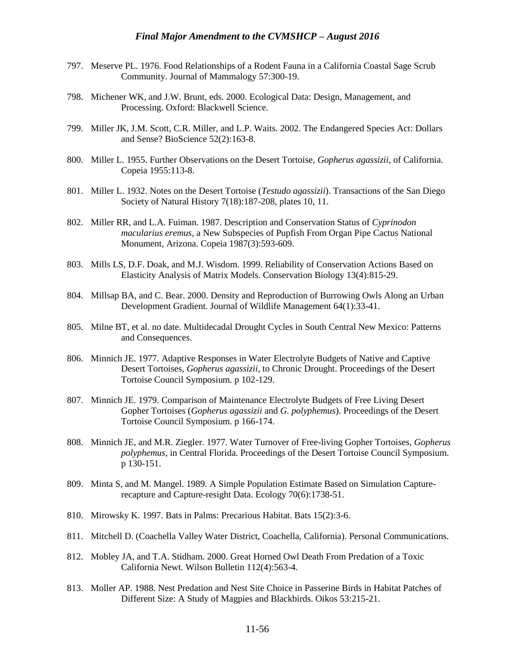- 797. Meserve PL. 1976. Food Relationships of a Rodent Fauna in a California Coastal Sage Scrub Community. Journal of Mammalogy 57:300-19.
- 798. Michener WK, and J.W. Brunt, eds. 2000. Ecological Data: Design, Management, and Processing. Oxford: Blackwell Science.
- 799. Miller JK, J.M. Scott, C.R. Miller, and L.P. Waits. 2002. The Endangered Species Act: Dollars and Sense? BioScience 52(2):163-8.
- 800. Miller L. 1955. Further Observations on the Desert Tortoise, *Gopherus agassizii,* of California. Copeia 1955:113-8.
- 801. Miller L. 1932. Notes on the Desert Tortoise (*Testudo agassizii*). Transactions of the San Diego Society of Natural History 7(18):187-208, plates 10, 11.
- 802. Miller RR, and L.A. Fuiman. 1987. Description and Conservation Status of *Cyprinodon macularius eremus*, a New Subspecies of Pupfish From Organ Pipe Cactus National Monument, Arizona. Copeia 1987(3):593-609.
- 803. Mills LS, D.F. Doak, and M.J. Wisdom. 1999. Reliability of Conservation Actions Based on Elasticity Analysis of Matrix Models. Conservation Biology 13(4):815-29.
- 804. Millsap BA, and C. Bear. 2000. Density and Reproduction of Burrowing Owls Along an Urban Development Gradient. Journal of Wildlife Management 64(1):33-41.
- 805. Milne BT, et al. no date. Multidecadal Drought Cycles in South Central New Mexico: Patterns and Consequences.
- 806. Minnich JE. 1977. Adaptive Responses in Water Electrolyte Budgets of Native and Captive Desert Tortoises, *Gopherus agassizii*, to Chronic Drought. Proceedings of the Desert Tortoise Council Symposium. p 102-129.
- 807. Minnich JE. 1979. Comparison of Maintenance Electrolyte Budgets of Free Living Desert Gopher Tortoises (*Gopherus agassizii* and *G. polyphemus*). Proceedings of the Desert Tortoise Council Symposium. p 166-174.
- 808. Minnich JE, and M.R. Ziegler. 1977. Water Turnover of Free-living Gopher Tortoises, *Gopherus polyphemus*, in Central Florida. Proceedings of the Desert Tortoise Council Symposium. p 130-151.
- 809. Minta S, and M. Mangel. 1989. A Simple Population Estimate Based on Simulation Capturerecapture and Capture-resight Data. Ecology 70(6):1738-51.
- 810. Mirowsky K. 1997. Bats in Palms: Precarious Habitat. Bats 15(2):3-6.
- 811. Mitchell D. (Coachella Valley Water District, Coachella, California). Personal Communications.
- 812. Mobley JA, and T.A. Stidham. 2000. Great Horned Owl Death From Predation of a Toxic California Newt. Wilson Bulletin 112(4):563-4.
- 813. Moller AP. 1988. Nest Predation and Nest Site Choice in Passerine Birds in Habitat Patches of Different Size: A Study of Magpies and Blackbirds. Oikos 53:215-21.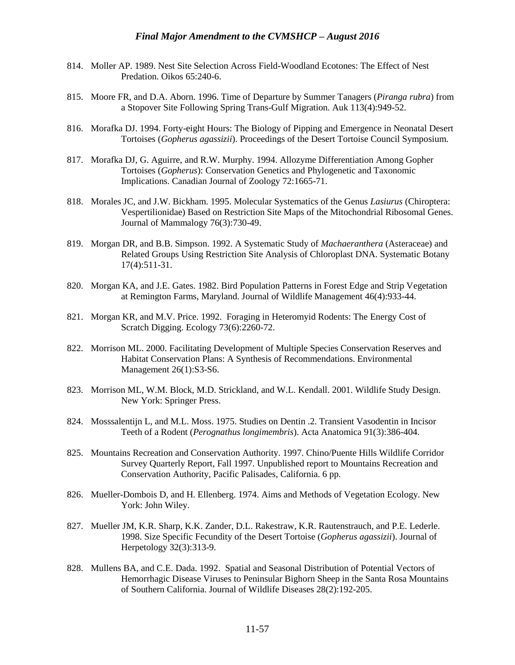- 814. Moller AP. 1989. Nest Site Selection Across Field-Woodland Ecotones: The Effect of Nest Predation. Oikos 65:240-6.
- 815. Moore FR, and D.A. Aborn. 1996. Time of Departure by Summer Tanagers (*Piranga rubra*) from a Stopover Site Following Spring Trans-Gulf Migration. Auk 113(4):949-52.
- 816. Morafka DJ. 1994. Forty-eight Hours: The Biology of Pipping and Emergence in Neonatal Desert Tortoises (*Gopherus agassizii*). Proceedings of the Desert Tortoise Council Symposium.
- 817. Morafka DJ, G. Aguirre, and R.W. Murphy. 1994. Allozyme Differentiation Among Gopher Tortoises (*Gopherus*): Conservation Genetics and Phylogenetic and Taxonomic Implications. Canadian Journal of Zoology 72:1665-71.
- 818. Morales JC, and J.W. Bickham. 1995. Molecular Systematics of the Genus *Lasiurus* (Chiroptera: Vespertilionidae) Based on Restriction Site Maps of the Mitochondrial Ribosomal Genes. Journal of Mammalogy 76(3):730-49.
- 819. Morgan DR, and B.B. Simpson. 1992. A Systematic Study of *Machaeranthera* (Asteraceae) and Related Groups Using Restriction Site Analysis of Chloroplast DNA. Systematic Botany 17(4):511-31.
- 820. Morgan KA, and J.E. Gates. 1982. Bird Population Patterns in Forest Edge and Strip Vegetation at Remington Farms, Maryland. Journal of Wildlife Management 46(4):933-44.
- 821. Morgan KR, and M.V. Price. 1992. Foraging in Heteromyid Rodents: The Energy Cost of Scratch Digging. Ecology 73(6):2260-72.
- 822. Morrison ML. 2000. Facilitating Development of Multiple Species Conservation Reserves and Habitat Conservation Plans: A Synthesis of Recommendations. Environmental Management 26(1):S3-S6.
- 823. Morrison ML, W.M. Block, M.D. Strickland, and W.L. Kendall. 2001. Wildlife Study Design. New York: Springer Press.
- 824. Mosssalentijn L, and M.L. Moss. 1975. Studies on Dentin .2. Transient Vasodentin in Incisor Teeth of a Rodent (*Perognathus longimembris*). Acta Anatomica 91(3):386-404.
- 825. Mountains Recreation and Conservation Authority. 1997. Chino/Puente Hills Wildlife Corridor Survey Quarterly Report, Fall 1997. Unpublished report to Mountains Recreation and Conservation Authority, Pacific Palisades, California. 6 pp.
- 826. Mueller-Dombois D, and H. Ellenberg. 1974. Aims and Methods of Vegetation Ecology. New York: John Wiley.
- 827. Mueller JM, K.R. Sharp, K.K. Zander, D.L. Rakestraw, K.R. Rautenstrauch, and P.E. Lederle. 1998. Size Specific Fecundity of the Desert Tortoise (*Gopherus agassizii*). Journal of Herpetology 32(3):313-9.
- 828. Mullens BA, and C.E. Dada. 1992. Spatial and Seasonal Distribution of Potential Vectors of Hemorrhagic Disease Viruses to Peninsular Bighorn Sheep in the Santa Rosa Mountains of Southern California. Journal of Wildlife Diseases 28(2):192-205.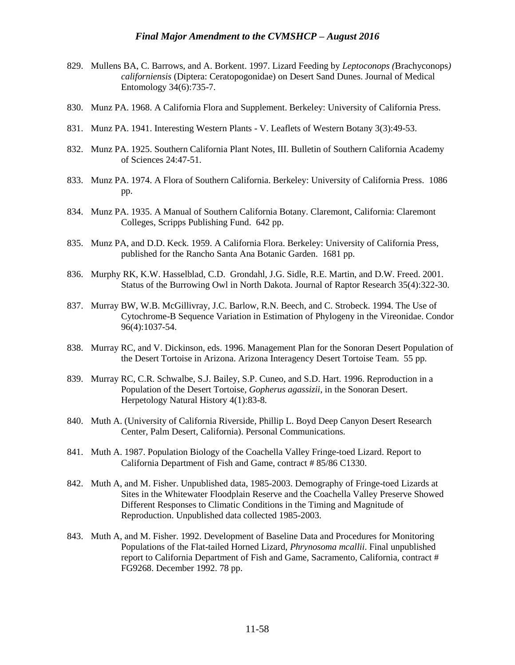- 829. Mullens BA, C. Barrows, and A. Borkent. 1997. Lizard Feeding by *Leptoconops (*Brachyconops*) californiensis* (Diptera: Ceratopogonidae) on Desert Sand Dunes. Journal of Medical Entomology 34(6):735-7.
- 830. Munz PA. 1968. A California Flora and Supplement. Berkeley: University of California Press.
- 831. Munz PA. 1941. Interesting Western Plants V. Leaflets of Western Botany 3(3):49-53.
- 832. Munz PA. 1925. Southern California Plant Notes, III. Bulletin of Southern California Academy of Sciences 24:47-51.
- 833. Munz PA. 1974. A Flora of Southern California. Berkeley: University of California Press. 1086 pp.
- 834. Munz PA. 1935. A Manual of Southern California Botany. Claremont, California: Claremont Colleges, Scripps Publishing Fund. 642 pp.
- 835. Munz PA, and D.D. Keck. 1959. A California Flora. Berkeley: University of California Press, published for the Rancho Santa Ana Botanic Garden. 1681 pp.
- 836. Murphy RK, K.W. Hasselblad, C.D. Grondahl, J.G. Sidle, R.E. Martin, and D.W. Freed. 2001. Status of the Burrowing Owl in North Dakota. Journal of Raptor Research 35(4):322-30.
- 837. Murray BW, W.B. McGillivray, J.C. Barlow, R.N. Beech, and C. Strobeck. 1994. The Use of Cytochrome-B Sequence Variation in Estimation of Phylogeny in the Vireonidae. Condor 96(4):1037-54.
- 838. Murray RC, and V. Dickinson, eds. 1996. Management Plan for the Sonoran Desert Population of the Desert Tortoise in Arizona. Arizona Interagency Desert Tortoise Team. 55 pp.
- 839. Murray RC, C.R. Schwalbe, S.J. Bailey, S.P. Cuneo, and S.D. Hart. 1996. Reproduction in a Population of the Desert Tortoise, *Gopherus agassizii*, in the Sonoran Desert. Herpetology Natural History 4(1):83-8.
- 840. Muth A. (University of California Riverside, Phillip L. Boyd Deep Canyon Desert Research Center, Palm Desert, California). Personal Communications.
- 841. Muth A. 1987. Population Biology of the Coachella Valley Fringe-toed Lizard. Report to California Department of Fish and Game, contract # 85/86 C1330.
- 842. Muth A, and M. Fisher. Unpublished data, 1985-2003. Demography of Fringe-toed Lizards at Sites in the Whitewater Floodplain Reserve and the Coachella Valley Preserve Showed Different Responses to Climatic Conditions in the Timing and Magnitude of Reproduction. Unpublished data collected 1985-2003.
- 843. Muth A, and M. Fisher. 1992. Development of Baseline Data and Procedures for Monitoring Populations of the Flat-tailed Horned Lizard, *Phrynosoma mcallii*. Final unpublished report to California Department of Fish and Game, Sacramento, California, contract # FG9268. December 1992. 78 pp.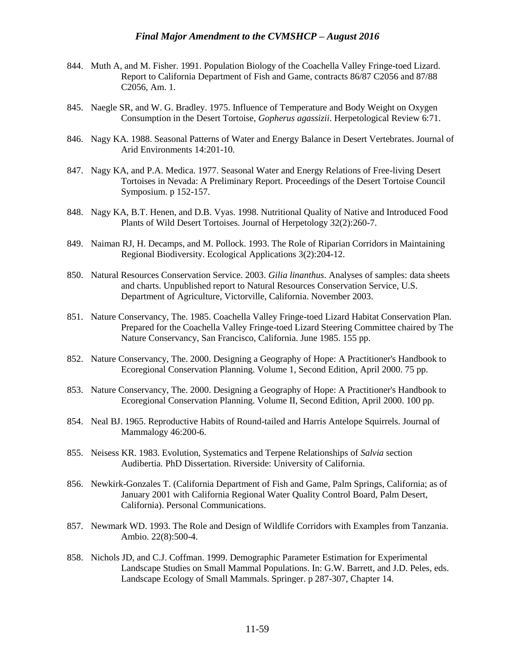- 844. Muth A, and M. Fisher. 1991. Population Biology of the Coachella Valley Fringe-toed Lizard. Report to California Department of Fish and Game, contracts 86/87 C2056 and 87/88 C2056, Am. 1.
- 845. Naegle SR, and W. G. Bradley. 1975. Influence of Temperature and Body Weight on Oxygen Consumption in the Desert Tortoise, *Gopherus agassizii*. Herpetological Review 6:71.
- 846. Nagy KA. 1988. Seasonal Patterns of Water and Energy Balance in Desert Vertebrates. Journal of Arid Environments 14:201-10.
- 847. Nagy KA, and P.A. Medica. 1977. Seasonal Water and Energy Relations of Free-living Desert Tortoises in Nevada: A Preliminary Report. Proceedings of the Desert Tortoise Council Symposium. p 152-157.
- 848. Nagy KA, B.T. Henen, and D.B. Vyas. 1998. Nutritional Quality of Native and Introduced Food Plants of Wild Desert Tortoises. Journal of Herpetology 32(2):260-7.
- 849. Naiman RJ, H. Decamps, and M. Pollock. 1993. The Role of Riparian Corridors in Maintaining Regional Biodiversity. Ecological Applications 3(2):204-12.
- 850. Natural Resources Conservation Service. 2003. *Gilia linanthus*. Analyses of samples: data sheets and charts. Unpublished report to Natural Resources Conservation Service, U.S. Department of Agriculture, Victorville, California. November 2003.
- 851. Nature Conservancy, The. 1985. Coachella Valley Fringe-toed Lizard Habitat Conservation Plan. Prepared for the Coachella Valley Fringe-toed Lizard Steering Committee chaired by The Nature Conservancy, San Francisco, California. June 1985. 155 pp.
- 852. Nature Conservancy, The. 2000. Designing a Geography of Hope: A Practitioner's Handbook to Ecoregional Conservation Planning. Volume 1, Second Edition, April 2000. 75 pp.
- 853. Nature Conservancy, The. 2000. Designing a Geography of Hope: A Practitioner's Handbook to Ecoregional Conservation Planning. Volume II, Second Edition, April 2000. 100 pp.
- 854. Neal BJ. 1965. Reproductive Habits of Round-tailed and Harris Antelope Squirrels. Journal of Mammalogy 46:200-6.
- 855. Neisess KR. 1983. Evolution, Systematics and Terpene Relationships of *Salvia* section Audibertia*.* PhD Dissertation. Riverside: University of California.
- 856. Newkirk-Gonzales T. (California Department of Fish and Game, Palm Springs, California; as of January 2001 with California Regional Water Quality Control Board, Palm Desert, California). Personal Communications.
- 857. Newmark WD. 1993. The Role and Design of Wildlife Corridors with Examples from Tanzania. Ambio. 22(8):500-4.
- 858. Nichols JD, and C.J. Coffman. 1999. Demographic Parameter Estimation for Experimental Landscape Studies on Small Mammal Populations. In: G.W. Barrett, and J.D. Peles, eds. Landscape Ecology of Small Mammals. Springer. p 287-307, Chapter 14.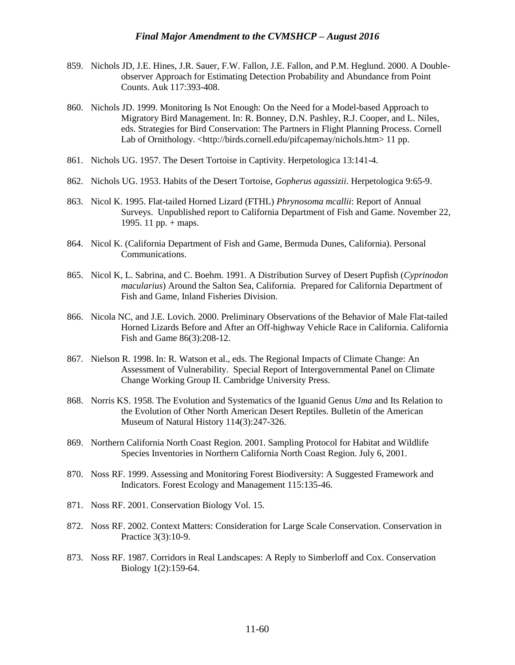- 859. Nichols JD, J.E. Hines, J.R. Sauer, F.W. Fallon, J.E. Fallon, and P.M. Heglund. 2000. A Doubleobserver Approach for Estimating Detection Probability and Abundance from Point Counts. Auk 117:393-408.
- 860. Nichols JD. 1999. Monitoring Is Not Enough: On the Need for a Model-based Approach to Migratory Bird Management. In: R. Bonney, D.N. Pashley, R.J. Cooper, and L. Niles, eds. Strategies for Bird Conservation: The Partners in Flight Planning Process. Cornell Lab of Ornithology. <http://birds.cornell.edu/pifcapemay/nichols.htm> 11 pp.
- 861. Nichols UG. 1957. The Desert Tortoise in Captivity. Herpetologica 13:141-4.
- 862. Nichols UG. 1953. Habits of the Desert Tortoise, *Gopherus agassizii*. Herpetologica 9:65-9.
- 863. Nicol K. 1995. Flat-tailed Horned Lizard (FTHL) *Phrynosoma mcallii*: Report of Annual Surveys. Unpublished report to California Department of Fish and Game. November 22, 1995. 11 pp. + maps.
- 864. Nicol K. (California Department of Fish and Game, Bermuda Dunes, California). Personal Communications.
- 865. Nicol K, L. Sabrina, and C. Boehm. 1991. A Distribution Survey of Desert Pupfish (*Cyprinodon macularius*) Around the Salton Sea, California. Prepared for California Department of Fish and Game, Inland Fisheries Division.
- 866. Nicola NC, and J.E. Lovich. 2000. Preliminary Observations of the Behavior of Male Flat-tailed Horned Lizards Before and After an Off-highway Vehicle Race in California. California Fish and Game 86(3):208-12.
- 867. Nielson R. 1998. In: R. Watson et al., eds. The Regional Impacts of Climate Change: An Assessment of Vulnerability. Special Report of Intergovernmental Panel on Climate Change Working Group II. Cambridge University Press.
- 868. Norris KS. 1958. The Evolution and Systematics of the Iguanid Genus *Uma* and Its Relation to the Evolution of Other North American Desert Reptiles. Bulletin of the American Museum of Natural History 114(3):247-326.
- 869. Northern California North Coast Region. 2001. Sampling Protocol for Habitat and Wildlife Species Inventories in Northern California North Coast Region. July 6, 2001.
- 870. Noss RF. 1999. Assessing and Monitoring Forest Biodiversity: A Suggested Framework and Indicators. Forest Ecology and Management 115:135-46.
- 871. Noss RF. 2001. Conservation Biology Vol. 15.
- 872. Noss RF. 2002. Context Matters: Consideration for Large Scale Conservation. Conservation in Practice 3(3):10-9.
- 873. Noss RF. 1987. Corridors in Real Landscapes: A Reply to Simberloff and Cox. Conservation Biology 1(2):159-64.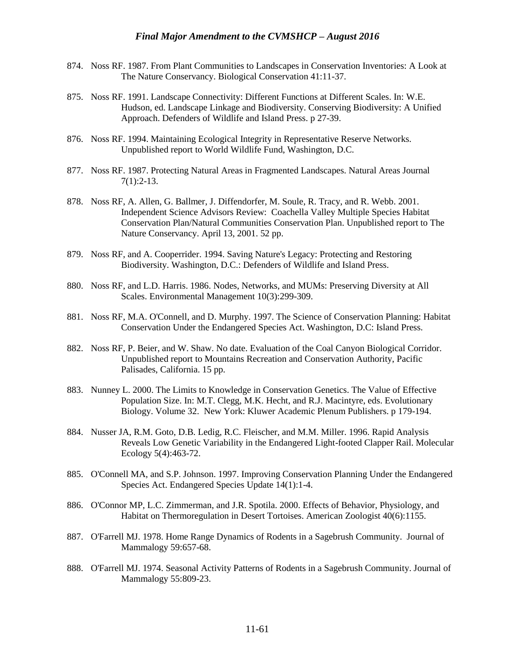- 874. Noss RF. 1987. From Plant Communities to Landscapes in Conservation Inventories: A Look at The Nature Conservancy. Biological Conservation 41:11-37.
- 875. Noss RF. 1991. Landscape Connectivity: Different Functions at Different Scales. In: W.E. Hudson, ed. Landscape Linkage and Biodiversity. Conserving Biodiversity: A Unified Approach. Defenders of Wildlife and Island Press. p 27-39.
- 876. Noss RF. 1994. Maintaining Ecological Integrity in Representative Reserve Networks. Unpublished report to World Wildlife Fund, Washington, D.C.
- 877. Noss RF. 1987. Protecting Natural Areas in Fragmented Landscapes. Natural Areas Journal 7(1):2-13.
- 878. Noss RF, A. Allen, G. Ballmer, J. Diffendorfer, M. Soule, R. Tracy, and R. Webb. 2001. Independent Science Advisors Review: Coachella Valley Multiple Species Habitat Conservation Plan/Natural Communities Conservation Plan. Unpublished report to The Nature Conservancy. April 13, 2001. 52 pp.
- 879. Noss RF, and A. Cooperrider. 1994. Saving Nature's Legacy: Protecting and Restoring Biodiversity. Washington, D.C.: Defenders of Wildlife and Island Press.
- 880. Noss RF, and L.D. Harris. 1986. Nodes, Networks, and MUMs: Preserving Diversity at All Scales. Environmental Management 10(3):299-309.
- 881. Noss RF, M.A. O'Connell, and D. Murphy. 1997. The Science of Conservation Planning: Habitat Conservation Under the Endangered Species Act. Washington, D.C: Island Press.
- 882. Noss RF, P. Beier, and W. Shaw. No date. Evaluation of the Coal Canyon Biological Corridor. Unpublished report to Mountains Recreation and Conservation Authority, Pacific Palisades, California. 15 pp.
- 883. Nunney L. 2000. The Limits to Knowledge in Conservation Genetics. The Value of Effective Population Size. In: M.T. Clegg, M.K. Hecht, and R.J. Macintyre, eds. Evolutionary Biology. Volume 32. New York: Kluwer Academic Plenum Publishers. p 179-194.
- 884. Nusser JA, R.M. Goto, D.B. Ledig, R.C. Fleischer, and M.M. Miller. 1996. Rapid Analysis Reveals Low Genetic Variability in the Endangered Light-footed Clapper Rail. Molecular Ecology 5(4):463-72.
- 885. O'Connell MA, and S.P. Johnson. 1997. Improving Conservation Planning Under the Endangered Species Act. Endangered Species Update 14(1):1-4.
- 886. O'Connor MP, L.C. Zimmerman, and J.R. Spotila. 2000. Effects of Behavior, Physiology, and Habitat on Thermoregulation in Desert Tortoises. American Zoologist 40(6):1155.
- 887. O'Farrell MJ. 1978. Home Range Dynamics of Rodents in a Sagebrush Community. Journal of Mammalogy 59:657-68.
- 888. O'Farrell MJ. 1974. Seasonal Activity Patterns of Rodents in a Sagebrush Community. Journal of Mammalogy 55:809-23.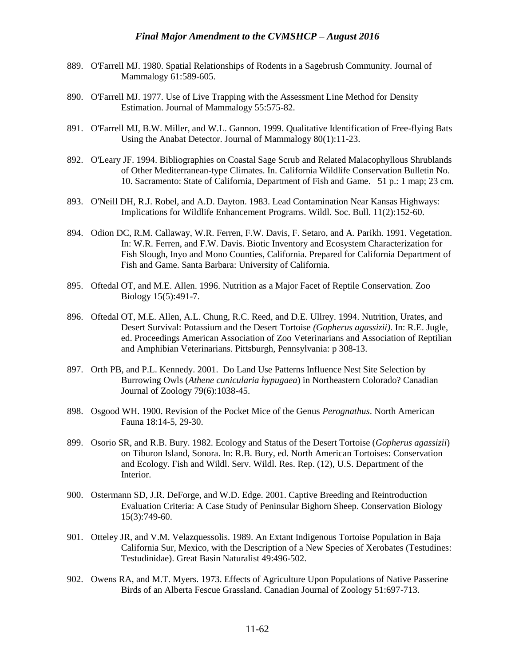- 889. O'Farrell MJ. 1980. Spatial Relationships of Rodents in a Sagebrush Community. Journal of Mammalogy 61:589-605.
- 890. O'Farrell MJ. 1977. Use of Live Trapping with the Assessment Line Method for Density Estimation. Journal of Mammalogy 55:575-82.
- 891. O'Farrell MJ, B.W. Miller, and W.L. Gannon. 1999. Qualitative Identification of Free-flying Bats Using the Anabat Detector. Journal of Mammalogy 80(1):11-23.
- 892. O'Leary JF. 1994. Bibliographies on Coastal Sage Scrub and Related Malacophyllous Shrublands of Other Mediterranean-type Climates. In. California Wildlife Conservation Bulletin No. 10. Sacramento: State of California, Department of Fish and Game. 51 p.: 1 map; 23 cm.
- 893. O'Neill DH, R.J. Robel, and A.D. Dayton. 1983. Lead Contamination Near Kansas Highways: Implications for Wildlife Enhancement Programs. Wildl. Soc. Bull. 11(2):152-60.
- 894. Odion DC, R.M. Callaway, W.R. Ferren, F.W. Davis, F. Setaro, and A. Parikh. 1991. Vegetation. In: W.R. Ferren, and F.W. Davis. Biotic Inventory and Ecosystem Characterization for Fish Slough, Inyo and Mono Counties, California. Prepared for California Department of Fish and Game. Santa Barbara: University of California.
- 895. Oftedal OT, and M.E. Allen. 1996. Nutrition as a Major Facet of Reptile Conservation. Zoo Biology 15(5):491-7.
- 896. Oftedal OT, M.E. Allen, A.L. Chung, R.C. Reed, and D.E. Ullrey. 1994. Nutrition, Urates, and Desert Survival: Potassium and the Desert Tortoise *(Gopherus agassizii)*. In: R.E. Jugle, ed. Proceedings American Association of Zoo Veterinarians and Association of Reptilian and Amphibian Veterinarians. Pittsburgh, Pennsylvania: p 308-13.
- 897. Orth PB, and P.L. Kennedy. 2001. Do Land Use Patterns Influence Nest Site Selection by Burrowing Owls (*Athene cunicularia hypugaea*) in Northeastern Colorado? Canadian Journal of Zoology 79(6):1038-45.
- 898. Osgood WH. 1900. Revision of the Pocket Mice of the Genus *Perognathus*. North American Fauna 18:14-5, 29-30.
- 899. Osorio SR, and R.B. Bury. 1982. Ecology and Status of the Desert Tortoise (*Gopherus agassizii*) on Tiburon Island, Sonora. In: R.B. Bury, ed. North American Tortoises: Conservation and Ecology. Fish and Wildl. Serv. Wildl. Res. Rep. (12), U.S. Department of the Interior.
- 900. Ostermann SD, J.R. DeForge, and W.D. Edge. 2001. Captive Breeding and Reintroduction Evaluation Criteria: A Case Study of Peninsular Bighorn Sheep. Conservation Biology 15(3):749-60.
- 901. Otteley JR, and V.M. Velazquessolis. 1989. An Extant Indigenous Tortoise Population in Baja California Sur, Mexico, with the Description of a New Species of Xerobates (Testudines: Testudinidae). Great Basin Naturalist 49:496-502.
- 902. Owens RA, and M.T. Myers. 1973. Effects of Agriculture Upon Populations of Native Passerine Birds of an Alberta Fescue Grassland. Canadian Journal of Zoology 51:697-713.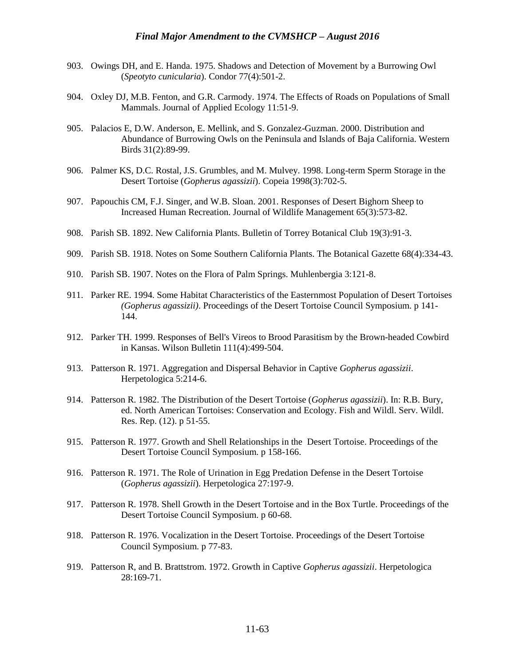- 903. Owings DH, and E. Handa. 1975. Shadows and Detection of Movement by a Burrowing Owl (*Speotyto cunicularia*). Condor 77(4):501-2.
- 904. Oxley DJ, M.B. Fenton, and G.R. Carmody. 1974. The Effects of Roads on Populations of Small Mammals. Journal of Applied Ecology 11:51-9.
- 905. Palacios E, D.W. Anderson, E. Mellink, and S. Gonzalez-Guzman. 2000. Distribution and Abundance of Burrowing Owls on the Peninsula and Islands of Baja California. Western Birds 31(2):89-99.
- 906. Palmer KS, D.C. Rostal, J.S. Grumbles, and M. Mulvey. 1998. Long-term Sperm Storage in the Desert Tortoise (*Gopherus agassizii*). Copeia 1998(3):702-5.
- 907. Papouchis CM, F.J. Singer, and W.B. Sloan. 2001. Responses of Desert Bighorn Sheep to Increased Human Recreation. Journal of Wildlife Management 65(3):573-82.
- 908. Parish SB. 1892. New California Plants. Bulletin of Torrey Botanical Club 19(3):91-3.
- 909. Parish SB. 1918. Notes on Some Southern California Plants. The Botanical Gazette 68(4):334-43.
- 910. Parish SB. 1907. Notes on the Flora of Palm Springs. Muhlenbergia 3:121-8.
- 911. Parker RE. 1994. Some Habitat Characteristics of the Easternmost Population of Desert Tortoises *(Gopherus agassizii)*. Proceedings of the Desert Tortoise Council Symposium. p 141- 144.
- 912. Parker TH. 1999. Responses of Bell's Vireos to Brood Parasitism by the Brown-headed Cowbird in Kansas. Wilson Bulletin 111(4):499-504.
- 913. Patterson R. 1971. Aggregation and Dispersal Behavior in Captive *Gopherus agassizii*. Herpetologica 5:214-6.
- 914. Patterson R. 1982. The Distribution of the Desert Tortoise (*Gopherus agassizii*). In: R.B. Bury, ed. North American Tortoises: Conservation and Ecology. Fish and Wildl. Serv. Wildl. Res. Rep. (12). p 51-55.
- 915. Patterson R. 1977. Growth and Shell Relationships in the Desert Tortoise. Proceedings of the Desert Tortoise Council Symposium. p 158-166.
- 916. Patterson R. 1971. The Role of Urination in Egg Predation Defense in the Desert Tortoise (*Gopherus agassizii*). Herpetologica 27:197-9.
- 917. Patterson R. 1978. Shell Growth in the Desert Tortoise and in the Box Turtle. Proceedings of the Desert Tortoise Council Symposium. p 60-68.
- 918. Patterson R. 1976. Vocalization in the Desert Tortoise. Proceedings of the Desert Tortoise Council Symposium. p 77-83.
- 919. Patterson R, and B. Brattstrom. 1972. Growth in Captive *Gopherus agassizii*. Herpetologica 28:169-71.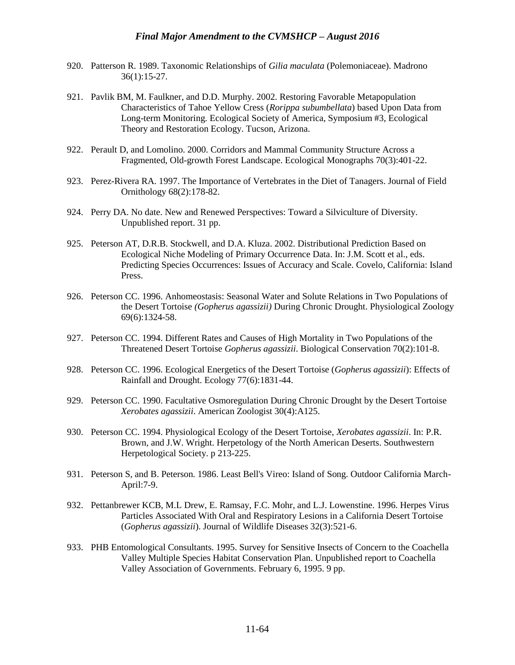- 920. Patterson R. 1989. Taxonomic Relationships of *Gilia maculata* (Polemoniaceae). Madrono 36(1):15-27.
- 921. Pavlik BM, M. Faulkner, and D.D. Murphy. 2002. Restoring Favorable Metapopulation Characteristics of Tahoe Yellow Cress (*Rorippa subumbellata*) based Upon Data from Long-term Monitoring. Ecological Society of America, Symposium #3, Ecological Theory and Restoration Ecology. Tucson, Arizona.
- 922. Perault D, and Lomolino. 2000. Corridors and Mammal Community Structure Across a Fragmented, Old-growth Forest Landscape. Ecological Monographs 70(3):401-22.
- 923. Perez-Rivera RA. 1997. The Importance of Vertebrates in the Diet of Tanagers. Journal of Field Ornithology 68(2):178-82.
- 924. Perry DA. No date. New and Renewed Perspectives: Toward a Silviculture of Diversity. Unpublished report. 31 pp.
- 925. Peterson AT, D.R.B. Stockwell, and D.A. Kluza. 2002. Distributional Prediction Based on Ecological Niche Modeling of Primary Occurrence Data. In: J.M. Scott et al., eds. Predicting Species Occurrences: Issues of Accuracy and Scale. Covelo, California: Island Press.
- 926. Peterson CC. 1996. Anhomeostasis: Seasonal Water and Solute Relations in Two Populations of the Desert Tortoise *(Gopherus agassizii)* During Chronic Drought. Physiological Zoology 69(6):1324-58.
- 927. Peterson CC. 1994. Different Rates and Causes of High Mortality in Two Populations of the Threatened Desert Tortoise *Gopherus agassizii*. Biological Conservation 70(2):101-8.
- 928. Peterson CC. 1996. Ecological Energetics of the Desert Tortoise (*Gopherus agassizii*): Effects of Rainfall and Drought. Ecology 77(6):1831-44.
- 929. Peterson CC. 1990. Facultative Osmoregulation During Chronic Drought by the Desert Tortoise *Xerobates agassizii*. American Zoologist 30(4):A125.
- 930. Peterson CC. 1994. Physiological Ecology of the Desert Tortoise, *Xerobates agassizii*. In: P.R. Brown, and J.W. Wright. Herpetology of the North American Deserts. Southwestern Herpetological Society. p 213-225.
- 931. Peterson S, and B. Peterson. 1986. Least Bell's Vireo: Island of Song. Outdoor California March-April:7-9.
- 932. Pettanbrewer KCB, M.L Drew, E. Ramsay, F.C. Mohr, and L.J. Lowenstine. 1996. Herpes Virus Particles Associated With Oral and Respiratory Lesions in a California Desert Tortoise (*Gopherus agassizii*). Journal of Wildlife Diseases 32(3):521-6.
- 933. PHB Entomological Consultants. 1995. Survey for Sensitive Insects of Concern to the Coachella Valley Multiple Species Habitat Conservation Plan. Unpublished report to Coachella Valley Association of Governments. February 6, 1995. 9 pp.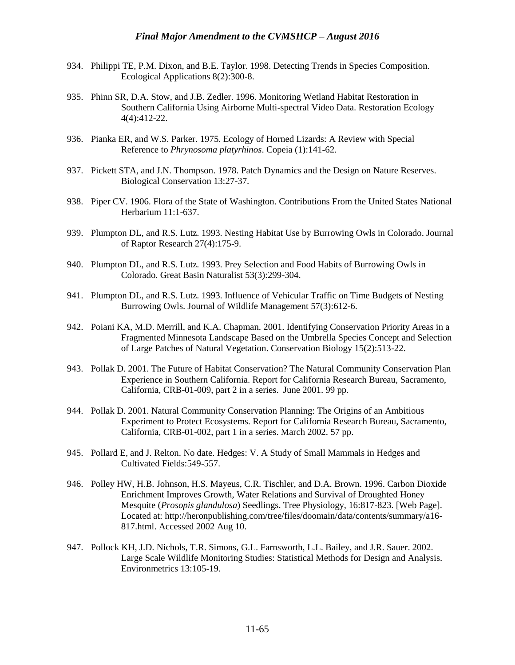- 934. Philippi TE, P.M. Dixon, and B.E. Taylor. 1998. Detecting Trends in Species Composition. Ecological Applications 8(2):300-8.
- 935. Phinn SR, D.A. Stow, and J.B. Zedler. 1996. Monitoring Wetland Habitat Restoration in Southern California Using Airborne Multi-spectral Video Data. Restoration Ecology 4(4):412-22.
- 936. Pianka ER, and W.S. Parker. 1975. Ecology of Horned Lizards: A Review with Special Reference to *Phrynosoma platyrhinos*. Copeia (1):141-62.
- 937. Pickett STA, and J.N. Thompson. 1978. Patch Dynamics and the Design on Nature Reserves. Biological Conservation 13:27-37.
- 938. Piper CV. 1906. Flora of the State of Washington. Contributions From the United States National Herbarium 11:1-637.
- 939. Plumpton DL, and R.S. Lutz. 1993. Nesting Habitat Use by Burrowing Owls in Colorado. Journal of Raptor Research 27(4):175-9.
- 940. Plumpton DL, and R.S. Lutz. 1993. Prey Selection and Food Habits of Burrowing Owls in Colorado. Great Basin Naturalist 53(3):299-304.
- 941. Plumpton DL, and R.S. Lutz. 1993. Influence of Vehicular Traffic on Time Budgets of Nesting Burrowing Owls. Journal of Wildlife Management 57(3):612-6.
- 942. Poiani KA, M.D. Merrill, and K.A. Chapman. 2001. Identifying Conservation Priority Areas in a Fragmented Minnesota Landscape Based on the Umbrella Species Concept and Selection of Large Patches of Natural Vegetation. Conservation Biology 15(2):513-22.
- 943. Pollak D. 2001. The Future of Habitat Conservation? The Natural Community Conservation Plan Experience in Southern California. Report for California Research Bureau, Sacramento, California, CRB-01-009, part 2 in a series. June 2001. 99 pp.
- 944. Pollak D. 2001. Natural Community Conservation Planning: The Origins of an Ambitious Experiment to Protect Ecosystems. Report for California Research Bureau, Sacramento, California, CRB-01-002, part 1 in a series. March 2002. 57 pp.
- 945. Pollard E, and J. Relton. No date. Hedges: V. A Study of Small Mammals in Hedges and Cultivated Fields:549-557.
- 946. Polley HW, H.B. Johnson, H.S. Mayeus, C.R. Tischler, and D.A. Brown. 1996. Carbon Dioxide Enrichment Improves Growth, Water Relations and Survival of Droughted Honey Mesquite (*Prosopis glandulosa*) Seedlings. Tree Physiology, 16:817-823. [Web Page]. Located at: http://heronpublishing.com/tree/files/doomain/data/contents/summary/a16- 817.html. Accessed 2002 Aug 10.
- 947. Pollock KH, J.D. Nichols, T.R. Simons, G.L. Farnsworth, L.L. Bailey, and J.R. Sauer. 2002. Large Scale Wildlife Monitoring Studies: Statistical Methods for Design and Analysis. Environmetrics 13:105-19.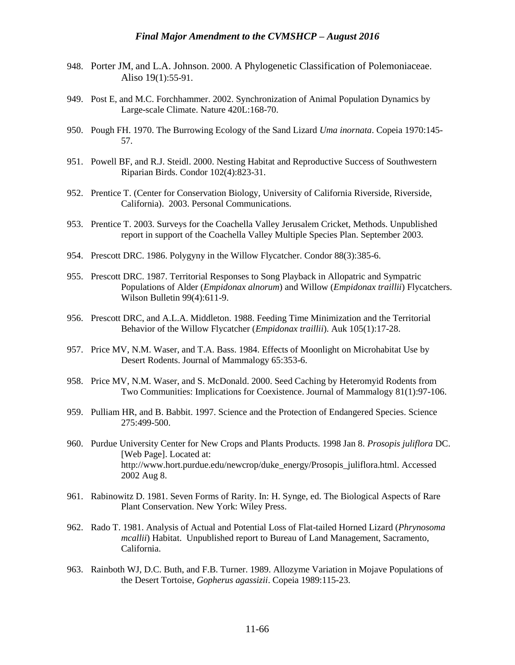- 948. Porter JM, and L.A. Johnson. 2000. A Phylogenetic Classification of Polemoniaceae. Aliso 19(1):55-91.
- 949. Post E, and M.C. Forchhammer. 2002. Synchronization of Animal Population Dynamics by Large-scale Climate. Nature 420L:168-70.
- 950. Pough FH. 1970. The Burrowing Ecology of the Sand Lizard *Uma inornata*. Copeia 1970:145- 57.
- 951. Powell BF, and R.J. Steidl. 2000. Nesting Habitat and Reproductive Success of Southwestern Riparian Birds. Condor 102(4):823-31.
- 952. Prentice T. (Center for Conservation Biology, University of California Riverside, Riverside, California). 2003. Personal Communications.
- 953. Prentice T. 2003. Surveys for the Coachella Valley Jerusalem Cricket, Methods. Unpublished report in support of the Coachella Valley Multiple Species Plan. September 2003.
- 954. Prescott DRC. 1986. Polygyny in the Willow Flycatcher. Condor 88(3):385-6.
- 955. Prescott DRC. 1987. Territorial Responses to Song Playback in Allopatric and Sympatric Populations of Alder (*Empidonax alnorum*) and Willow (*Empidonax traillii*) Flycatchers. Wilson Bulletin 99(4):611-9.
- 956. Prescott DRC, and A.L.A. Middleton. 1988. Feeding Time Minimization and the Territorial Behavior of the Willow Flycatcher (*Empidonax traillii*). Auk 105(1):17-28.
- 957. Price MV, N.M. Waser, and T.A. Bass. 1984. Effects of Moonlight on Microhabitat Use by Desert Rodents. Journal of Mammalogy 65:353-6.
- 958. Price MV, N.M. Waser, and S. McDonald. 2000. Seed Caching by Heteromyid Rodents from Two Communities: Implications for Coexistence. Journal of Mammalogy 81(1):97-106.
- 959. Pulliam HR, and B. Babbit. 1997. Science and the Protection of Endangered Species. Science 275:499-500.
- 960. Purdue University Center for New Crops and Plants Products. 1998 Jan 8. *Prosopis juliflora* DC. [Web Page]. Located at: http://www.hort.purdue.edu/newcrop/duke\_energy/Prosopis\_juliflora.html. Accessed 2002 Aug 8.
- 961. Rabinowitz D. 1981. Seven Forms of Rarity. In: H. Synge, ed. The Biological Aspects of Rare Plant Conservation. New York: Wiley Press.
- 962. Rado T. 1981. Analysis of Actual and Potential Loss of Flat-tailed Horned Lizard (*Phrynosoma mcallii*) Habitat. Unpublished report to Bureau of Land Management, Sacramento, California.
- 963. Rainboth WJ, D.C. Buth, and F.B. Turner. 1989. Allozyme Variation in Mojave Populations of the Desert Tortoise, *Gopherus agassizii*. Copeia 1989:115-23.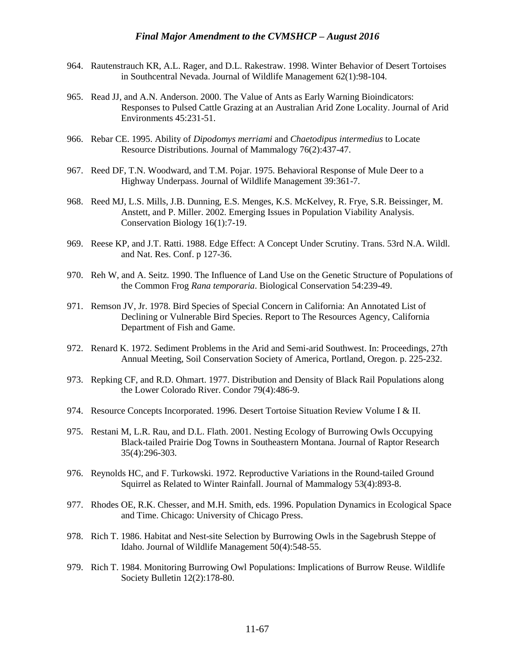- 964. Rautenstrauch KR, A.L. Rager, and D.L. Rakestraw. 1998. Winter Behavior of Desert Tortoises in Southcentral Nevada. Journal of Wildlife Management 62(1):98-104.
- 965. Read JJ, and A.N. Anderson. 2000. The Value of Ants as Early Warning Bioindicators: Responses to Pulsed Cattle Grazing at an Australian Arid Zone Locality. Journal of Arid Environments 45:231-51.
- 966. Rebar CE. 1995. Ability of *Dipodomys merriami* and *Chaetodipus intermedius* to Locate Resource Distributions. Journal of Mammalogy 76(2):437-47.
- 967. Reed DF, T.N. Woodward, and T.M. Pojar. 1975. Behavioral Response of Mule Deer to a Highway Underpass. Journal of Wildlife Management 39:361-7.
- 968. Reed MJ, L.S. Mills, J.B. Dunning, E.S. Menges, K.S. McKelvey, R. Frye, S.R. Beissinger, M. Anstett, and P. Miller. 2002. Emerging Issues in Population Viability Analysis. Conservation Biology 16(1):7-19.
- 969. Reese KP, and J.T. Ratti. 1988. Edge Effect: A Concept Under Scrutiny. Trans. 53rd N.A. Wildl. and Nat. Res. Conf. p 127-36.
- 970. Reh W, and A. Seitz. 1990. The Influence of Land Use on the Genetic Structure of Populations of the Common Frog *Rana temporaria*. Biological Conservation 54:239-49.
- 971. Remson JV, Jr. 1978. Bird Species of Special Concern in California: An Annotated List of Declining or Vulnerable Bird Species. Report to The Resources Agency, California Department of Fish and Game.
- 972. Renard K. 1972. Sediment Problems in the Arid and Semi-arid Southwest. In: Proceedings, 27th Annual Meeting, Soil Conservation Society of America, Portland, Oregon. p. 225-232.
- 973. Repking CF, and R.D. Ohmart. 1977. Distribution and Density of Black Rail Populations along the Lower Colorado River. Condor 79(4):486-9.
- 974. Resource Concepts Incorporated. 1996. Desert Tortoise Situation Review Volume I & II.
- 975. Restani M, L.R. Rau, and D.L. Flath. 2001. Nesting Ecology of Burrowing Owls Occupying Black-tailed Prairie Dog Towns in Southeastern Montana. Journal of Raptor Research 35(4):296-303.
- 976. Reynolds HC, and F. Turkowski. 1972. Reproductive Variations in the Round-tailed Ground Squirrel as Related to Winter Rainfall. Journal of Mammalogy 53(4):893-8.
- 977. Rhodes OE, R.K. Chesser, and M.H. Smith, eds. 1996. Population Dynamics in Ecological Space and Time. Chicago: University of Chicago Press.
- 978. Rich T. 1986. Habitat and Nest-site Selection by Burrowing Owls in the Sagebrush Steppe of Idaho. Journal of Wildlife Management 50(4):548-55.
- 979. Rich T. 1984. Monitoring Burrowing Owl Populations: Implications of Burrow Reuse. Wildlife Society Bulletin 12(2):178-80.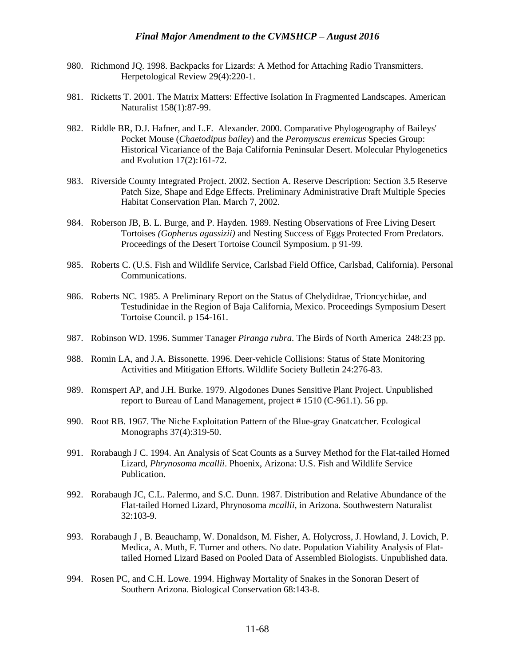- 980. Richmond JQ. 1998. Backpacks for Lizards: A Method for Attaching Radio Transmitters. Herpetological Review 29(4):220-1.
- 981. Ricketts T. 2001. The Matrix Matters: Effective Isolation In Fragmented Landscapes. American Naturalist 158(1):87-99.
- 982. Riddle BR, D.J. Hafner, and L.F. Alexander. 2000. Comparative Phylogeography of Baileys' Pocket Mouse (*Chaetodipus bailey*) and the *Peromyscus eremicus* Species Group: Historical Vicariance of the Baja California Peninsular Desert. Molecular Phylogenetics and Evolution 17(2):161-72.
- 983. Riverside County Integrated Project. 2002. Section A. Reserve Description: Section 3.5 Reserve Patch Size, Shape and Edge Effects. Preliminary Administrative Draft Multiple Species Habitat Conservation Plan. March 7, 2002.
- 984. Roberson JB, B. L. Burge, and P. Hayden. 1989. Nesting Observations of Free Living Desert Tortoises *(Gopherus agassizii)* and Nesting Success of Eggs Protected From Predators. Proceedings of the Desert Tortoise Council Symposium. p 91-99.
- 985. Roberts C. (U.S. Fish and Wildlife Service, Carlsbad Field Office, Carlsbad, California). Personal Communications.
- 986. Roberts NC. 1985. A Preliminary Report on the Status of Chelydidrae, Trioncychidae, and Testudinidae in the Region of Baja California, Mexico. Proceedings Symposium Desert Tortoise Council. p 154-161.
- 987. Robinson WD. 1996. Summer Tanager *Piranga rubra*. The Birds of North America 248:23 pp.
- 988. Romin LA, and J.A. Bissonette. 1996. Deer-vehicle Collisions: Status of State Monitoring Activities and Mitigation Efforts. Wildlife Society Bulletin 24:276-83.
- 989. Romspert AP, and J.H. Burke. 1979. Algodones Dunes Sensitive Plant Project. Unpublished report to Bureau of Land Management, project # 1510 (C-961.1). 56 pp.
- 990. Root RB. 1967. The Niche Exploitation Pattern of the Blue-gray Gnatcatcher. Ecological Monographs 37(4):319-50.
- 991. Rorabaugh J C. 1994. An Analysis of Scat Counts as a Survey Method for the Flat-tailed Horned Lizard, *Phrynosoma mcallii*. Phoenix, Arizona: U.S. Fish and Wildlife Service Publication.
- 992. Rorabaugh JC, C.L. Palermo, and S.C. Dunn. 1987. Distribution and Relative Abundance of the Flat-tailed Horned Lizard, Phrynosoma *mcallii,* in Arizona. Southwestern Naturalist 32:103-9.
- 993. Rorabaugh J , B. Beauchamp, W. Donaldson, M. Fisher, A. Holycross, J. Howland, J. Lovich, P. Medica, A. Muth, F. Turner and others. No date. Population Viability Analysis of Flattailed Horned Lizard Based on Pooled Data of Assembled Biologists. Unpublished data.
- 994. Rosen PC, and C.H. Lowe. 1994. Highway Mortality of Snakes in the Sonoran Desert of Southern Arizona. Biological Conservation 68:143-8.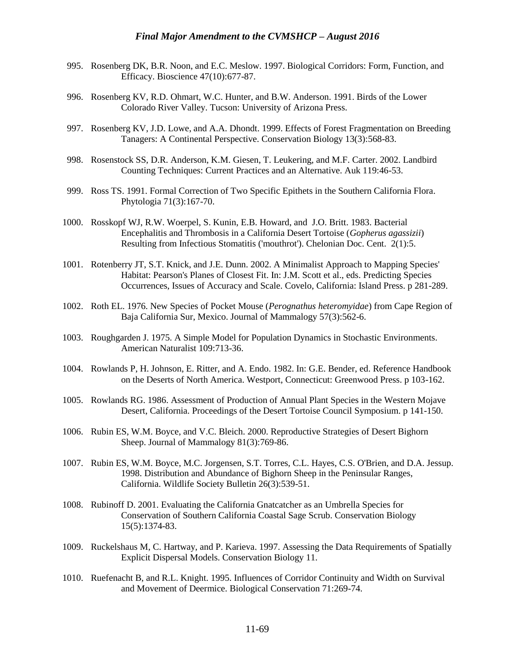- 995. Rosenberg DK, B.R. Noon, and E.C. Meslow. 1997. Biological Corridors: Form, Function, and Efficacy. Bioscience 47(10):677-87.
- 996. Rosenberg KV, R.D. Ohmart, W.C. Hunter, and B.W. Anderson. 1991. Birds of the Lower Colorado River Valley. Tucson: University of Arizona Press.
- 997. Rosenberg KV, J.D. Lowe, and A.A. Dhondt. 1999. Effects of Forest Fragmentation on Breeding Tanagers: A Continental Perspective. Conservation Biology 13(3):568-83.
- 998. Rosenstock SS, D.R. Anderson, K.M. Giesen, T. Leukering, and M.F. Carter. 2002. Landbird Counting Techniques: Current Practices and an Alternative. Auk 119:46-53.
- 999. Ross TS. 1991. Formal Correction of Two Specific Epithets in the Southern California Flora. Phytologia 71(3):167-70.
- 1000. Rosskopf WJ, R.W. Woerpel, S. Kunin, E.B. Howard, and J.O. Britt. 1983. Bacterial Encephalitis and Thrombosis in a California Desert Tortoise (*Gopherus agassizii*) Resulting from Infectious Stomatitis ('mouthrot'). Chelonian Doc. Cent. 2(1):5.
- 1001. Rotenberry JT, S.T. Knick, and J.E. Dunn. 2002. A Minimalist Approach to Mapping Species' Habitat: Pearson's Planes of Closest Fit. In: J.M. Scott et al., eds. Predicting Species Occurrences, Issues of Accuracy and Scale. Covelo, California: Island Press. p 281-289.
- 1002. Roth EL. 1976. New Species of Pocket Mouse (*Perognathus heteromyidae*) from Cape Region of Baja California Sur, Mexico. Journal of Mammalogy 57(3):562-6.
- 1003. Roughgarden J. 1975. A Simple Model for Population Dynamics in Stochastic Environments. American Naturalist 109:713-36.
- 1004. Rowlands P, H. Johnson, E. Ritter, and A. Endo. 1982. In: G.E. Bender, ed. Reference Handbook on the Deserts of North America. Westport, Connecticut: Greenwood Press. p 103-162.
- 1005. Rowlands RG. 1986. Assessment of Production of Annual Plant Species in the Western Mojave Desert, California. Proceedings of the Desert Tortoise Council Symposium. p 141-150.
- 1006. Rubin ES, W.M. Boyce, and V.C. Bleich. 2000. Reproductive Strategies of Desert Bighorn Sheep. Journal of Mammalogy 81(3):769-86.
- 1007. Rubin ES, W.M. Boyce, M.C. Jorgensen, S.T. Torres, C.L. Hayes, C.S. O'Brien, and D.A. Jessup. 1998. Distribution and Abundance of Bighorn Sheep in the Peninsular Ranges, California. Wildlife Society Bulletin 26(3):539-51.
- 1008. Rubinoff D. 2001. Evaluating the California Gnatcatcher as an Umbrella Species for Conservation of Southern California Coastal Sage Scrub. Conservation Biology 15(5):1374-83.
- 1009. Ruckelshaus M, C. Hartway, and P. Karieva. 1997. Assessing the Data Requirements of Spatially Explicit Dispersal Models. Conservation Biology 11.
- 1010. Ruefenacht B, and R.L. Knight. 1995. Influences of Corridor Continuity and Width on Survival and Movement of Deermice. Biological Conservation 71:269-74.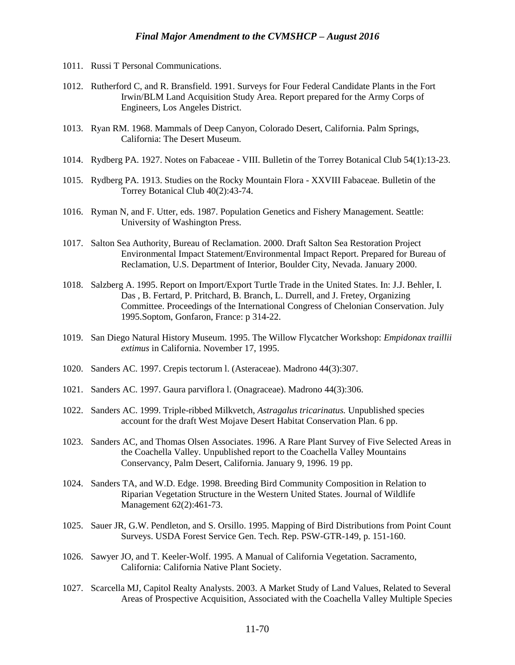- 1011. Russi T Personal Communications.
- 1012. Rutherford C, and R. Bransfield. 1991. Surveys for Four Federal Candidate Plants in the Fort Irwin/BLM Land Acquisition Study Area. Report prepared for the Army Corps of Engineers, Los Angeles District.
- 1013. Ryan RM. 1968. Mammals of Deep Canyon, Colorado Desert, California. Palm Springs, California: The Desert Museum.
- 1014. Rydberg PA. 1927. Notes on Fabaceae VIII. Bulletin of the Torrey Botanical Club 54(1):13-23.
- 1015. Rydberg PA. 1913. Studies on the Rocky Mountain Flora XXVIII Fabaceae. Bulletin of the Torrey Botanical Club 40(2):43-74.
- 1016. Ryman N, and F. Utter, eds. 1987. Population Genetics and Fishery Management. Seattle: University of Washington Press.
- 1017. Salton Sea Authority, Bureau of Reclamation. 2000. Draft Salton Sea Restoration Project Environmental Impact Statement/Environmental Impact Report. Prepared for Bureau of Reclamation, U.S. Department of Interior, Boulder City, Nevada. January 2000.
- 1018. Salzberg A. 1995. Report on Import/Export Turtle Trade in the United States. In: J.J. Behler, I. Das , B. Fertard, P. Pritchard, B. Branch, L. Durrell, and J. Fretey, Organizing Committee. Proceedings of the International Congress of Chelonian Conservation. July 1995.Soptom, Gonfaron, France: p 314-22.
- 1019. San Diego Natural History Museum. 1995. The Willow Flycatcher Workshop: *Empidonax traillii extimus* in California. November 17, 1995.
- 1020. Sanders AC. 1997. Crepis tectorum l. (Asteraceae). Madrono 44(3):307.
- 1021. Sanders AC. 1997. Gaura parviflora l. (Onagraceae). Madrono 44(3):306.
- 1022. Sanders AC. 1999. Triple-ribbed Milkvetch, *Astragalus tricarinatus.* Unpublished species account for the draft West Mojave Desert Habitat Conservation Plan. 6 pp.
- 1023. Sanders AC, and Thomas Olsen Associates. 1996. A Rare Plant Survey of Five Selected Areas in the Coachella Valley. Unpublished report to the Coachella Valley Mountains Conservancy, Palm Desert, California. January 9, 1996. 19 pp.
- 1024. Sanders TA, and W.D. Edge. 1998. Breeding Bird Community Composition in Relation to Riparian Vegetation Structure in the Western United States. Journal of Wildlife Management 62(2):461-73.
- 1025. Sauer JR, G.W. Pendleton, and S. Orsillo. 1995. Mapping of Bird Distributions from Point Count Surveys. USDA Forest Service Gen. Tech. Rep. PSW-GTR-149, p. 151-160.
- 1026. Sawyer JO, and T. Keeler-Wolf. 1995. A Manual of California Vegetation. Sacramento, California: California Native Plant Society.
- 1027. Scarcella MJ, Capitol Realty Analysts. 2003. A Market Study of Land Values, Related to Several Areas of Prospective Acquisition, Associated with the Coachella Valley Multiple Species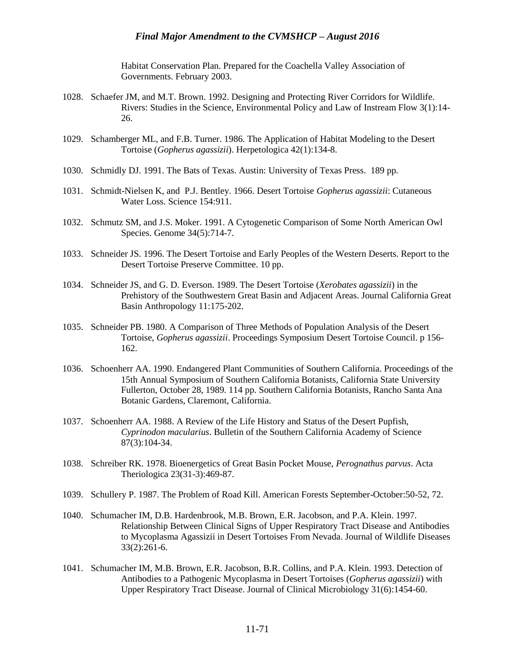Habitat Conservation Plan. Prepared for the Coachella Valley Association of Governments. February 2003.

- 1028. Schaefer JM, and M.T. Brown. 1992. Designing and Protecting River Corridors for Wildlife. Rivers: Studies in the Science, Environmental Policy and Law of Instream Flow 3(1):14- 26.
- 1029. Schamberger ML, and F.B. Turner. 1986. The Application of Habitat Modeling to the Desert Tortoise (*Gopherus agassizii*). Herpetologica 42(1):134-8.
- 1030. Schmidly DJ. 1991. The Bats of Texas. Austin: University of Texas Press. 189 pp.
- 1031. Schmidt-Nielsen K, and P.J. Bentley. 1966. Desert Tortoise *Gopherus agassizii*: Cutaneous Water Loss. Science 154:911.
- 1032. Schmutz SM, and J.S. Moker. 1991. A Cytogenetic Comparison of Some North American Owl Species. Genome 34(5):714-7.
- 1033. Schneider JS. 1996. The Desert Tortoise and Early Peoples of the Western Deserts. Report to the Desert Tortoise Preserve Committee. 10 pp.
- 1034. Schneider JS, and G. D. Everson. 1989. The Desert Tortoise (*Xerobates agassizii*) in the Prehistory of the Southwestern Great Basin and Adjacent Areas. Journal California Great Basin Anthropology 11:175-202.
- 1035. Schneider PB. 1980. A Comparison of Three Methods of Population Analysis of the Desert Tortoise, *Gopherus agassizii*. Proceedings Symposium Desert Tortoise Council. p 156- 162.
- 1036. Schoenherr AA. 1990. Endangered Plant Communities of Southern California. Proceedings of the 15th Annual Symposium of Southern California Botanists, California State University Fullerton, October 28, 1989. 114 pp. Southern California Botanists, Rancho Santa Ana Botanic Gardens, Claremont, California.
- 1037. Schoenherr AA. 1988. A Review of the Life History and Status of the Desert Pupfish, *Cyprinodon macularius*. Bulletin of the Southern California Academy of Science 87(3):104-34.
- 1038. Schreiber RK. 1978. Bioenergetics of Great Basin Pocket Mouse, *Perognathus parvus*. Acta Theriologica 23(31-3):469-87.
- 1039. Schullery P. 1987. The Problem of Road Kill. American Forests September-October:50-52, 72.
- 1040. Schumacher IM, D.B. Hardenbrook, M.B. Brown, E.R. Jacobson, and P.A. Klein. 1997. Relationship Between Clinical Signs of Upper Respiratory Tract Disease and Antibodies to Mycoplasma Agassizii in Desert Tortoises From Nevada. Journal of Wildlife Diseases 33(2):261-6.
- 1041. Schumacher IM, M.B. Brown, E.R. Jacobson, B.R. Collins, and P.A. Klein. 1993. Detection of Antibodies to a Pathogenic Mycoplasma in Desert Tortoises (*Gopherus agassizii*) with Upper Respiratory Tract Disease. Journal of Clinical Microbiology 31(6):1454-60.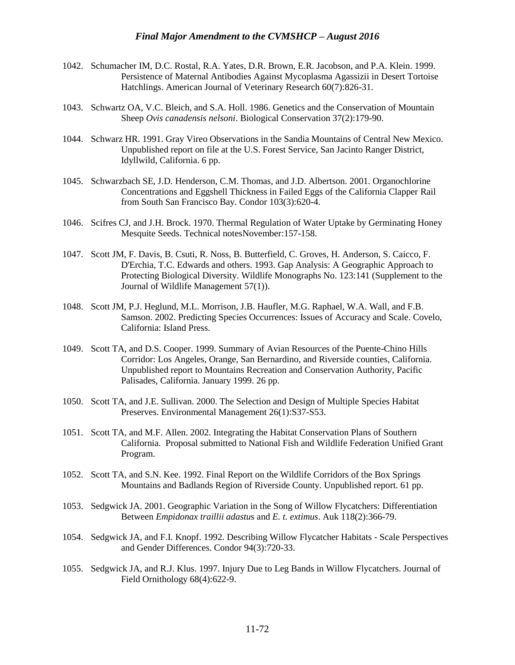- 1042. Schumacher IM, D.C. Rostal, R.A. Yates, D.R. Brown, E.R. Jacobson, and P.A. Klein. 1999. Persistence of Maternal Antibodies Against Mycoplasma Agassizii in Desert Tortoise Hatchlings. American Journal of Veterinary Research 60(7):826-31.
- 1043. Schwartz OA, V.C. Bleich, and S.A. Holl. 1986. Genetics and the Conservation of Mountain Sheep *Ovis canadensis nelsoni*. Biological Conservation 37(2):179-90.
- 1044. Schwarz HR. 1991. Gray Vireo Observations in the Sandia Mountains of Central New Mexico. Unpublished report on file at the U.S. Forest Service, San Jacinto Ranger District, Idyllwild, California. 6 pp.
- 1045. Schwarzbach SE, J.D. Henderson, C.M. Thomas, and J.D. Albertson. 2001. Organochlorine Concentrations and Eggshell Thickness in Failed Eggs of the California Clapper Rail from South San Francisco Bay. Condor 103(3):620-4.
- 1046. Scifres CJ, and J.H. Brock. 1970. Thermal Regulation of Water Uptake by Germinating Honey Mesquite Seeds. Technical notesNovember:157-158.
- 1047. Scott JM, F. Davis, B. Csuti, R. Noss, B. Butterfield, C. Groves, H. Anderson, S. Caicco, F. D'Erchia, T.C. Edwards and others. 1993. Gap Analysis: A Geographic Approach to Protecting Biological Diversity. Wildlife Monographs No. 123:141 (Supplement to the Journal of Wildlife Management 57(1)).
- 1048. Scott JM, P.J. Heglund, M.L. Morrison, J.B. Haufler, M.G. Raphael, W.A. Wall, and F.B. Samson. 2002. Predicting Species Occurrences: Issues of Accuracy and Scale. Covelo, California: Island Press.
- 1049. Scott TA, and D.S. Cooper. 1999. Summary of Avian Resources of the Puente-Chino Hills Corridor: Los Angeles, Orange, San Bernardino, and Riverside counties, California. Unpublished report to Mountains Recreation and Conservation Authority, Pacific Palisades, California. January 1999. 26 pp.
- 1050. Scott TA, and J.E. Sullivan. 2000. The Selection and Design of Multiple Species Habitat Preserves. Environmental Management 26(1):S37-S53.
- 1051. Scott TA, and M.F. Allen. 2002. Integrating the Habitat Conservation Plans of Southern California. Proposal submitted to National Fish and Wildlife Federation Unified Grant Program.
- 1052. Scott TA, and S.N. Kee. 1992. Final Report on the Wildlife Corridors of the Box Springs Mountains and Badlands Region of Riverside County. Unpublished report. 61 pp.
- 1053. Sedgwick JA. 2001. Geographic Variation in the Song of Willow Flycatchers: Differentiation Between *Empidonax traillii adastu*s and *E. t. extimus*. Auk 118(2):366-79.
- 1054. Sedgwick JA, and F.I. Knopf. 1992. Describing Willow Flycatcher Habitats Scale Perspectives and Gender Differences. Condor 94(3):720-33.
- 1055. Sedgwick JA, and R.J. Klus. 1997. Injury Due to Leg Bands in Willow Flycatchers. Journal of Field Ornithology 68(4):622-9.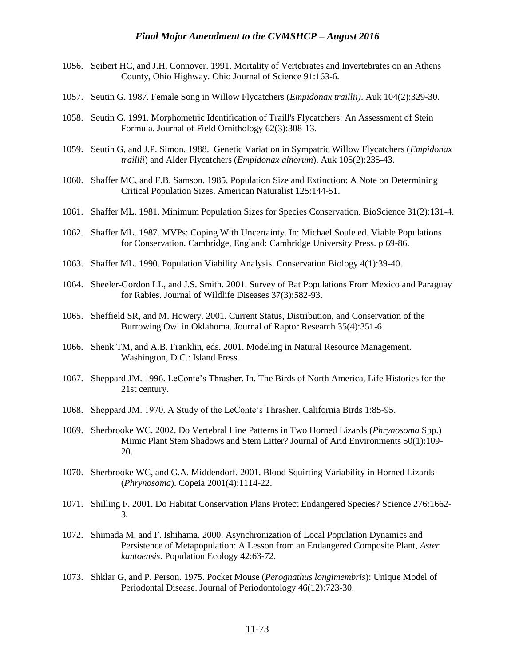- 1056. Seibert HC, and J.H. Connover. 1991. Mortality of Vertebrates and Invertebrates on an Athens County, Ohio Highway. Ohio Journal of Science 91:163-6.
- 1057. Seutin G. 1987. Female Song in Willow Flycatchers (*Empidonax traillii)*. Auk 104(2):329-30.
- 1058. Seutin G. 1991. Morphometric Identification of Traill's Flycatchers: An Assessment of Stein Formula. Journal of Field Ornithology 62(3):308-13.
- 1059. Seutin G, and J.P. Simon. 1988. Genetic Variation in Sympatric Willow Flycatchers (*Empidonax traillii*) and Alder Flycatchers (*Empidonax alnorum*). Auk 105(2):235-43.
- 1060. Shaffer MC, and F.B. Samson. 1985. Population Size and Extinction: A Note on Determining Critical Population Sizes. American Naturalist 125:144-51.
- 1061. Shaffer ML. 1981. Minimum Population Sizes for Species Conservation. BioScience 31(2):131-4.
- 1062. Shaffer ML. 1987. MVPs: Coping With Uncertainty. In: Michael Soule ed. Viable Populations for Conservation. Cambridge, England: Cambridge University Press. p 69-86.
- 1063. Shaffer ML. 1990. Population Viability Analysis. Conservation Biology 4(1):39-40.
- 1064. Sheeler-Gordon LL, and J.S. Smith. 2001. Survey of Bat Populations From Mexico and Paraguay for Rabies. Journal of Wildlife Diseases 37(3):582-93.
- 1065. Sheffield SR, and M. Howery. 2001. Current Status, Distribution, and Conservation of the Burrowing Owl in Oklahoma. Journal of Raptor Research 35(4):351-6.
- 1066. Shenk TM, and A.B. Franklin, eds. 2001. Modeling in Natural Resource Management. Washington, D.C.: Island Press.
- 1067. Sheppard JM. 1996. LeConte's Thrasher. In. The Birds of North America, Life Histories for the 21st century.
- 1068. Sheppard JM. 1970. A Study of the LeConte's Thrasher. California Birds 1:85-95.
- 1069. Sherbrooke WC. 2002. Do Vertebral Line Patterns in Two Horned Lizards (*Phrynosoma* Spp.) Mimic Plant Stem Shadows and Stem Litter? Journal of Arid Environments 50(1):109- 20.
- 1070. Sherbrooke WC, and G.A. Middendorf. 2001. Blood Squirting Variability in Horned Lizards (*Phrynosoma*). Copeia 2001(4):1114-22.
- 1071. Shilling F. 2001. Do Habitat Conservation Plans Protect Endangered Species? Science 276:1662- 3.
- 1072. Shimada M, and F. Ishihama. 2000. Asynchronization of Local Population Dynamics and Persistence of Metapopulation: A Lesson from an Endangered Composite Plant, *Aster kantoensis*. Population Ecology 42:63-72.
- 1073. Shklar G, and P. Person. 1975. Pocket Mouse (*Perognathus longimembris*): Unique Model of Periodontal Disease. Journal of Periodontology 46(12):723-30.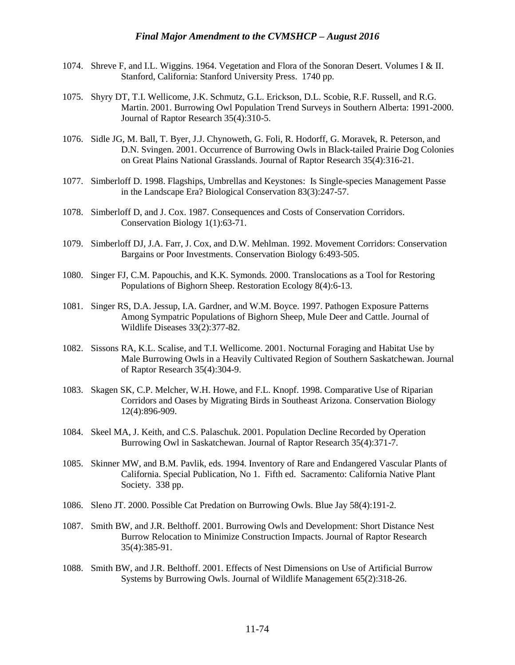- 1074. Shreve F, and I.L. Wiggins. 1964. Vegetation and Flora of the Sonoran Desert. Volumes I & II. Stanford, California: Stanford University Press. 1740 pp.
- 1075. Shyry DT, T.I. Wellicome, J.K. Schmutz, G.L. Erickson, D.L. Scobie, R.F. Russell, and R.G. Martin. 2001. Burrowing Owl Population Trend Surveys in Southern Alberta: 1991-2000. Journal of Raptor Research 35(4):310-5.
- 1076. Sidle JG, M. Ball, T. Byer, J.J. Chynoweth, G. Foli, R. Hodorff, G. Moravek, R. Peterson, and D.N. Svingen. 2001. Occurrence of Burrowing Owls in Black-tailed Prairie Dog Colonies on Great Plains National Grasslands. Journal of Raptor Research 35(4):316-21.
- 1077. Simberloff D. 1998. Flagships, Umbrellas and Keystones: Is Single-species Management Passe in the Landscape Era? Biological Conservation 83(3):247-57.
- 1078. Simberloff D, and J. Cox. 1987. Consequences and Costs of Conservation Corridors. Conservation Biology 1(1):63-71.
- 1079. Simberloff DJ, J.A. Farr, J. Cox, and D.W. Mehlman. 1992. Movement Corridors: Conservation Bargains or Poor Investments. Conservation Biology 6:493-505.
- 1080. Singer FJ, C.M. Papouchis, and K.K. Symonds. 2000. Translocations as a Tool for Restoring Populations of Bighorn Sheep. Restoration Ecology 8(4):6-13.
- 1081. Singer RS, D.A. Jessup, I.A. Gardner, and W.M. Boyce. 1997. Pathogen Exposure Patterns Among Sympatric Populations of Bighorn Sheep, Mule Deer and Cattle. Journal of Wildlife Diseases 33(2):377-82.
- 1082. Sissons RA, K.L. Scalise, and T.I. Wellicome. 2001. Nocturnal Foraging and Habitat Use by Male Burrowing Owls in a Heavily Cultivated Region of Southern Saskatchewan. Journal of Raptor Research 35(4):304-9.
- 1083. Skagen SK, C.P. Melcher, W.H. Howe, and F.L. Knopf. 1998. Comparative Use of Riparian Corridors and Oases by Migrating Birds in Southeast Arizona. Conservation Biology 12(4):896-909.
- 1084. Skeel MA, J. Keith, and C.S. Palaschuk. 2001. Population Decline Recorded by Operation Burrowing Owl in Saskatchewan. Journal of Raptor Research 35(4):371-7.
- 1085. Skinner MW, and B.M. Pavlik, eds. 1994. Inventory of Rare and Endangered Vascular Plants of California. Special Publication, No 1. Fifth ed. Sacramento: California Native Plant Society. 338 pp.
- 1086. Sleno JT. 2000. Possible Cat Predation on Burrowing Owls. Blue Jay 58(4):191-2.
- 1087. Smith BW, and J.R. Belthoff. 2001. Burrowing Owls and Development: Short Distance Nest Burrow Relocation to Minimize Construction Impacts. Journal of Raptor Research 35(4):385-91.
- 1088. Smith BW, and J.R. Belthoff. 2001. Effects of Nest Dimensions on Use of Artificial Burrow Systems by Burrowing Owls. Journal of Wildlife Management 65(2):318-26.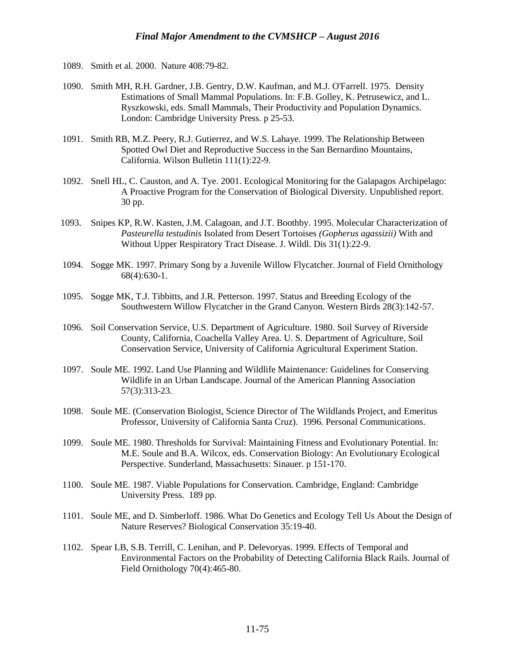- 1089. Smith et al. 2000. Nature 408:79-82.
- 1090. Smith MH, R.H. Gardner, J.B. Gentry, D.W. Kaufman, and M.J. O'Farrell. 1975. Density Estimations of Small Mammal Populations. In: F.B. Golley, K. Petrusewicz, and L. Ryszkowski, eds. Small Mammals, Their Productivity and Population Dynamics. London: Cambridge University Press. p 25-53.
- 1091. Smith RB, M.Z. Peery, R.J. Gutierrez, and W.S. Lahaye. 1999. The Relationship Between Spotted Owl Diet and Reproductive Success in the San Bernardino Mountains, California. Wilson Bulletin 111(1):22-9.
- 1092. Snell HL, C. Causton, and A. Tye. 2001. Ecological Monitoring for the Galapagos Archipelago: A Proactive Program for the Conservation of Biological Diversity. Unpublished report. 30 pp.
- 1093. Snipes KP, R.W. Kasten, J.M. Calagoan, and J.T. Boothby. 1995. Molecular Characterization of *Pasteurella testudinis* Isolated from Desert Tortoises *(Gopherus agassizii)* With and Without Upper Respiratory Tract Disease. J. Wildl. Dis 31(1):22-9.
- 1094. Sogge MK. 1997. Primary Song by a Juvenile Willow Flycatcher. Journal of Field Ornithology 68(4):630-1.
- 1095. Sogge MK, T.J. Tibbitts, and J.R. Petterson. 1997. Status and Breeding Ecology of the Southwestern Willow Flycatcher in the Grand Canyon. Western Birds 28(3):142-57.
- 1096. Soil Conservation Service, U.S. Department of Agriculture. 1980. Soil Survey of Riverside County, California, Coachella Valley Area. U. S. Department of Agriculture, Soil Conservation Service, University of California Agricultural Experiment Station.
- 1097. Soule ME. 1992. Land Use Planning and Wildlife Maintenance: Guidelines for Conserving Wildlife in an Urban Landscape. Journal of the American Planning Association 57(3):313-23.
- 1098. Soule ME. (Conservation Biologist, Science Director of The Wildlands Project, and Emeritus Professor, University of California Santa Cruz). 1996. Personal Communications.
- 1099. Soule ME. 1980. Thresholds for Survival: Maintaining Fitness and Evolutionary Potential. In: M.E. Soule and B.A. Wilcox, eds. Conservation Biology: An Evolutionary Ecological Perspective. Sunderland, Massachusetts: Sinauer. p 151-170.
- 1100. Soule ME. 1987. Viable Populations for Conservation. Cambridge, England: Cambridge University Press. 189 pp.
- 1101. Soule ME, and D. Simberloff. 1986. What Do Genetics and Ecology Tell Us About the Design of Nature Reserves? Biological Conservation 35:19-40.
- 1102. Spear LB, S.B. Terrill, C. Lenihan, and P. Delevoryas. 1999. Effects of Temporal and Environmental Factors on the Probability of Detecting California Black Rails. Journal of Field Ornithology 70(4):465-80.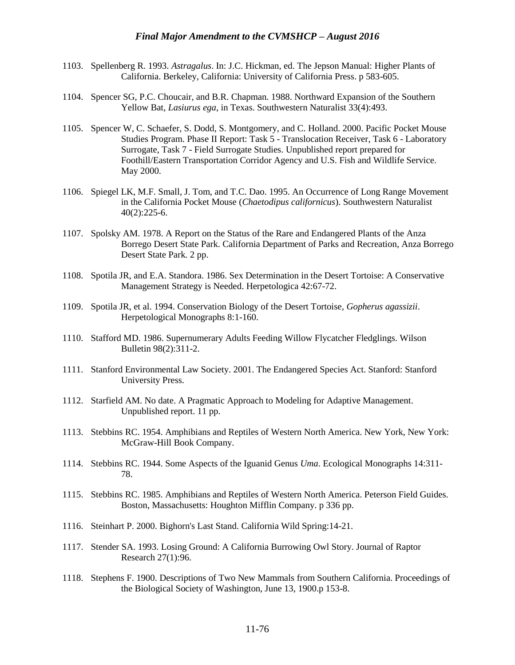- 1103. Spellenberg R. 1993. *Astragalus*. In: J.C. Hickman, ed. The Jepson Manual: Higher Plants of California. Berkeley, California: University of California Press. p 583-605.
- 1104. Spencer SG, P.C. Choucair, and B.R. Chapman. 1988. Northward Expansion of the Southern Yellow Bat, *Lasiurus ega*, in Texas. Southwestern Naturalist 33(4):493.
- 1105. Spencer W, C. Schaefer, S. Dodd, S. Montgomery, and C. Holland. 2000. Pacific Pocket Mouse Studies Program. Phase II Report: Task 5 - Translocation Receiver, Task 6 - Laboratory Surrogate, Task 7 - Field Surrogate Studies. Unpublished report prepared for Foothill/Eastern Transportation Corridor Agency and U.S. Fish and Wildlife Service. May 2000.
- 1106. Spiegel LK, M.F. Small, J. Tom, and T.C. Dao. 1995. An Occurrence of Long Range Movement in the California Pocket Mouse (*Chaetodipus californicus*). Southwestern Naturalist 40(2):225-6.
- 1107. Spolsky AM. 1978. A Report on the Status of the Rare and Endangered Plants of the Anza Borrego Desert State Park. California Department of Parks and Recreation, Anza Borrego Desert State Park. 2 pp.
- 1108. Spotila JR, and E.A. Standora. 1986. Sex Determination in the Desert Tortoise: A Conservative Management Strategy is Needed. Herpetologica 42:67-72.
- 1109. Spotila JR, et al. 1994. Conservation Biology of the Desert Tortoise, *Gopherus agassizii*. Herpetological Monographs 8:1-160.
- 1110. Stafford MD. 1986. Supernumerary Adults Feeding Willow Flycatcher Fledglings. Wilson Bulletin 98(2):311-2.
- 1111. Stanford Environmental Law Society. 2001. The Endangered Species Act. Stanford: Stanford University Press.
- 1112. Starfield AM. No date. A Pragmatic Approach to Modeling for Adaptive Management. Unpublished report. 11 pp.
- 1113. Stebbins RC. 1954. Amphibians and Reptiles of Western North America. New York, New York: McGraw-Hill Book Company.
- 1114. Stebbins RC. 1944. Some Aspects of the Iguanid Genus *Uma*. Ecological Monographs 14:311- 78.
- 1115. Stebbins RC. 1985. Amphibians and Reptiles of Western North America. Peterson Field Guides. Boston, Massachusetts: Houghton Mifflin Company. p 336 pp.
- 1116. Steinhart P. 2000. Bighorn's Last Stand. California Wild Spring:14-21.
- 1117. Stender SA. 1993. Losing Ground: A California Burrowing Owl Story. Journal of Raptor Research 27(1):96.
- 1118. Stephens F. 1900. Descriptions of Two New Mammals from Southern California. Proceedings of the Biological Society of Washington, June 13, 1900.p 153-8.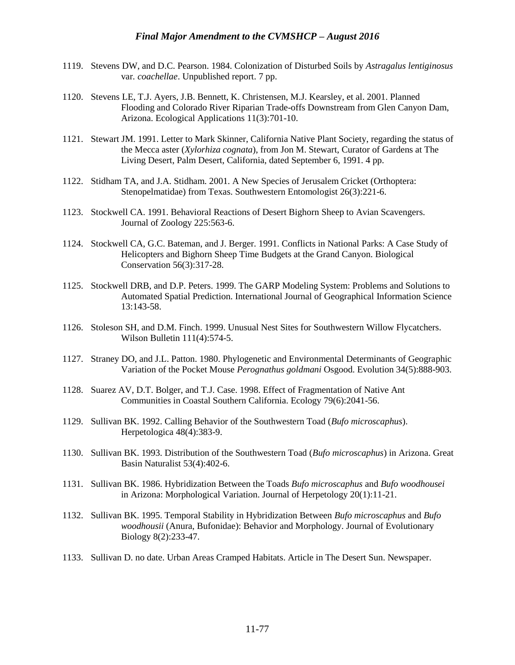- 1119. Stevens DW, and D.C. Pearson. 1984. Colonization of Disturbed Soils by *Astragalus lentiginosus*  var*. coachellae*. Unpublished report. 7 pp.
- 1120. Stevens LE, T.J. Ayers, J.B. Bennett, K. Christensen, M.J. Kearsley, et al. 2001. Planned Flooding and Colorado River Riparian Trade-offs Downstream from Glen Canyon Dam, Arizona. Ecological Applications 11(3):701-10.
- 1121. Stewart JM. 1991. Letter to Mark Skinner, California Native Plant Society, regarding the status of the Mecca aster (*Xylorhiza cognata*), from Jon M. Stewart, Curator of Gardens at The Living Desert, Palm Desert, California, dated September 6, 1991. 4 pp.
- 1122. Stidham TA, and J.A. Stidham. 2001. A New Species of Jerusalem Cricket (Orthoptera: Stenopelmatidae) from Texas. Southwestern Entomologist 26(3):221-6.
- 1123. Stockwell CA. 1991. Behavioral Reactions of Desert Bighorn Sheep to Avian Scavengers. Journal of Zoology 225:563-6.
- 1124. Stockwell CA, G.C. Bateman, and J. Berger. 1991. Conflicts in National Parks: A Case Study of Helicopters and Bighorn Sheep Time Budgets at the Grand Canyon. Biological Conservation 56(3):317-28.
- 1125. Stockwell DRB, and D.P. Peters. 1999. The GARP Modeling System: Problems and Solutions to Automated Spatial Prediction. International Journal of Geographical Information Science 13:143-58.
- 1126. Stoleson SH, and D.M. Finch. 1999. Unusual Nest Sites for Southwestern Willow Flycatchers. Wilson Bulletin 111(4):574-5.
- 1127. Straney DO, and J.L. Patton. 1980. Phylogenetic and Environmental Determinants of Geographic Variation of the Pocket Mouse *Perognathus goldmani* Osgood. Evolution 34(5):888-903.
- 1128. Suarez AV, D.T. Bolger, and T.J. Case. 1998. Effect of Fragmentation of Native Ant Communities in Coastal Southern California. Ecology 79(6):2041-56.
- 1129. Sullivan BK. 1992. Calling Behavior of the Southwestern Toad (*Bufo microscaphus*). Herpetologica 48(4):383-9.
- 1130. Sullivan BK. 1993. Distribution of the Southwestern Toad (*Bufo microscaphus*) in Arizona. Great Basin Naturalist 53(4):402-6.
- 1131. Sullivan BK. 1986. Hybridization Between the Toads *Bufo microscaphus* and *Bufo woodhousei* in Arizona: Morphological Variation. Journal of Herpetology 20(1):11-21.
- 1132. Sullivan BK. 1995. Temporal Stability in Hybridization Between *Bufo microscaphus* and *Bufo woodhousii* (Anura, Bufonidae): Behavior and Morphology. Journal of Evolutionary Biology 8(2):233-47.
- 1133. Sullivan D. no date. Urban Areas Cramped Habitats. Article in The Desert Sun. Newspaper.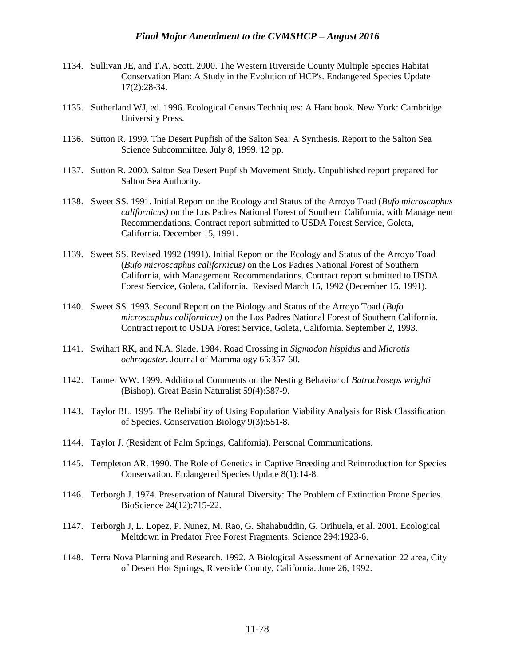- 1134. Sullivan JE, and T.A. Scott. 2000. The Western Riverside County Multiple Species Habitat Conservation Plan: A Study in the Evolution of HCP's. Endangered Species Update 17(2):28-34.
- 1135. Sutherland WJ, ed. 1996. Ecological Census Techniques: A Handbook. New York: Cambridge University Press.
- 1136. Sutton R. 1999. The Desert Pupfish of the Salton Sea: A Synthesis. Report to the Salton Sea Science Subcommittee. July 8, 1999. 12 pp.
- 1137. Sutton R. 2000. Salton Sea Desert Pupfish Movement Study. Unpublished report prepared for Salton Sea Authority.
- 1138. Sweet SS. 1991. Initial Report on the Ecology and Status of the Arroyo Toad (*Bufo microscaphus californicus)* on the Los Padres National Forest of Southern California, with Management Recommendations. Contract report submitted to USDA Forest Service, Goleta, California. December 15, 1991.
- 1139. Sweet SS. Revised 1992 (1991). Initial Report on the Ecology and Status of the Arroyo Toad (*Bufo microscaphus californicus)* on the Los Padres National Forest of Southern California, with Management Recommendations. Contract report submitted to USDA Forest Service, Goleta, California. Revised March 15, 1992 (December 15, 1991).
- 1140. Sweet SS. 1993. Second Report on the Biology and Status of the Arroyo Toad (*Bufo microscaphus californicus)* on the Los Padres National Forest of Southern California. Contract report to USDA Forest Service, Goleta, California. September 2, 1993.
- 1141. Swihart RK, and N.A. Slade. 1984. Road Crossing in *Sigmodon hispidus* and *Microtis ochrogaster*. Journal of Mammalogy 65:357-60.
- 1142. Tanner WW. 1999. Additional Comments on the Nesting Behavior of *Batrachoseps wrighti* (Bishop). Great Basin Naturalist 59(4):387-9.
- 1143. Taylor BL. 1995. The Reliability of Using Population Viability Analysis for Risk Classification of Species. Conservation Biology 9(3):551-8.
- 1144. Taylor J. (Resident of Palm Springs, California). Personal Communications.
- 1145. Templeton AR. 1990. The Role of Genetics in Captive Breeding and Reintroduction for Species Conservation. Endangered Species Update 8(1):14-8.
- 1146. Terborgh J. 1974. Preservation of Natural Diversity: The Problem of Extinction Prone Species. BioScience 24(12):715-22.
- 1147. Terborgh J, L. Lopez, P. Nunez, M. Rao, G. Shahabuddin, G. Orihuela, et al. 2001. Ecological Meltdown in Predator Free Forest Fragments. Science 294:1923-6.
- 1148. Terra Nova Planning and Research. 1992. A Biological Assessment of Annexation 22 area, City of Desert Hot Springs, Riverside County, California. June 26, 1992.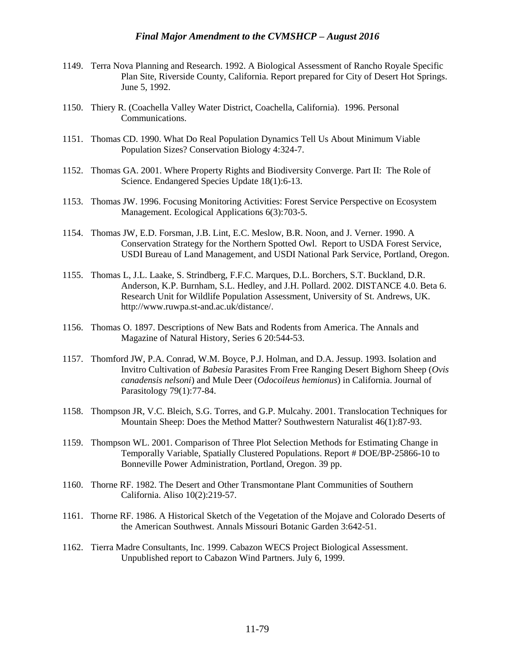- 1149. Terra Nova Planning and Research. 1992. A Biological Assessment of Rancho Royale Specific Plan Site, Riverside County, California. Report prepared for City of Desert Hot Springs. June 5, 1992.
- 1150. Thiery R. (Coachella Valley Water District, Coachella, California). 1996. Personal Communications.
- 1151. Thomas CD. 1990. What Do Real Population Dynamics Tell Us About Minimum Viable Population Sizes? Conservation Biology 4:324-7.
- 1152. Thomas GA. 2001. Where Property Rights and Biodiversity Converge. Part II: The Role of Science. Endangered Species Update 18(1):6-13.
- 1153. Thomas JW. 1996. Focusing Monitoring Activities: Forest Service Perspective on Ecosystem Management. Ecological Applications 6(3):703-5.
- 1154. Thomas JW, E.D. Forsman, J.B. Lint, E.C. Meslow, B.R. Noon, and J. Verner. 1990. A Conservation Strategy for the Northern Spotted Owl. Report to USDA Forest Service, USDI Bureau of Land Management, and USDI National Park Service, Portland, Oregon.
- 1155. Thomas L, J.L. Laake, S. Strindberg, F.F.C. Marques, D.L. Borchers, S.T. Buckland, D.R. Anderson, K.P. Burnham, S.L. Hedley, and J.H. Pollard. 2002. DISTANCE 4.0. Beta 6. Research Unit for Wildlife Population Assessment, University of St. Andrews, UK. http://www.ruwpa.st-and.ac.uk/distance/.
- 1156. Thomas O. 1897. Descriptions of New Bats and Rodents from America. The Annals and Magazine of Natural History, Series 6 20:544-53.
- 1157. Thomford JW, P.A. Conrad, W.M. Boyce, P.J. Holman, and D.A. Jessup. 1993. Isolation and Invitro Cultivation of *Babesia* Parasites From Free Ranging Desert Bighorn Sheep (*Ovis canadensis nelsoni*) and Mule Deer (*Odocoileus hemionus*) in California. Journal of Parasitology 79(1):77-84.
- 1158. Thompson JR, V.C. Bleich, S.G. Torres, and G.P. Mulcahy. 2001. Translocation Techniques for Mountain Sheep: Does the Method Matter? Southwestern Naturalist 46(1):87-93.
- 1159. Thompson WL. 2001. Comparison of Three Plot Selection Methods for Estimating Change in Temporally Variable, Spatially Clustered Populations. Report # DOE/BP-25866-10 to Bonneville Power Administration, Portland, Oregon. 39 pp.
- 1160. Thorne RF. 1982. The Desert and Other Transmontane Plant Communities of Southern California. Aliso 10(2):219-57.
- 1161. Thorne RF. 1986. A Historical Sketch of the Vegetation of the Mojave and Colorado Deserts of the American Southwest. Annals Missouri Botanic Garden 3:642-51.
- 1162. Tierra Madre Consultants, Inc. 1999. Cabazon WECS Project Biological Assessment. Unpublished report to Cabazon Wind Partners. July 6, 1999.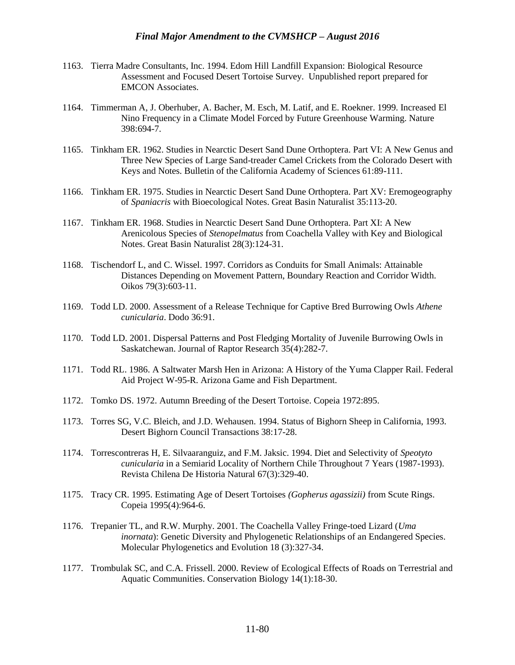- 1163. Tierra Madre Consultants, Inc. 1994. Edom Hill Landfill Expansion: Biological Resource Assessment and Focused Desert Tortoise Survey. Unpublished report prepared for EMCON Associates.
- 1164. Timmerman A, J. Oberhuber, A. Bacher, M. Esch, M. Latif, and E. Roekner. 1999. Increased El Nino Frequency in a Climate Model Forced by Future Greenhouse Warming. Nature 398:694-7.
- 1165. Tinkham ER. 1962. Studies in Nearctic Desert Sand Dune Orthoptera. Part VI: A New Genus and Three New Species of Large Sand-treader Camel Crickets from the Colorado Desert with Keys and Notes. Bulletin of the California Academy of Sciences 61:89-111.
- 1166. Tinkham ER. 1975. Studies in Nearctic Desert Sand Dune Orthoptera. Part XV: Eremogeography of *Spaniacris* with Bioecological Notes. Great Basin Naturalist 35:113-20.
- 1167. Tinkham ER. 1968. Studies in Nearctic Desert Sand Dune Orthoptera. Part XI: A New Arenicolous Species of *Stenopelmatus* from Coachella Valley with Key and Biological Notes. Great Basin Naturalist 28(3):124-31.
- 1168. Tischendorf L, and C. Wissel. 1997. Corridors as Conduits for Small Animals: Attainable Distances Depending on Movement Pattern, Boundary Reaction and Corridor Width. Oikos 79(3):603-11.
- 1169. Todd LD. 2000. Assessment of a Release Technique for Captive Bred Burrowing Owls *Athene cunicularia*. Dodo 36:91.
- 1170. Todd LD. 2001. Dispersal Patterns and Post Fledging Mortality of Juvenile Burrowing Owls in Saskatchewan. Journal of Raptor Research 35(4):282-7.
- 1171. Todd RL. 1986. A Saltwater Marsh Hen in Arizona: A History of the Yuma Clapper Rail. Federal Aid Project W-95-R. Arizona Game and Fish Department.
- 1172. Tomko DS. 1972. Autumn Breeding of the Desert Tortoise. Copeia 1972:895.
- 1173. Torres SG, V.C. Bleich, and J.D. Wehausen. 1994. Status of Bighorn Sheep in California, 1993. Desert Bighorn Council Transactions 38:17-28.
- 1174. Torrescontreras H, E. Silvaaranguiz, and F.M. Jaksic. 1994. Diet and Selectivity of *Speotyto cunicularia* in a Semiarid Locality of Northern Chile Throughout 7 Years (1987-1993). Revista Chilena De Historia Natural 67(3):329-40.
- 1175. Tracy CR. 1995. Estimating Age of Desert Tortoises *(Gopherus agassizii)* from Scute Rings. Copeia 1995(4):964-6.
- 1176. Trepanier TL, and R.W. Murphy. 2001. The Coachella Valley Fringe-toed Lizard (*Uma inornata*): Genetic Diversity and Phylogenetic Relationships of an Endangered Species. Molecular Phylogenetics and Evolution 18 (3):327-34.
- 1177. Trombulak SC, and C.A. Frissell. 2000. Review of Ecological Effects of Roads on Terrestrial and Aquatic Communities. Conservation Biology 14(1):18-30.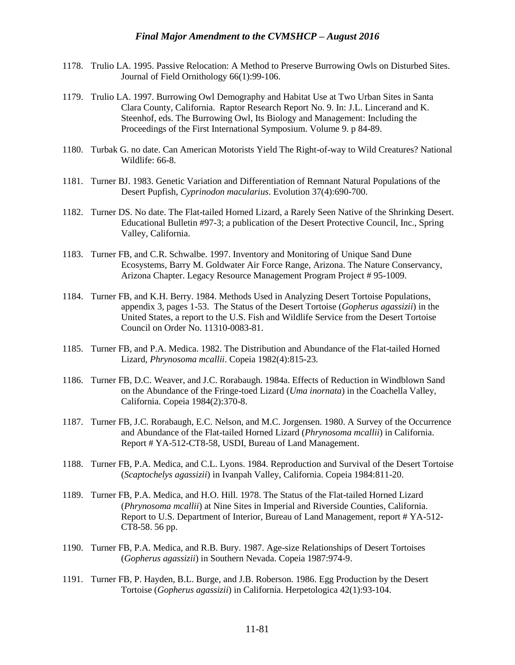- 1178. Trulio LA. 1995. Passive Relocation: A Method to Preserve Burrowing Owls on Disturbed Sites. Journal of Field Ornithology 66(1):99-106.
- 1179. Trulio LA. 1997. Burrowing Owl Demography and Habitat Use at Two Urban Sites in Santa Clara County, California. Raptor Research Report No. 9. In: J.L. Lincerand and K. Steenhof, eds. The Burrowing Owl, Its Biology and Management: Including the Proceedings of the First International Symposium. Volume 9. p 84-89.
- 1180. Turbak G. no date. Can American Motorists Yield The Right-of-way to Wild Creatures? National Wildlife: 66-8
- 1181. Turner BJ. 1983. Genetic Variation and Differentiation of Remnant Natural Populations of the Desert Pupfish, *Cyprinodon macularius*. Evolution 37(4):690-700.
- 1182. Turner DS. No date. The Flat-tailed Horned Lizard, a Rarely Seen Native of the Shrinking Desert. Educational Bulletin #97-3; a publication of the Desert Protective Council, Inc., Spring Valley, California.
- 1183. Turner FB, and C.R. Schwalbe. 1997. Inventory and Monitoring of Unique Sand Dune Ecosystems, Barry M. Goldwater Air Force Range, Arizona. The Nature Conservancy, Arizona Chapter. Legacy Resource Management Program Project # 95-1009.
- 1184. Turner FB, and K.H. Berry. 1984. Methods Used in Analyzing Desert Tortoise Populations, appendix 3, pages 1-53. The Status of the Desert Tortoise (*Gopherus agassizii*) in the United States, a report to the U.S. Fish and Wildlife Service from the Desert Tortoise Council on Order No. 11310-0083-81.
- 1185. Turner FB, and P.A. Medica. 1982. The Distribution and Abundance of the Flat-tailed Horned Lizard, *Phrynosoma mcallii*. Copeia 1982(4):815-23.
- 1186. Turner FB, D.C. Weaver, and J.C. Rorabaugh. 1984a. Effects of Reduction in Windblown Sand on the Abundance of the Fringe-toed Lizard (*Uma inornata*) in the Coachella Valley, California. Copeia 1984(2):370-8.
- 1187. Turner FB, J.C. Rorabaugh, E.C. Nelson, and M.C. Jorgensen. 1980. A Survey of the Occurrence and Abundance of the Flat-tailed Horned Lizard (*Phrynosoma mcallii*) in California. Report # YA-512-CT8-58, USDI, Bureau of Land Management.
- 1188. Turner FB, P.A. Medica, and C.L. Lyons. 1984. Reproduction and Survival of the Desert Tortoise (*Scaptochelys agassizii*) in Ivanpah Valley, California. Copeia 1984:811-20.
- 1189. Turner FB, P.A. Medica, and H.O. Hill. 1978. The Status of the Flat-tailed Horned Lizard (*Phrynosoma mcallii*) at Nine Sites in Imperial and Riverside Counties, California. Report to U.S. Department of Interior, Bureau of Land Management, report # YA-512- CT8-58. 56 pp.
- 1190. Turner FB, P.A. Medica, and R.B. Bury. 1987. Age-size Relationships of Desert Tortoises (*Gopherus agassizii*) in Southern Nevada. Copeia 1987:974-9.
- 1191. Turner FB, P. Hayden, B.L. Burge, and J.B. Roberson. 1986. Egg Production by the Desert Tortoise (*Gopherus agassizii*) in California. Herpetologica 42(1):93-104.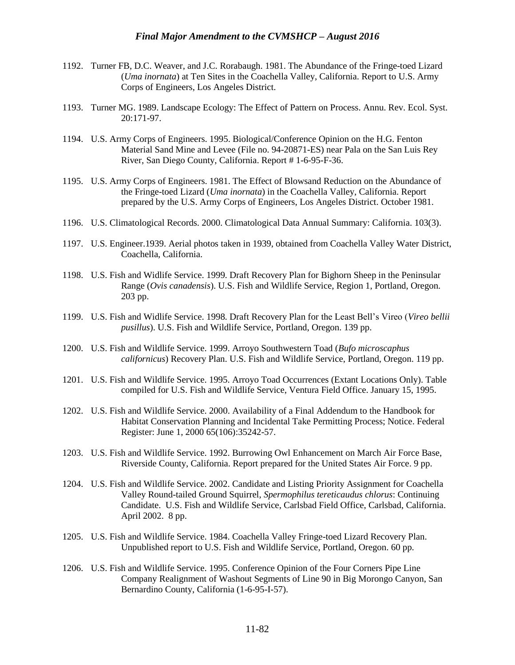- 1192. Turner FB, D.C. Weaver, and J.C. Rorabaugh. 1981. The Abundance of the Fringe-toed Lizard (*Uma inornata*) at Ten Sites in the Coachella Valley, California. Report to U.S. Army Corps of Engineers, Los Angeles District.
- 1193. Turner MG. 1989. Landscape Ecology: The Effect of Pattern on Process. Annu. Rev. Ecol. Syst. 20:171-97.
- 1194. U.S. Army Corps of Engineers. 1995. Biological/Conference Opinion on the H.G. Fenton Material Sand Mine and Levee (File no. 94-20871-ES) near Pala on the San Luis Rey River, San Diego County, California. Report # 1-6-95-F-36.
- 1195. U.S. Army Corps of Engineers. 1981. The Effect of Blowsand Reduction on the Abundance of the Fringe-toed Lizard (*Uma inornata*) in the Coachella Valley, California. Report prepared by the U.S. Army Corps of Engineers, Los Angeles District. October 1981.
- 1196. U.S. Climatological Records. 2000. Climatological Data Annual Summary: California. 103(3).
- 1197. U.S. Engineer.1939. Aerial photos taken in 1939, obtained from Coachella Valley Water District, Coachella, California.
- 1198. U.S. Fish and Widlife Service. 1999. Draft Recovery Plan for Bighorn Sheep in the Peninsular Range (*Ovis canadensis*). U.S. Fish and Wildlife Service, Region 1, Portland, Oregon. 203 pp.
- 1199. U.S. Fish and Widlife Service. 1998. Draft Recovery Plan for the Least Bell's Vireo (*Vireo bellii pusillus*). U.S. Fish and Wildlife Service, Portland, Oregon. 139 pp.
- 1200. U.S. Fish and Wildlife Service. 1999. Arroyo Southwestern Toad (*Bufo microscaphus californicus*) Recovery Plan. U.S. Fish and Wildlife Service, Portland, Oregon. 119 pp.
- 1201. U.S. Fish and Wildlife Service. 1995. Arroyo Toad Occurrences (Extant Locations Only). Table compiled for U.S. Fish and Wildlife Service, Ventura Field Office. January 15, 1995.
- 1202. U.S. Fish and Wildlife Service. 2000. Availability of a Final Addendum to the Handbook for Habitat Conservation Planning and Incidental Take Permitting Process; Notice. Federal Register: June 1, 2000 65(106):35242-57.
- 1203. U.S. Fish and Wildlife Service. 1992. Burrowing Owl Enhancement on March Air Force Base, Riverside County, California. Report prepared for the United States Air Force. 9 pp.
- 1204. U.S. Fish and Wildlife Service. 2002. Candidate and Listing Priority Assignment for Coachella Valley Round-tailed Ground Squirrel, *Spermophilus tereticaudus chlorus*: Continuing Candidate. U.S. Fish and Wildlife Service, Carlsbad Field Office, Carlsbad, California. April 2002. 8 pp.
- 1205. U.S. Fish and Wildlife Service. 1984. Coachella Valley Fringe-toed Lizard Recovery Plan. Unpublished report to U.S. Fish and Wildlife Service, Portland, Oregon. 60 pp.
- 1206. U.S. Fish and Wildlife Service. 1995. Conference Opinion of the Four Corners Pipe Line Company Realignment of Washout Segments of Line 90 in Big Morongo Canyon, San Bernardino County, California (1-6-95-I-57).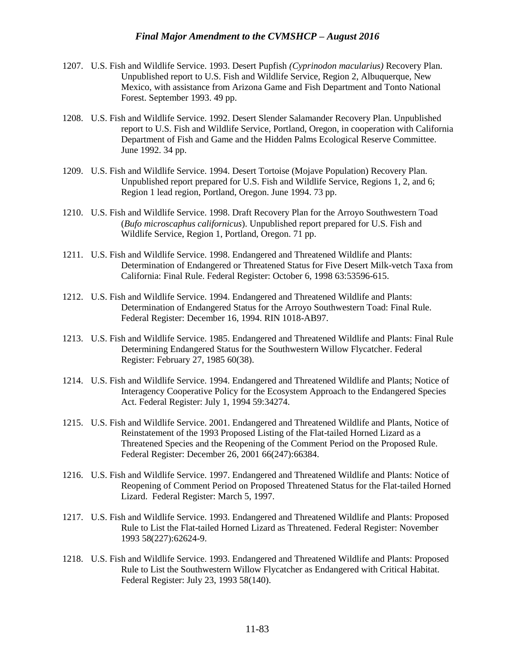- 1207. U.S. Fish and Wildlife Service. 1993. Desert Pupfish *(Cyprinodon macularius)* Recovery Plan. Unpublished report to U.S. Fish and Wildlife Service, Region 2, Albuquerque, New Mexico, with assistance from Arizona Game and Fish Department and Tonto National Forest. September 1993. 49 pp.
- 1208. U.S. Fish and Wildlife Service. 1992. Desert Slender Salamander Recovery Plan. Unpublished report to U.S. Fish and Wildlife Service, Portland, Oregon, in cooperation with California Department of Fish and Game and the Hidden Palms Ecological Reserve Committee. June 1992. 34 pp.
- 1209. U.S. Fish and Wildlife Service. 1994. Desert Tortoise (Mojave Population) Recovery Plan. Unpublished report prepared for U.S. Fish and Wildlife Service, Regions 1, 2, and 6; Region 1 lead region, Portland, Oregon. June 1994. 73 pp.
- 1210. U.S. Fish and Wildlife Service. 1998. Draft Recovery Plan for the Arroyo Southwestern Toad (*Bufo microscaphus californicus*). Unpublished report prepared for U.S. Fish and Wildlife Service, Region 1, Portland, Oregon. 71 pp.
- 1211. U.S. Fish and Wildlife Service. 1998. Endangered and Threatened Wildlife and Plants: Determination of Endangered or Threatened Status for Five Desert Milk-vetch Taxa from California: Final Rule. Federal Register: October 6, 1998 63:53596-615.
- 1212. U.S. Fish and Wildlife Service. 1994. Endangered and Threatened Wildlife and Plants: Determination of Endangered Status for the Arroyo Southwestern Toad: Final Rule. Federal Register: December 16, 1994. RIN 1018-AB97.
- 1213. U.S. Fish and Wildlife Service. 1985. Endangered and Threatened Wildlife and Plants: Final Rule Determining Endangered Status for the Southwestern Willow Flycatcher. Federal Register: February 27, 1985 60(38).
- 1214. U.S. Fish and Wildlife Service. 1994. Endangered and Threatened Wildlife and Plants; Notice of Interagency Cooperative Policy for the Ecosystem Approach to the Endangered Species Act. Federal Register: July 1, 1994 59:34274.
- 1215. U.S. Fish and Wildlife Service. 2001. Endangered and Threatened Wildlife and Plants, Notice of Reinstatement of the 1993 Proposed Listing of the Flat-tailed Horned Lizard as a Threatened Species and the Reopening of the Comment Period on the Proposed Rule. Federal Register: December 26, 2001 66(247):66384.
- 1216. U.S. Fish and Wildlife Service. 1997. Endangered and Threatened Wildlife and Plants: Notice of Reopening of Comment Period on Proposed Threatened Status for the Flat-tailed Horned Lizard. Federal Register: March 5, 1997.
- 1217. U.S. Fish and Wildlife Service. 1993. Endangered and Threatened Wildlife and Plants: Proposed Rule to List the Flat-tailed Horned Lizard as Threatened. Federal Register: November 1993 58(227):62624-9.
- 1218. U.S. Fish and Wildlife Service. 1993. Endangered and Threatened Wildlife and Plants: Proposed Rule to List the Southwestern Willow Flycatcher as Endangered with Critical Habitat. Federal Register: July 23, 1993 58(140).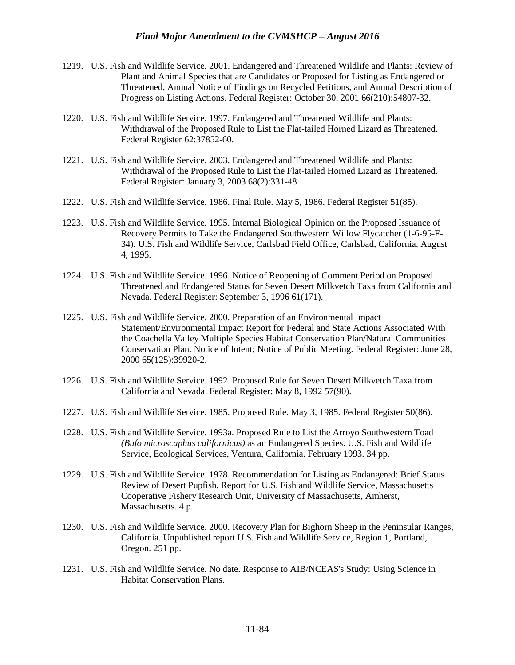- 1219. U.S. Fish and Wildlife Service. 2001. Endangered and Threatened Wildlife and Plants: Review of Plant and Animal Species that are Candidates or Proposed for Listing as Endangered or Threatened, Annual Notice of Findings on Recycled Petitions, and Annual Description of Progress on Listing Actions. Federal Register: October 30, 2001 66(210):54807-32.
- 1220. U.S. Fish and Wildlife Service. 1997. Endangered and Threatened Wildlife and Plants: Withdrawal of the Proposed Rule to List the Flat-tailed Horned Lizard as Threatened. Federal Register 62:37852-60.
- 1221. U.S. Fish and Wildlife Service. 2003. Endangered and Threatened Wildlife and Plants: Withdrawal of the Proposed Rule to List the Flat-tailed Horned Lizard as Threatened. Federal Register: January 3, 2003 68(2):331-48.
- 1222. U.S. Fish and Wildlife Service. 1986. Final Rule. May 5, 1986. Federal Register 51(85).
- 1223. U.S. Fish and Wildlife Service. 1995. Internal Biological Opinion on the Proposed Issuance of Recovery Permits to Take the Endangered Southwestern Willow Flycatcher (1-6-95-F-34). U.S. Fish and Wildlife Service, Carlsbad Field Office, Carlsbad, California. August 4, 1995.
- 1224. U.S. Fish and Wildlife Service. 1996. Notice of Reopening of Comment Period on Proposed Threatened and Endangered Status for Seven Desert Milkvetch Taxa from California and Nevada. Federal Register: September 3, 1996 61(171).
- 1225. U.S. Fish and Wildlife Service. 2000. Preparation of an Environmental Impact Statement/Environmental Impact Report for Federal and State Actions Associated With the Coachella Valley Multiple Species Habitat Conservation Plan/Natural Communities Conservation Plan. Notice of Intent; Notice of Public Meeting. Federal Register: June 28, 2000 65(125):39920-2.
- 1226. U.S. Fish and Wildlife Service. 1992. Proposed Rule for Seven Desert Milkvetch Taxa from California and Nevada. Federal Register: May 8, 1992 57(90).
- 1227. U.S. Fish and Wildlife Service. 1985. Proposed Rule. May 3, 1985. Federal Register 50(86).
- 1228. U.S. Fish and Wildlife Service. 1993a. Proposed Rule to List the Arroyo Southwestern Toad *(Bufo microscaphus californicus)* as an Endangered Species. U.S. Fish and Wildlife Service, Ecological Services, Ventura, California. February 1993. 34 pp.
- 1229. U.S. Fish and Wildlife Service. 1978. Recommendation for Listing as Endangered: Brief Status Review of Desert Pupfish. Report for U.S. Fish and Wildlife Service, Massachusetts Cooperative Fishery Research Unit, University of Massachusetts, Amherst, Massachusetts. 4 p.
- 1230. U.S. Fish and Wildlife Service. 2000. Recovery Plan for Bighorn Sheep in the Peninsular Ranges, California. Unpublished report U.S. Fish and Wildlife Service, Region 1, Portland, Oregon. 251 pp.
- 1231. U.S. Fish and Wildlife Service. No date. Response to AIB/NCEAS's Study: Using Science in Habitat Conservation Plans.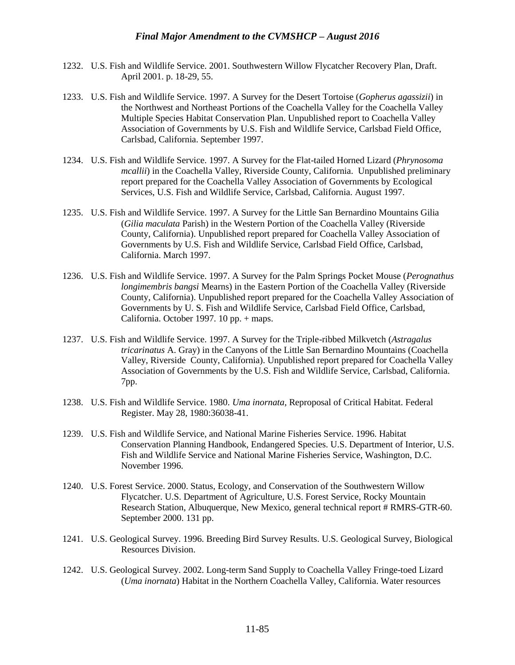- 1232. U.S. Fish and Wildlife Service. 2001. Southwestern Willow Flycatcher Recovery Plan, Draft. April 2001. p. 18-29, 55.
- 1233. U.S. Fish and Wildlife Service. 1997. A Survey for the Desert Tortoise (*Gopherus agassizii*) in the Northwest and Northeast Portions of the Coachella Valley for the Coachella Valley Multiple Species Habitat Conservation Plan. Unpublished report to Coachella Valley Association of Governments by U.S. Fish and Wildlife Service, Carlsbad Field Office, Carlsbad, California. September 1997.
- 1234. U.S. Fish and Wildlife Service. 1997. A Survey for the Flat-tailed Horned Lizard (*Phrynosoma mcallii*) in the Coachella Valley, Riverside County, California. Unpublished preliminary report prepared for the Coachella Valley Association of Governments by Ecological Services, U.S. Fish and Wildlife Service, Carlsbad, California. August 1997.
- 1235. U.S. Fish and Wildlife Service. 1997. A Survey for the Little San Bernardino Mountains Gilia (*Gilia maculata* Parish) in the Western Portion of the Coachella Valley (Riverside County, California). Unpublished report prepared for Coachella Valley Association of Governments by U.S. Fish and Wildlife Service, Carlsbad Field Office, Carlsbad, California. March 1997.
- 1236. U.S. Fish and Wildlife Service. 1997. A Survey for the Palm Springs Pocket Mouse (*Perognathus longimembris bangsi* Mearns) in the Eastern Portion of the Coachella Valley (Riverside County, California). Unpublished report prepared for the Coachella Valley Association of Governments by U. S. Fish and Wildlife Service, Carlsbad Field Office, Carlsbad, California. October 1997. 10 pp. + maps.
- 1237. U.S. Fish and Wildlife Service. 1997. A Survey for the Triple-ribbed Milkvetch (*Astragalus tricarinatus* A. Gray) in the Canyons of the Little San Bernardino Mountains (Coachella Valley, Riverside County, California). Unpublished report prepared for Coachella Valley Association of Governments by the U.S. Fish and Wildlife Service, Carlsbad, California. 7pp.
- 1238. U.S. Fish and Wildlife Service. 1980. *Uma inornata*, Reproposal of Critical Habitat. Federal Register. May 28, 1980:36038-41.
- 1239. U.S. Fish and Wildlife Service, and National Marine Fisheries Service. 1996. Habitat Conservation Planning Handbook, Endangered Species. U.S. Department of Interior, U.S. Fish and Wildlife Service and National Marine Fisheries Service, Washington, D.C. November 1996.
- 1240. U.S. Forest Service. 2000. Status, Ecology, and Conservation of the Southwestern Willow Flycatcher. U.S. Department of Agriculture, U.S. Forest Service, Rocky Mountain Research Station, Albuquerque, New Mexico, general technical report # RMRS-GTR-60. September 2000. 131 pp.
- 1241. U.S. Geological Survey. 1996. Breeding Bird Survey Results. U.S. Geological Survey, Biological Resources Division.
- 1242. U.S. Geological Survey. 2002. Long-term Sand Supply to Coachella Valley Fringe-toed Lizard (*Uma inornata*) Habitat in the Northern Coachella Valley, California. Water resources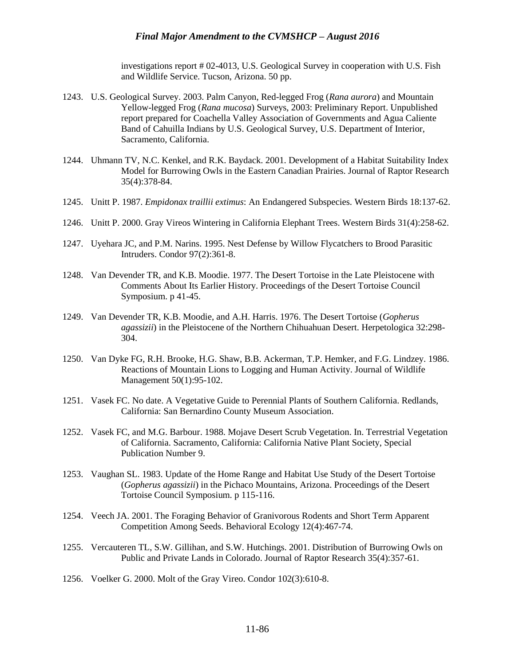investigations report # 02-4013, U.S. Geological Survey in cooperation with U.S. Fish and Wildlife Service. Tucson, Arizona. 50 pp.

- 1243. U.S. Geological Survey. 2003. Palm Canyon, Red-legged Frog (*Rana aurora*) and Mountain Yellow-legged Frog (*Rana mucosa*) Surveys, 2003: Preliminary Report. Unpublished report prepared for Coachella Valley Association of Governments and Agua Caliente Band of Cahuilla Indians by U.S. Geological Survey, U.S. Department of Interior, Sacramento, California.
- 1244. Uhmann TV, N.C. Kenkel, and R.K. Baydack. 2001. Development of a Habitat Suitability Index Model for Burrowing Owls in the Eastern Canadian Prairies. Journal of Raptor Research 35(4):378-84.
- 1245. Unitt P. 1987. *Empidonax traillii extimus*: An Endangered Subspecies. Western Birds 18:137-62.
- 1246. Unitt P. 2000. Gray Vireos Wintering in California Elephant Trees. Western Birds 31(4):258-62.
- 1247. Uyehara JC, and P.M. Narins. 1995. Nest Defense by Willow Flycatchers to Brood Parasitic Intruders. Condor 97(2):361-8.
- 1248. Van Devender TR, and K.B. Moodie. 1977. The Desert Tortoise in the Late Pleistocene with Comments About Its Earlier History. Proceedings of the Desert Tortoise Council Symposium. p 41-45.
- 1249. Van Devender TR, K.B. Moodie, and A.H. Harris. 1976. The Desert Tortoise (*Gopherus agassizii*) in the Pleistocene of the Northern Chihuahuan Desert. Herpetologica 32:298- 304.
- 1250. Van Dyke FG, R.H. Brooke, H.G. Shaw, B.B. Ackerman, T.P. Hemker, and F.G. Lindzey. 1986. Reactions of Mountain Lions to Logging and Human Activity. Journal of Wildlife Management 50(1):95-102.
- 1251. Vasek FC. No date. A Vegetative Guide to Perennial Plants of Southern California. Redlands, California: San Bernardino County Museum Association.
- 1252. Vasek FC, and M.G. Barbour. 1988. Mojave Desert Scrub Vegetation. In. Terrestrial Vegetation of California. Sacramento, California: California Native Plant Society, Special Publication Number 9.
- 1253. Vaughan SL. 1983. Update of the Home Range and Habitat Use Study of the Desert Tortoise (*Gopherus agassizii*) in the Pichaco Mountains, Arizona. Proceedings of the Desert Tortoise Council Symposium. p 115-116.
- 1254. Veech JA. 2001. The Foraging Behavior of Granivorous Rodents and Short Term Apparent Competition Among Seeds. Behavioral Ecology 12(4):467-74.
- 1255. Vercauteren TL, S.W. Gillihan, and S.W. Hutchings. 2001. Distribution of Burrowing Owls on Public and Private Lands in Colorado. Journal of Raptor Research 35(4):357-61.
- 1256. Voelker G. 2000. Molt of the Gray Vireo. Condor 102(3):610-8.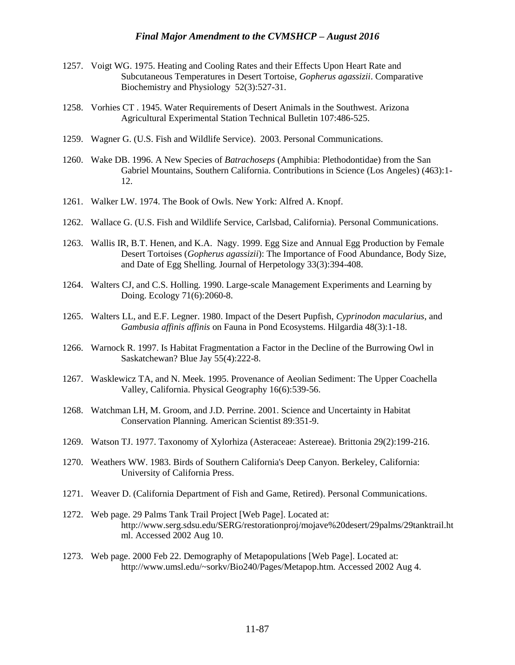- 1257. Voigt WG. 1975. Heating and Cooling Rates and their Effects Upon Heart Rate and Subcutaneous Temperatures in Desert Tortoise, *Gopherus agassizii*. Comparative Biochemistry and Physiology 52(3):527-31.
- 1258. Vorhies CT . 1945. Water Requirements of Desert Animals in the Southwest. Arizona Agricultural Experimental Station Technical Bulletin 107:486-525.
- 1259. Wagner G. (U.S. Fish and Wildlife Service). 2003. Personal Communications.
- 1260. Wake DB. 1996. A New Species of *Batrachoseps* (Amphibia: Plethodontidae) from the San Gabriel Mountains, Southern California. Contributions in Science (Los Angeles) (463):1- 12.
- 1261. Walker LW. 1974. The Book of Owls. New York: Alfred A. Knopf.
- 1262. Wallace G. (U.S. Fish and Wildlife Service, Carlsbad, California). Personal Communications.
- 1263. Wallis IR, B.T. Henen, and K.A. Nagy. 1999. Egg Size and Annual Egg Production by Female Desert Tortoises (*Gopherus agassizii*): The Importance of Food Abundance, Body Size, and Date of Egg Shelling. Journal of Herpetology 33(3):394-408.
- 1264. Walters CJ, and C.S. Holling. 1990. Large-scale Management Experiments and Learning by Doing. Ecology 71(6):2060-8.
- 1265. Walters LL, and E.F. Legner. 1980. Impact of the Desert Pupfish, *Cyprinodon macularius*, and *Gambusia affinis affinis* on Fauna in Pond Ecosystems. Hilgardia 48(3):1-18.
- 1266. Warnock R. 1997. Is Habitat Fragmentation a Factor in the Decline of the Burrowing Owl in Saskatchewan? Blue Jay 55(4):222-8.
- 1267. Wasklewicz TA, and N. Meek. 1995. Provenance of Aeolian Sediment: The Upper Coachella Valley, California. Physical Geography 16(6):539-56.
- 1268. Watchman LH, M. Groom, and J.D. Perrine. 2001. Science and Uncertainty in Habitat Conservation Planning. American Scientist 89:351-9.
- 1269. Watson TJ. 1977. Taxonomy of Xylorhiza (Asteraceae: Astereae). Brittonia 29(2):199-216.
- 1270. Weathers WW. 1983. Birds of Southern California's Deep Canyon. Berkeley, California: University of California Press.
- 1271. Weaver D. (California Department of Fish and Game, Retired). Personal Communications.
- 1272. Web page. 29 Palms Tank Trail Project [Web Page]. Located at: http://www.serg.sdsu.edu/SERG/restorationproj/mojave%20desert/29palms/29tanktrail.ht ml. Accessed 2002 Aug 10.
- 1273. Web page. 2000 Feb 22. Demography of Metapopulations [Web Page]. Located at: http://www.umsl.edu/~sorkv/Bio240/Pages/Metapop.htm. Accessed 2002 Aug 4.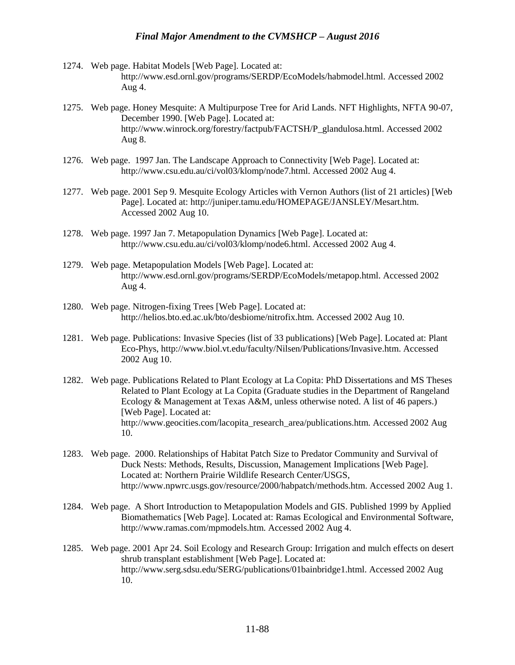- 1274. Web page. Habitat Models [Web Page]. Located at: http://www.esd.ornl.gov/programs/SERDP/EcoModels/habmodel.html. Accessed 2002 Aug 4.
- 1275. Web page. Honey Mesquite: A Multipurpose Tree for Arid Lands. NFT Highlights, NFTA 90-07, December 1990. [Web Page]. Located at: http://www.winrock.org/forestry/factpub/FACTSH/P\_glandulosa.html. Accessed 2002 Aug 8.
- 1276. Web page. 1997 Jan. The Landscape Approach to Connectivity [Web Page]. Located at: http://www.csu.edu.au/ci/vol03/klomp/node7.html. Accessed 2002 Aug 4.
- 1277. Web page. 2001 Sep 9. Mesquite Ecology Articles with Vernon Authors (list of 21 articles) [Web Page]. Located at: http://juniper.tamu.edu/HOMEPAGE/JANSLEY/Mesart.htm. Accessed 2002 Aug 10.
- 1278. Web page. 1997 Jan 7. Metapopulation Dynamics [Web Page]. Located at: http://www.csu.edu.au/ci/vol03/klomp/node6.html. Accessed 2002 Aug 4.
- 1279. Web page. Metapopulation Models [Web Page]. Located at: http://www.esd.ornl.gov/programs/SERDP/EcoModels/metapop.html. Accessed 2002 Aug 4.
- 1280. Web page. Nitrogen-fixing Trees [Web Page]. Located at: http://helios.bto.ed.ac.uk/bto/desbiome/nitrofix.htm. Accessed 2002 Aug 10.
- 1281. Web page. Publications: Invasive Species (list of 33 publications) [Web Page]. Located at: Plant Eco-Phys, http://www.biol.vt.edu/faculty/Nilsen/Publications/Invasive.htm. Accessed 2002 Aug 10.
- 1282. Web page. Publications Related to Plant Ecology at La Copita: PhD Dissertations and MS Theses Related to Plant Ecology at La Copita (Graduate studies in the Department of Rangeland Ecology & Management at Texas A&M, unless otherwise noted. A list of 46 papers.) [Web Page]. Located at: http://www.geocities.com/lacopita\_research\_area/publications.htm. Accessed 2002 Aug 10.
- 1283. Web page. 2000. Relationships of Habitat Patch Size to Predator Community and Survival of Duck Nests: Methods, Results, Discussion, Management Implications [Web Page]. Located at: Northern Prairie Wildlife Research Center/USGS, http://www.npwrc.usgs.gov/resource/2000/habpatch/methods.htm. Accessed 2002 Aug 1.
- 1284. Web page. A Short Introduction to Metapopulation Models and GIS. Published 1999 by Applied Biomathematics [Web Page]. Located at: Ramas Ecological and Environmental Software, http://www.ramas.com/mpmodels.htm. Accessed 2002 Aug 4.
- 1285. Web page. 2001 Apr 24. Soil Ecology and Research Group: Irrigation and mulch effects on desert shrub transplant establishment [Web Page]. Located at: http://www.serg.sdsu.edu/SERG/publications/01bainbridge1.html. Accessed 2002 Aug 10.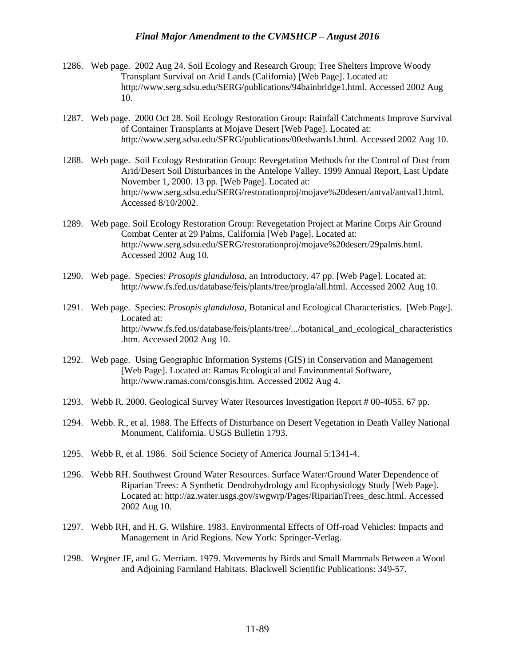- 1286. Web page. 2002 Aug 24. Soil Ecology and Research Group: Tree Shelters Improve Woody Transplant Survival on Arid Lands (California) [Web Page]. Located at: http://www.serg.sdsu.edu/SERG/publications/94bainbridge1.html. Accessed 2002 Aug 10.
- 1287. Web page. 2000 Oct 28. Soil Ecology Restoration Group: Rainfall Catchments Improve Survival of Container Transplants at Mojave Desert [Web Page]. Located at: http://www.serg.sdsu.edu/SERG/publications/00edwards1.html. Accessed 2002 Aug 10.
- 1288. Web page. Soil Ecology Restoration Group: Revegetation Methods for the Control of Dust from Arid/Desert Soil Disturbances in the Antelope Valley. 1999 Annual Report, Last Update November 1, 2000. 13 pp. [Web Page]. Located at: http://www.serg.sdsu.edu/SERG/restorationproj/mojave%20desert/antval/antval1.html. Accessed 8/10/2002.
- 1289. Web page. Soil Ecology Restoration Group: Revegetation Project at Marine Corps Air Ground Combat Center at 29 Palms, California [Web Page]. Located at: http://www.serg.sdsu.edu/SERG/restorationproj/mojave%20desert/29palms.html. Accessed 2002 Aug 10.
- 1290. Web page. Species: *Prosopis glandulosa*, an Introductory. 47 pp. [Web Page]. Located at: http://www.fs.fed.us/database/feis/plants/tree/progla/all.html. Accessed 2002 Aug 10.
- 1291. Web page. Species: *Prosopis glandulosa*, Botanical and Ecological Characteristics. [Web Page]. Located at: http://www.fs.fed.us/database/feis/plants/tree/.../botanical\_and\_ecological\_characteristics .htm. Accessed 2002 Aug 10.
- 1292. Web page. Using Geographic Information Systems (GIS) in Conservation and Management [Web Page]. Located at: Ramas Ecological and Environmental Software, http://www.ramas.com/consgis.htm. Accessed 2002 Aug 4.
- 1293. Webb R. 2000. Geological Survey Water Resources Investigation Report # 00-4055. 67 pp.
- 1294. Webb. R., et al. 1988. The Effects of Disturbance on Desert Vegetation in Death Valley National Monument, California. USGS Bulletin 1793.
- 1295. Webb R, et al. 1986. Soil Science Society of America Journal 5:1341-4.
- 1296. Webb RH. Southwest Ground Water Resources. Surface Water/Ground Water Dependence of Riparian Trees: A Synthetic Dendrohydrology and Ecophysiology Study [Web Page]. Located at: http://az.water.usgs.gov/swgwrp/Pages/RiparianTrees\_desc.html. Accessed 2002 Aug 10.
- 1297. Webb RH, and H. G. Wilshire. 1983. Environmental Effects of Off-road Vehicles: Impacts and Management in Arid Regions. New York: Springer-Verlag.
- 1298. Wegner JF, and G. Merriam. 1979. Movements by Birds and Small Mammals Between a Wood and Adjoining Farmland Habitats. Blackwell Scientific Publications: 349-57.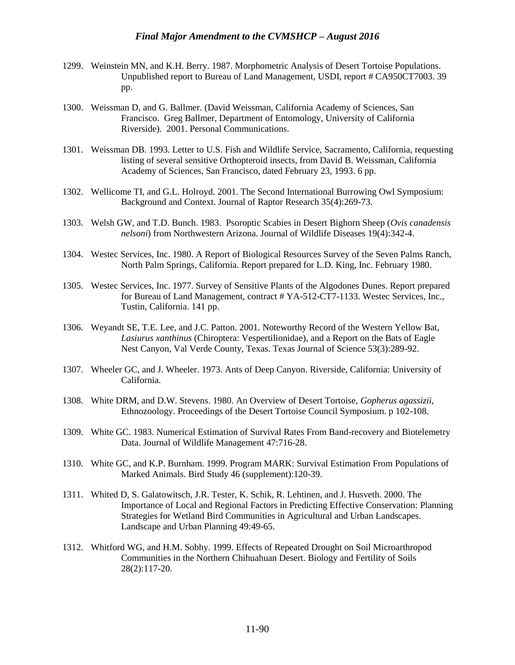- 1299. Weinstein MN, and K.H. Berry. 1987. Morphometric Analysis of Desert Tortoise Populations. Unpublished report to Bureau of Land Management, USDI, report # CA950CT7003. 39 pp.
- 1300. Weissman D, and G. Ballmer. (David Weissman, California Academy of Sciences, San Francisco. Greg Ballmer, Department of Entomology, University of California Riverside). 2001. Personal Communications.
- 1301. Weissman DB. 1993. Letter to U.S. Fish and Wildlife Service, Sacramento, California, requesting listing of several sensitive Orthopteroid insects, from David B. Weissman, California Academy of Sciences, San Francisco, dated February 23, 1993. 6 pp.
- 1302. Wellicome TI, and G.L. Holroyd. 2001. The Second International Burrowing Owl Symposium: Background and Context. Journal of Raptor Research 35(4):269-73.
- 1303. Welsh GW, and T.D. Bunch. 1983. Psoroptic Scabies in Desert Bighorn Sheep (*Ovis canadensis nelsoni*) from Northwestern Arizona. Journal of Wildlife Diseases 19(4):342-4.
- 1304. Westec Services, Inc. 1980. A Report of Biological Resources Survey of the Seven Palms Ranch, North Palm Springs, California. Report prepared for L.D. King, Inc. February 1980.
- 1305. Westec Services, Inc. 1977. Survey of Sensitive Plants of the Algodones Dunes. Report prepared for Bureau of Land Management, contract # YA-512-CT7-1133. Westec Services, Inc., Tustin, California. 141 pp.
- 1306. Weyandt SE, T.E. Lee, and J.C. Patton. 2001. Noteworthy Record of the Western Yellow Bat, *Lasiurus xanthinus* (Chiroptera: Vespertilionidae), and a Report on the Bats of Eagle Nest Canyon, Val Verde County, Texas. Texas Journal of Science 53(3):289-92.
- 1307. Wheeler GC, and J. Wheeler. 1973. Ants of Deep Canyon. Riverside, California: University of California.
- 1308. White DRM, and D.W. Stevens. 1980. An Overview of Desert Tortoise, *Gopherus agassizii*, Ethnozoology. Proceedings of the Desert Tortoise Council Symposium. p 102-108.
- 1309. White GC. 1983. Numerical Estimation of Survival Rates From Band-recovery and Biotelemetry Data. Journal of Wildlife Management 47:716-28.
- 1310. White GC, and K.P. Burnham. 1999. Program MARK: Survival Estimation From Populations of Marked Animals. Bird Study 46 (supplement):120-39.
- 1311. Whited D, S. Galatowitsch, J.R. Tester, K. Schik, R. Lehtinen, and J. Husveth. 2000. The Importance of Local and Regional Factors in Predicting Effective Conservation: Planning Strategies for Wetland Bird Communities in Agricultural and Urban Landscapes. Landscape and Urban Planning 49:49-65.
- 1312. Whitford WG, and H.M. Sobhy. 1999. Effects of Repeated Drought on Soil Microarthropod Communities in the Northern Chihuahuan Desert. Biology and Fertility of Soils 28(2):117-20.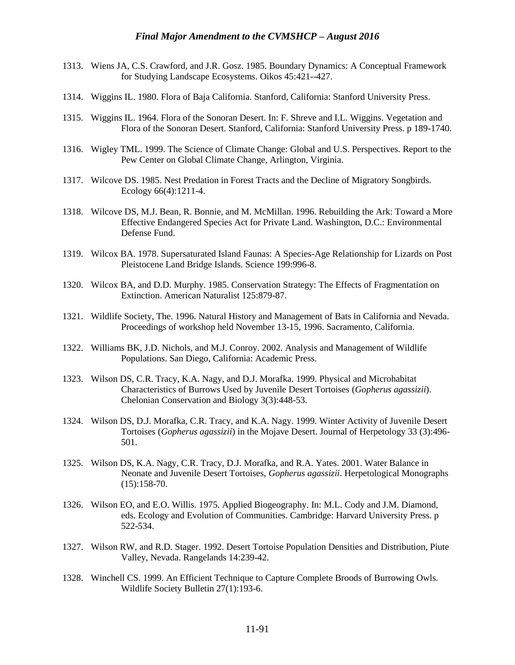- 1313. Wiens JA, C.S. Crawford, and J.R. Gosz. 1985. Boundary Dynamics: A Conceptual Framework for Studying Landscape Ecosystems. Oikos 45:421--427.
- 1314. Wiggins IL. 1980. Flora of Baja California. Stanford, California: Stanford University Press.
- 1315. Wiggins IL. 1964. Flora of the Sonoran Desert. In: F. Shreve and I.L. Wiggins. Vegetation and Flora of the Sonoran Desert. Stanford, California: Stanford University Press. p 189-1740.
- 1316. Wigley TML. 1999. The Science of Climate Change: Global and U.S. Perspectives. Report to the Pew Center on Global Climate Change, Arlington, Virginia.
- 1317. Wilcove DS. 1985. Nest Predation in Forest Tracts and the Decline of Migratory Songbirds. Ecology 66(4):1211-4.
- 1318. Wilcove DS, M.J. Bean, R. Bonnie, and M. McMillan. 1996. Rebuilding the Ark: Toward a More Effective Endangered Species Act for Private Land. Washington, D.C.: Environmental Defense Fund.
- 1319. Wilcox BA. 1978. Supersaturated Island Faunas: A Species-Age Relationship for Lizards on Post Pleistocene Land Bridge Islands. Science 199:996-8.
- 1320. Wilcox BA, and D.D. Murphy. 1985. Conservation Strategy: The Effects of Fragmentation on Extinction. American Naturalist 125:879-87.
- 1321. Wildlife Society, The. 1996. Natural History and Management of Bats in California and Nevada. Proceedings of workshop held November 13-15, 1996. Sacramento, California.
- 1322. Williams BK, J.D. Nichols, and M.J. Conroy. 2002. Analysis and Management of Wildlife Populations. San Diego, California: Academic Press.
- 1323. Wilson DS, C.R. Tracy, K.A. Nagy, and D.J. Morafka. 1999. Physical and Microhabitat Characteristics of Burrows Used by Juvenile Desert Tortoises (*Gopherus agassizii*). Chelonian Conservation and Biology 3(3):448-53.
- 1324. Wilson DS, D.J. Morafka, C.R. Tracy, and K.A. Nagy. 1999. Winter Activity of Juvenile Desert Tortoises (*Gopherus agassizii*) in the Mojave Desert. Journal of Herpetology 33 (3):496- 501.
- 1325. Wilson DS, K.A. Nagy, C.R. Tracy, D.J. Morafka, and R.A. Yates. 2001. Water Balance in Neonate and Juvenile Desert Tortoises, *Gopherus agassizii*. Herpetological Monographs  $(15):158-70.$
- 1326. Wilson EO, and E.O. Willis. 1975. Applied Biogeography. In: M.L. Cody and J.M. Diamond, eds. Ecology and Evolution of Communities. Cambridge: Harvard University Press. p 522-534.
- 1327. Wilson RW, and R.D. Stager. 1992. Desert Tortoise Population Densities and Distribution, Piute Valley, Nevada. Rangelands 14:239-42.
- 1328. Winchell CS. 1999. An Efficient Technique to Capture Complete Broods of Burrowing Owls. Wildlife Society Bulletin 27(1):193-6.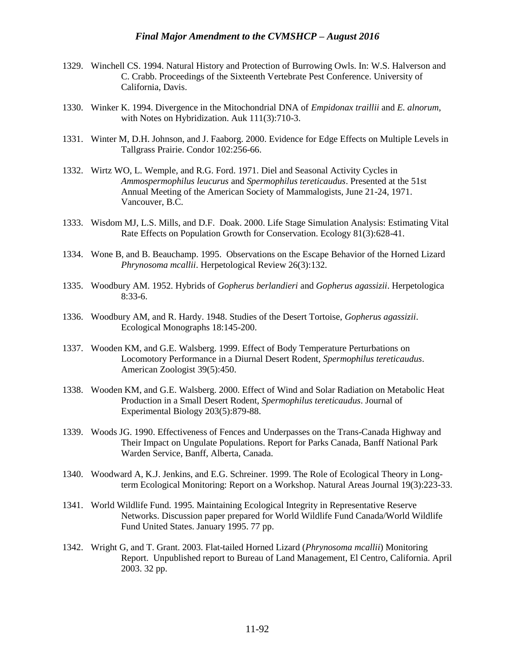- 1329. Winchell CS. 1994. Natural History and Protection of Burrowing Owls. In: W.S. Halverson and C. Crabb. Proceedings of the Sixteenth Vertebrate Pest Conference. University of California, Davis.
- 1330. Winker K. 1994. Divergence in the Mitochondrial DNA of *Empidonax traillii* and *E. alnorum*, with Notes on Hybridization. Auk 111(3):710-3.
- 1331. Winter M, D.H. Johnson, and J. Faaborg. 2000. Evidence for Edge Effects on Multiple Levels in Tallgrass Prairie. Condor 102:256-66.
- 1332. Wirtz WO, L. Wemple, and R.G. Ford. 1971. Diel and Seasonal Activity Cycles in *Ammospermophilus leucurus* and *Spermophilus tereticaudus*. Presented at the 51st Annual Meeting of the American Society of Mammalogists, June 21-24, 1971. Vancouver, B.C.
- 1333. Wisdom MJ, L.S. Mills, and D.F. Doak. 2000. Life Stage Simulation Analysis: Estimating Vital Rate Effects on Population Growth for Conservation. Ecology 81(3):628-41.
- 1334. Wone B, and B. Beauchamp. 1995. Observations on the Escape Behavior of the Horned Lizard *Phrynosoma mcallii*. Herpetological Review 26(3):132.
- 1335. Woodbury AM. 1952. Hybrids of *Gopherus berlandieri* and *Gopherus agassizii*. Herpetologica 8:33-6.
- 1336. Woodbury AM, and R. Hardy. 1948. Studies of the Desert Tortoise, *Gopherus agassizii*. Ecological Monographs 18:145-200.
- 1337. Wooden KM, and G.E. Walsberg. 1999. Effect of Body Temperature Perturbations on Locomotory Performance in a Diurnal Desert Rodent, *Spermophilus tereticaudus*. American Zoologist 39(5):450.
- 1338. Wooden KM, and G.E. Walsberg. 2000. Effect of Wind and Solar Radiation on Metabolic Heat Production in a Small Desert Rodent, *Spermophilus tereticaudus*. Journal of Experimental Biology 203(5):879-88.
- 1339. Woods JG. 1990. Effectiveness of Fences and Underpasses on the Trans-Canada Highway and Their Impact on Ungulate Populations. Report for Parks Canada, Banff National Park Warden Service, Banff, Alberta, Canada.
- 1340. Woodward A, K.J. Jenkins, and E.G. Schreiner. 1999. The Role of Ecological Theory in Longterm Ecological Monitoring: Report on a Workshop. Natural Areas Journal 19(3):223-33.
- 1341. World Wildlife Fund. 1995. Maintaining Ecological Integrity in Representative Reserve Networks. Discussion paper prepared for World Wildlife Fund Canada/World Wildlife Fund United States. January 1995. 77 pp.
- 1342. Wright G, and T. Grant. 2003. Flat-tailed Horned Lizard (*Phrynosoma mcallii*) Monitoring Report. Unpublished report to Bureau of Land Management, El Centro, California. April 2003. 32 pp.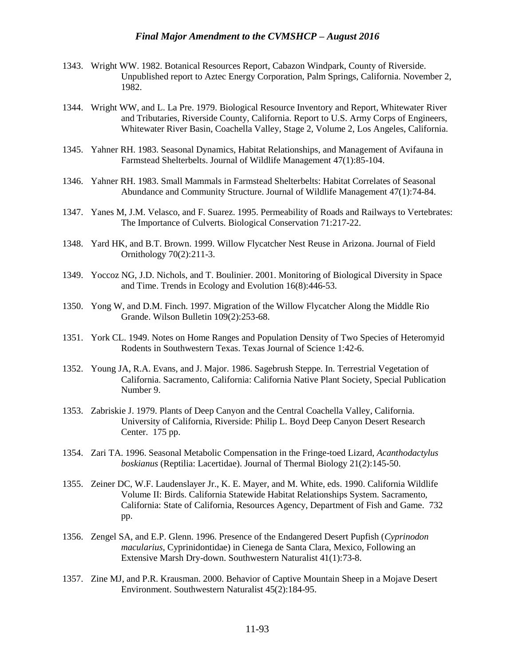- 1343. Wright WW. 1982. Botanical Resources Report, Cabazon Windpark, County of Riverside. Unpublished report to Aztec Energy Corporation, Palm Springs, California. November 2, 1982.
- 1344. Wright WW, and L. La Pre. 1979. Biological Resource Inventory and Report, Whitewater River and Tributaries, Riverside County, California. Report to U.S. Army Corps of Engineers, Whitewater River Basin, Coachella Valley, Stage 2, Volume 2, Los Angeles, California.
- 1345. Yahner RH. 1983. Seasonal Dynamics, Habitat Relationships, and Management of Avifauna in Farmstead Shelterbelts. Journal of Wildlife Management 47(1):85-104.
- 1346. Yahner RH. 1983. Small Mammals in Farmstead Shelterbelts: Habitat Correlates of Seasonal Abundance and Community Structure. Journal of Wildlife Management 47(1):74-84.
- 1347. Yanes M, J.M. Velasco, and F. Suarez. 1995. Permeability of Roads and Railways to Vertebrates: The Importance of Culverts. Biological Conservation 71:217-22.
- 1348. Yard HK, and B.T. Brown. 1999. Willow Flycatcher Nest Reuse in Arizona. Journal of Field Ornithology 70(2):211-3.
- 1349. Yoccoz NG, J.D. Nichols, and T. Boulinier. 2001. Monitoring of Biological Diversity in Space and Time. Trends in Ecology and Evolution 16(8):446-53.
- 1350. Yong W, and D.M. Finch. 1997. Migration of the Willow Flycatcher Along the Middle Rio Grande. Wilson Bulletin 109(2):253-68.
- 1351. York CL. 1949. Notes on Home Ranges and Population Density of Two Species of Heteromyid Rodents in Southwestern Texas. Texas Journal of Science 1:42-6.
- 1352. Young JA, R.A. Evans, and J. Major. 1986. Sagebrush Steppe. In. Terrestrial Vegetation of California. Sacramento, California: California Native Plant Society, Special Publication Number 9.
- 1353. Zabriskie J. 1979. Plants of Deep Canyon and the Central Coachella Valley, California. University of California, Riverside: Philip L. Boyd Deep Canyon Desert Research Center. 175 pp.
- 1354. Zari TA. 1996. Seasonal Metabolic Compensation in the Fringe-toed Lizard, *Acanthodactylus boskianus* (Reptilia: Lacertidae). Journal of Thermal Biology 21(2):145-50.
- 1355. Zeiner DC, W.F. Laudenslayer Jr., K. E. Mayer, and M. White, eds. 1990. California Wildlife Volume II: Birds. California Statewide Habitat Relationships System. Sacramento, California: State of California, Resources Agency, Department of Fish and Game. 732 pp.
- 1356. Zengel SA, and E.P. Glenn. 1996. Presence of the Endangered Desert Pupfish (*Cyprinodon macularius,* Cyprinidontidae) in Cienega de Santa Clara, Mexico, Following an Extensive Marsh Dry-down. Southwestern Naturalist 41(1):73-8.
- 1357. Zine MJ, and P.R. Krausman. 2000. Behavior of Captive Mountain Sheep in a Mojave Desert Environment. Southwestern Naturalist 45(2):184-95.